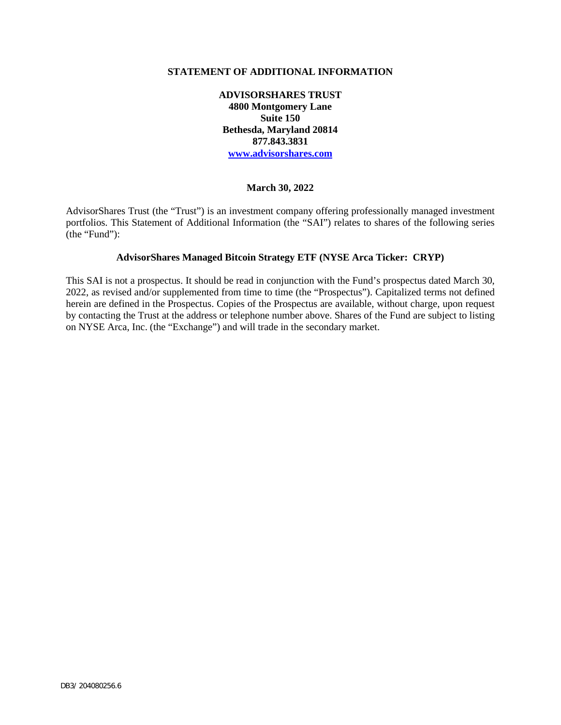#### **STATEMENT OF ADDITIONAL INFORMATION**

**ADVISORSHARES TRUST 4800 Montgomery Lane Suite 150 Bethesda, Maryland 20814 877.843.3831 www.advisorshares.com**

#### **March 30, 2022**

AdvisorShares Trust (the "Trust") is an investment company offering professionally managed investment portfolios. This Statement of Additional Information (the "SAI") relates to shares of the following series (the "Fund"):

### **AdvisorShares Managed Bitcoin Strategy ETF (NYSE Arca Ticker: CRYP)**

This SAI is not a prospectus. It should be read in conjunction with the Fund's prospectus dated March 30, 2022, as revised and/or supplemented from time to time (the "Prospectus"). Capitalized terms not defined herein are defined in the Prospectus. Copies of the Prospectus are available, without charge, upon request by contacting the Trust at the address or telephone number above. Shares of the Fund are subject to listing on NYSE Arca, Inc. (the "Exchange") and will trade in the secondary market.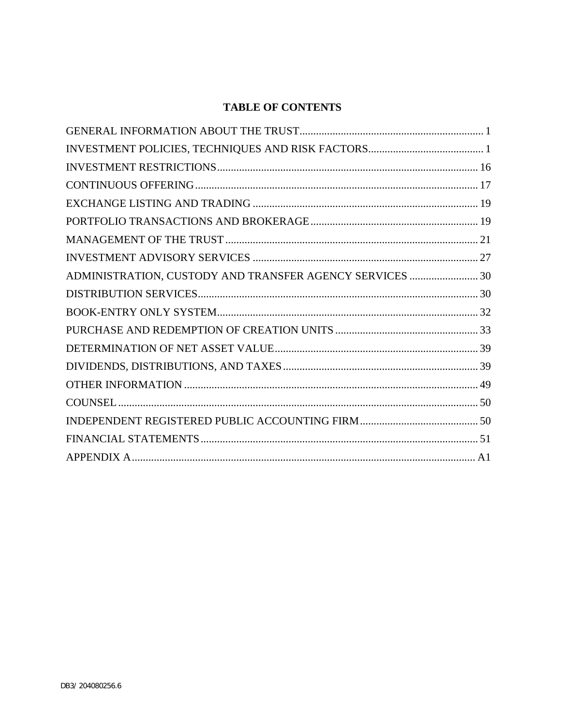# **TABLE OF CONTENTS**

| ADMINISTRATION, CUSTODY AND TRANSFER AGENCY SERVICES  30 |  |
|----------------------------------------------------------|--|
|                                                          |  |
|                                                          |  |
|                                                          |  |
|                                                          |  |
|                                                          |  |
|                                                          |  |
|                                                          |  |
|                                                          |  |
|                                                          |  |
|                                                          |  |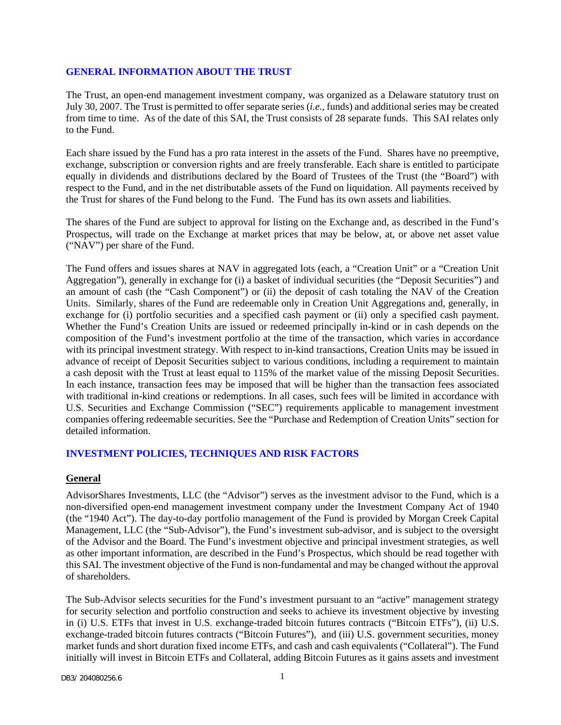#### <span id="page-2-0"></span>**GENERAL INFORMATION ABOUT THE TRUST**

The Trust, an open-end management investment company, was organized as a Delaware statutory trust on July 30, 2007. The Trust is permitted to offer separate series (*i.e.,* funds) and additional series may be created from time to time. As of the date of this SAI, the Trust consists of 28 separate funds. This SAI relates only to the Fund.

Each share issued by the Fund has a pro rata interest in the assets of the Fund. Shares have no preemptive, exchange, subscription or conversion rights and are freely transferable. Each share is entitled to participate equally in dividends and distributions declared by the Board of Trustees of the Trust (the "Board") with respect to the Fund, and in the net distributable assets of the Fund on liquidation. All payments received by the Trust for shares of the Fund belong to the Fund. The Fund has its own assets and liabilities.

The shares of the Fund are subject to approval for listing on the Exchange and, as described in the Fund's Prospectus, will trade on the Exchange at market prices that may be below, at, or above net asset value ("NAV") per share of the Fund.

The Fund offers and issues shares at NAV in aggregated lots (each, a "Creation Unit" or a "Creation Unit Aggregation"), generally in exchange for (i) a basket of individual securities (the "Deposit Securities") and an amount of cash (the "Cash Component") or (ii) the deposit of cash totaling the NAV of the Creation Units. Similarly, shares of the Fund are redeemable only in Creation Unit Aggregations and, generally, in exchange for (i) portfolio securities and a specified cash payment or (ii) only a specified cash payment. Whether the Fund's Creation Units are issued or redeemed principally in-kind or in cash depends on the composition of the Fund's investment portfolio at the time of the transaction, which varies in accordance with its principal investment strategy. With respect to in-kind transactions, Creation Units may be issued in advance of receipt of Deposit Securities subject to various conditions, including a requirement to maintain a cash deposit with the Trust at least equal to 115% of the market value of the missing Deposit Securities. In each instance, transaction fees may be imposed that will be higher than the transaction fees associated with traditional in-kind creations or redemptions. In all cases, such fees will be limited in accordance with U.S. Securities and Exchange Commission ("SEC") requirements applicable to management investment companies offering redeemable securities. See the "Purchase and Redemption of Creation Units" section for detailed information.

#### <span id="page-2-1"></span>**INVESTMENT POLICIES, TECHNIQUES AND RISK FACTORS**

#### **General**

AdvisorShares Investments, LLC (the "Advisor") serves as the investment advisor to the Fund, which is a non-diversified open-end management investment company under the Investment Company Act of 1940 (the "1940 Act"). The day-to-day portfolio management of the Fund is provided by Morgan Creek Capital Management, LLC (the "Sub-Advisor"), the Fund's investment sub-advisor, and is subject to the oversight of the Advisor and the Board. The Fund's investment objective and principal investment strategies, as well as other important information, are described in the Fund's Prospectus, which should be read together with this SAI. The investment objective of the Fund is non-fundamental and may be changed without the approval of shareholders.

The Sub-Advisor selects securities for the Fund's investment pursuant to an "active" management strategy for security selection and portfolio construction and seeks to achieve its investment objective by investing in (i) U.S. ETFs that invest in U.S. exchange-traded bitcoin futures contracts ("Bitcoin ETFs"), (ii) U.S. exchange-traded bitcoin futures contracts ("Bitcoin Futures"), and (iii) U.S. government securities, money market funds and short duration fixed income ETFs, and cash and cash equivalents ("Collateral"). The Fund initially will invest in Bitcoin ETFs and Collateral, adding Bitcoin Futures as it gains assets and investment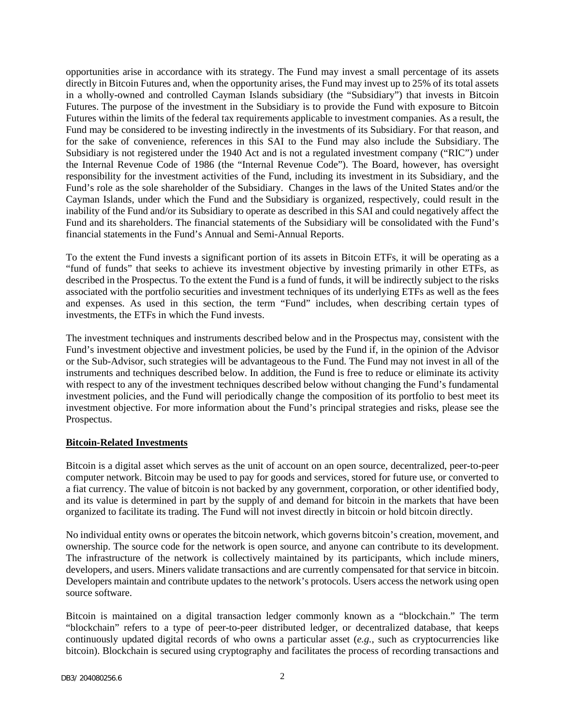opportunities arise in accordance with its strategy. The Fund may invest a small percentage of its assets directly in Bitcoin Futures and, when the opportunity arises, the Fund may invest up to 25% of its total assets in a wholly-owned and controlled Cayman Islands subsidiary (the "Subsidiary") that invests in Bitcoin Futures. The purpose of the investment in the Subsidiary is to provide the Fund with exposure to Bitcoin Futures within the limits of the federal tax requirements applicable to investment companies. As a result, the Fund may be considered to be investing indirectly in the investments of its Subsidiary. For that reason, and for the sake of convenience, references in this SAI to the Fund may also include the Subsidiary. The Subsidiary is not registered under the 1940 Act and is not a regulated investment company ("RIC") under the Internal Revenue Code of 1986 (the "Internal Revenue Code"). The Board, however, has oversight responsibility for the investment activities of the Fund, including its investment in its Subsidiary, and the Fund's role as the sole shareholder of the Subsidiary. Changes in the laws of the United States and/or the Cayman Islands, under which the Fund and the Subsidiary is organized, respectively, could result in the inability of the Fund and/or its Subsidiary to operate as described in this SAI and could negatively affect the Fund and its shareholders. The financial statements of the Subsidiary will be consolidated with the Fund's financial statements in the Fund's Annual and Semi-Annual Reports.

To the extent the Fund invests a significant portion of its assets in Bitcoin ETFs, it will be operating as a "fund of funds" that seeks to achieve its investment objective by investing primarily in other ETFs, as described in the Prospectus. To the extent the Fund is a fund of funds, it will be indirectly subject to the risks associated with the portfolio securities and investment techniques of its underlying ETFs as well as the fees and expenses. As used in this section, the term "Fund" includes, when describing certain types of investments, the ETFs in which the Fund invests.

The investment techniques and instruments described below and in the Prospectus may, consistent with the Fund's investment objective and investment policies, be used by the Fund if, in the opinion of the Advisor or the Sub-Advisor, such strategies will be advantageous to the Fund. The Fund may not invest in all of the instruments and techniques described below. In addition, the Fund is free to reduce or eliminate its activity with respect to any of the investment techniques described below without changing the Fund's fundamental investment policies, and the Fund will periodically change the composition of its portfolio to best meet its investment objective. For more information about the Fund's principal strategies and risks, please see the Prospectus.

## **Bitcoin-Related Investments**

Bitcoin is a digital asset which serves as the unit of account on an open source, decentralized, peer-to-peer computer network. Bitcoin may be used to pay for goods and services, stored for future use, or converted to a fiat currency. The value of bitcoin is not backed by any government, corporation, or other identified body, and its value is determined in part by the supply of and demand for bitcoin in the markets that have been organized to facilitate its trading. The Fund will not invest directly in bitcoin or hold bitcoin directly.

No individual entity owns or operates the bitcoin network, which governs bitcoin's creation, movement, and ownership. The source code for the network is open source, and anyone can contribute to its development. The infrastructure of the network is collectively maintained by its participants, which include miners, developers, and users. Miners validate transactions and are currently compensated for that service in bitcoin. Developers maintain and contribute updates to the network's protocols. Users access the network using open source software.

Bitcoin is maintained on a digital transaction ledger commonly known as a "blockchain." The term "blockchain" refers to a type of peer-to-peer distributed ledger, or decentralized database, that keeps continuously updated digital records of who owns a particular asset (*e.g.*, such as cryptocurrencies like bitcoin). Blockchain is secured using cryptography and facilitates the process of recording transactions and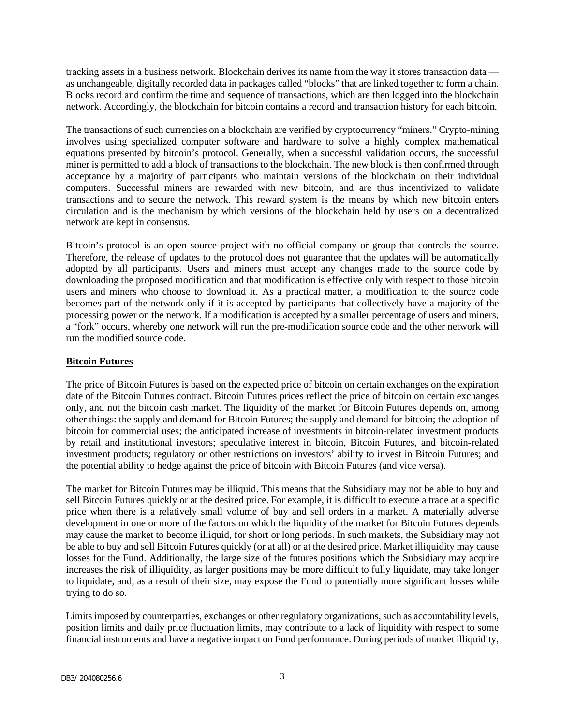tracking assets in a business network. Blockchain derives its name from the way it stores transaction data as unchangeable, digitally recorded data in packages called "blocks" that are linked together to form a chain. Blocks record and confirm the time and sequence of transactions, which are then logged into the blockchain network. Accordingly, the blockchain for bitcoin contains a record and transaction history for each bitcoin.

The transactions of such currencies on a blockchain are verified by cryptocurrency "miners." Crypto-mining involves using specialized computer software and hardware to solve a highly complex mathematical equations presented by bitcoin's protocol. Generally, when a successful validation occurs, the successful miner is permitted to add a block of transactions to the blockchain. The new block is then confirmed through acceptance by a majority of participants who maintain versions of the blockchain on their individual computers. Successful miners are rewarded with new bitcoin, and are thus incentivized to validate transactions and to secure the network. This reward system is the means by which new bitcoin enters circulation and is the mechanism by which versions of the blockchain held by users on a decentralized network are kept in consensus.

Bitcoin's protocol is an open source project with no official company or group that controls the source. Therefore, the release of updates to the protocol does not guarantee that the updates will be automatically adopted by all participants. Users and miners must accept any changes made to the source code by downloading the proposed modification and that modification is effective only with respect to those bitcoin users and miners who choose to download it. As a practical matter, a modification to the source code becomes part of the network only if it is accepted by participants that collectively have a majority of the processing power on the network. If a modification is accepted by a smaller percentage of users and miners, a "fork" occurs, whereby one network will run the pre-modification source code and the other network will run the modified source code.

#### **Bitcoin Futures**

The price of Bitcoin Futures is based on the expected price of bitcoin on certain exchanges on the expiration date of the Bitcoin Futures contract. Bitcoin Futures prices reflect the price of bitcoin on certain exchanges only, and not the bitcoin cash market. The liquidity of the market for Bitcoin Futures depends on, among other things: the supply and demand for Bitcoin Futures; the supply and demand for bitcoin; the adoption of bitcoin for commercial uses; the anticipated increase of investments in bitcoin-related investment products by retail and institutional investors; speculative interest in bitcoin, Bitcoin Futures, and bitcoin-related investment products; regulatory or other restrictions on investors' ability to invest in Bitcoin Futures; and the potential ability to hedge against the price of bitcoin with Bitcoin Futures (and vice versa).

The market for Bitcoin Futures may be illiquid. This means that the Subsidiary may not be able to buy and sell Bitcoin Futures quickly or at the desired price. For example, it is difficult to execute a trade at a specific price when there is a relatively small volume of buy and sell orders in a market. A materially adverse development in one or more of the factors on which the liquidity of the market for Bitcoin Futures depends may cause the market to become illiquid, for short or long periods. In such markets, the Subsidiary may not be able to buy and sell Bitcoin Futures quickly (or at all) or at the desired price. Market illiquidity may cause losses for the Fund. Additionally, the large size of the futures positions which the Subsidiary may acquire increases the risk of illiquidity, as larger positions may be more difficult to fully liquidate, may take longer to liquidate, and, as a result of their size, may expose the Fund to potentially more significant losses while trying to do so.

Limits imposed by counterparties, exchanges or other regulatory organizations, such as accountability levels, position limits and daily price fluctuation limits, may contribute to a lack of liquidity with respect to some financial instruments and have a negative impact on Fund performance. During periods of market illiquidity,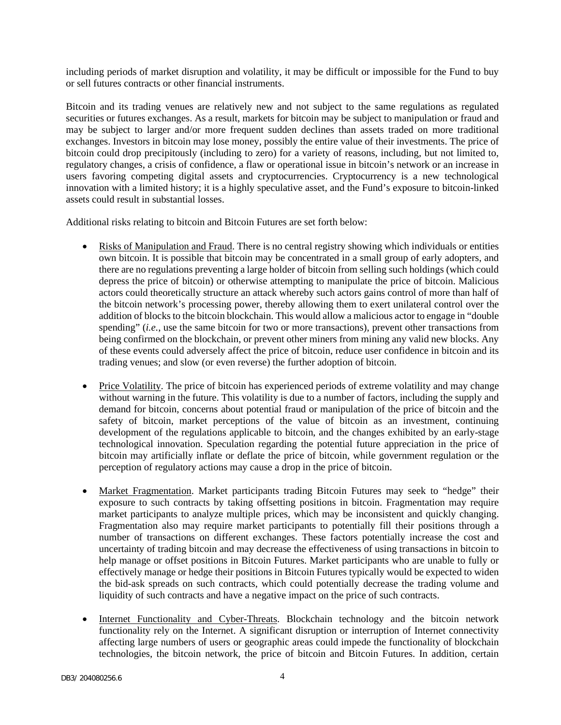including periods of market disruption and volatility, it may be difficult or impossible for the Fund to buy or sell futures contracts or other financial instruments.

Bitcoin and its trading venues are relatively new and not subject to the same regulations as regulated securities or futures exchanges. As a result, markets for bitcoin may be subject to manipulation or fraud and may be subject to larger and/or more frequent sudden declines than assets traded on more traditional exchanges. Investors in bitcoin may lose money, possibly the entire value of their investments. The price of bitcoin could drop precipitously (including to zero) for a variety of reasons, including, but not limited to, regulatory changes, a crisis of confidence, a flaw or operational issue in bitcoin's network or an increase in users favoring competing digital assets and cryptocurrencies. Cryptocurrency is a new technological innovation with a limited history; it is a highly speculative asset, and the Fund's exposure to bitcoin-linked assets could result in substantial losses.

Additional risks relating to bitcoin and Bitcoin Futures are set forth below:

- Risks of Manipulation and Fraud. There is no central registry showing which individuals or entities own bitcoin. It is possible that bitcoin may be concentrated in a small group of early adopters, and there are no regulations preventing a large holder of bitcoin from selling such holdings (which could depress the price of bitcoin) or otherwise attempting to manipulate the price of bitcoin. Malicious actors could theoretically structure an attack whereby such actors gains control of more than half of the bitcoin network's processing power, thereby allowing them to exert unilateral control over the addition of blocks to the bitcoin blockchain. This would allow a malicious actor to engage in "double spending" (*i.e.*, use the same bitcoin for two or more transactions), prevent other transactions from being confirmed on the blockchain, or prevent other miners from mining any valid new blocks. Any of these events could adversely affect the price of bitcoin, reduce user confidence in bitcoin and its trading venues; and slow (or even reverse) the further adoption of bitcoin.
- Price Volatility. The price of bitcoin has experienced periods of extreme volatility and may change without warning in the future. This volatility is due to a number of factors, including the supply and demand for bitcoin, concerns about potential fraud or manipulation of the price of bitcoin and the safety of bitcoin, market perceptions of the value of bitcoin as an investment, continuing development of the regulations applicable to bitcoin, and the changes exhibited by an early-stage technological innovation. Speculation regarding the potential future appreciation in the price of bitcoin may artificially inflate or deflate the price of bitcoin, while government regulation or the perception of regulatory actions may cause a drop in the price of bitcoin.
- Market Fragmentation. Market participants trading Bitcoin Futures may seek to "hedge" their exposure to such contracts by taking offsetting positions in bitcoin. Fragmentation may require market participants to analyze multiple prices, which may be inconsistent and quickly changing. Fragmentation also may require market participants to potentially fill their positions through a number of transactions on different exchanges. These factors potentially increase the cost and uncertainty of trading bitcoin and may decrease the effectiveness of using transactions in bitcoin to help manage or offset positions in Bitcoin Futures. Market participants who are unable to fully or effectively manage or hedge their positions in Bitcoin Futures typically would be expected to widen the bid-ask spreads on such contracts, which could potentially decrease the trading volume and liquidity of such contracts and have a negative impact on the price of such contracts.
- Internet Functionality and Cyber-Threats. Blockchain technology and the bitcoin network functionality rely on the Internet. A significant disruption or interruption of Internet connectivity affecting large numbers of users or geographic areas could impede the functionality of blockchain technologies, the bitcoin network, the price of bitcoin and Bitcoin Futures. In addition, certain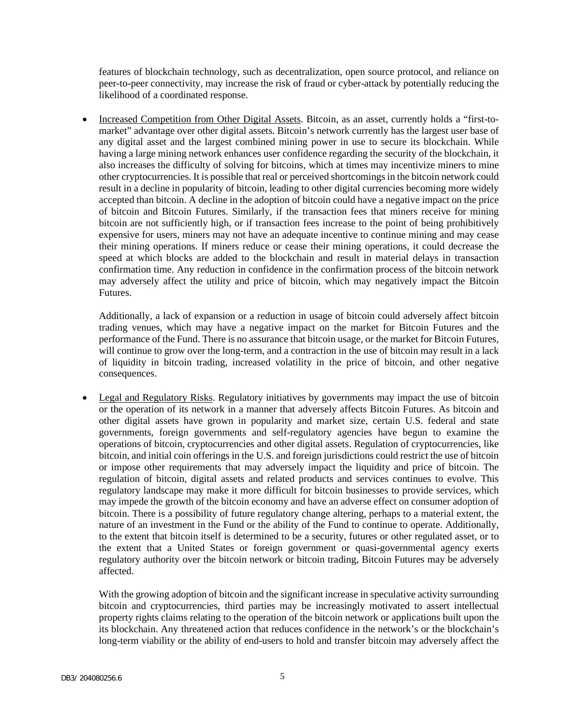features of blockchain technology, such as decentralization, open source protocol, and reliance on peer-to-peer connectivity, may increase the risk of fraud or cyber-attack by potentially reducing the likelihood of a coordinated response.

• Increased Competition from Other Digital Assets. Bitcoin, as an asset, currently holds a "first-tomarket" advantage over other digital assets. Bitcoin's network currently has the largest user base of any digital asset and the largest combined mining power in use to secure its blockchain. While having a large mining network enhances user confidence regarding the security of the blockchain, it also increases the difficulty of solving for bitcoins, which at times may incentivize miners to mine other cryptocurrencies. It is possible that real or perceived shortcomings in the bitcoin network could result in a decline in popularity of bitcoin, leading to other digital currencies becoming more widely accepted than bitcoin. A decline in the adoption of bitcoin could have a negative impact on the price of bitcoin and Bitcoin Futures. Similarly, if the transaction fees that miners receive for mining bitcoin are not sufficiently high, or if transaction fees increase to the point of being prohibitively expensive for users, miners may not have an adequate incentive to continue mining and may cease their mining operations. If miners reduce or cease their mining operations, it could decrease the speed at which blocks are added to the blockchain and result in material delays in transaction confirmation time. Any reduction in confidence in the confirmation process of the bitcoin network may adversely affect the utility and price of bitcoin, which may negatively impact the Bitcoin Futures.

Additionally, a lack of expansion or a reduction in usage of bitcoin could adversely affect bitcoin trading venues, which may have a negative impact on the market for Bitcoin Futures and the performance of the Fund. There is no assurance that bitcoin usage, or the market for Bitcoin Futures, will continue to grow over the long-term, and a contraction in the use of bitcoin may result in a lack of liquidity in bitcoin trading, increased volatility in the price of bitcoin, and other negative consequences.

• Legal and Regulatory Risks. Regulatory initiatives by governments may impact the use of bitcoin or the operation of its network in a manner that adversely affects Bitcoin Futures. As bitcoin and other digital assets have grown in popularity and market size, certain U.S. federal and state governments, foreign governments and self-regulatory agencies have begun to examine the operations of bitcoin, cryptocurrencies and other digital assets. Regulation of cryptocurrencies, like bitcoin, and initial coin offerings in the U.S. and foreign jurisdictions could restrict the use of bitcoin or impose other requirements that may adversely impact the liquidity and price of bitcoin. The regulation of bitcoin, digital assets and related products and services continues to evolve. This regulatory landscape may make it more difficult for bitcoin businesses to provide services, which may impede the growth of the bitcoin economy and have an adverse effect on consumer adoption of bitcoin. There is a possibility of future regulatory change altering, perhaps to a material extent, the nature of an investment in the Fund or the ability of the Fund to continue to operate. Additionally, to the extent that bitcoin itself is determined to be a security, futures or other regulated asset, or to the extent that a United States or foreign government or quasi-governmental agency exerts regulatory authority over the bitcoin network or bitcoin trading, Bitcoin Futures may be adversely affected.

With the growing adoption of bitcoin and the significant increase in speculative activity surrounding bitcoin and cryptocurrencies, third parties may be increasingly motivated to assert intellectual property rights claims relating to the operation of the bitcoin network or applications built upon the its blockchain. Any threatened action that reduces confidence in the network's or the blockchain's long-term viability or the ability of end-users to hold and transfer bitcoin may adversely affect the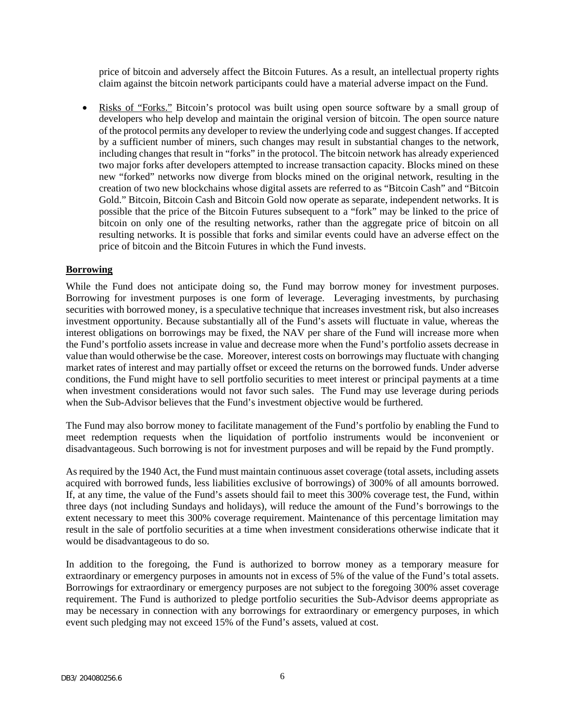price of bitcoin and adversely affect the Bitcoin Futures. As a result, an intellectual property rights claim against the bitcoin network participants could have a material adverse impact on the Fund.

• Risks of "Forks." Bitcoin's protocol was built using open source software by a small group of developers who help develop and maintain the original version of bitcoin. The open source nature of the protocol permits any developer to review the underlying code and suggest changes. If accepted by a sufficient number of miners, such changes may result in substantial changes to the network, including changes that result in "forks" in the protocol. The bitcoin network has already experienced two major forks after developers attempted to increase transaction capacity. Blocks mined on these new "forked" networks now diverge from blocks mined on the original network, resulting in the creation of two new blockchains whose digital assets are referred to as "Bitcoin Cash" and "Bitcoin Gold." Bitcoin, Bitcoin Cash and Bitcoin Gold now operate as separate, independent networks. It is possible that the price of the Bitcoin Futures subsequent to a "fork" may be linked to the price of bitcoin on only one of the resulting networks, rather than the aggregate price of bitcoin on all resulting networks. It is possible that forks and similar events could have an adverse effect on the price of bitcoin and the Bitcoin Futures in which the Fund invests.

## **Borrowing**

While the Fund does not anticipate doing so, the Fund may borrow money for investment purposes. Borrowing for investment purposes is one form of leverage. Leveraging investments, by purchasing securities with borrowed money, is a speculative technique that increases investment risk, but also increases investment opportunity. Because substantially all of the Fund's assets will fluctuate in value, whereas the interest obligations on borrowings may be fixed, the NAV per share of the Fund will increase more when the Fund's portfolio assets increase in value and decrease more when the Fund's portfolio assets decrease in value than would otherwise be the case. Moreover, interest costs on borrowings may fluctuate with changing market rates of interest and may partially offset or exceed the returns on the borrowed funds. Under adverse conditions, the Fund might have to sell portfolio securities to meet interest or principal payments at a time when investment considerations would not favor such sales. The Fund may use leverage during periods when the Sub-Advisor believes that the Fund's investment objective would be furthered.

The Fund may also borrow money to facilitate management of the Fund's portfolio by enabling the Fund to meet redemption requests when the liquidation of portfolio instruments would be inconvenient or disadvantageous. Such borrowing is not for investment purposes and will be repaid by the Fund promptly.

As required by the 1940 Act, the Fund must maintain continuous asset coverage (total assets, including assets acquired with borrowed funds, less liabilities exclusive of borrowings) of 300% of all amounts borrowed. If, at any time, the value of the Fund's assets should fail to meet this 300% coverage test, the Fund, within three days (not including Sundays and holidays), will reduce the amount of the Fund's borrowings to the extent necessary to meet this 300% coverage requirement. Maintenance of this percentage limitation may result in the sale of portfolio securities at a time when investment considerations otherwise indicate that it would be disadvantageous to do so.

In addition to the foregoing, the Fund is authorized to borrow money as a temporary measure for extraordinary or emergency purposes in amounts not in excess of 5% of the value of the Fund's total assets. Borrowings for extraordinary or emergency purposes are not subject to the foregoing 300% asset coverage requirement. The Fund is authorized to pledge portfolio securities the Sub-Advisor deems appropriate as may be necessary in connection with any borrowings for extraordinary or emergency purposes, in which event such pledging may not exceed 15% of the Fund's assets, valued at cost.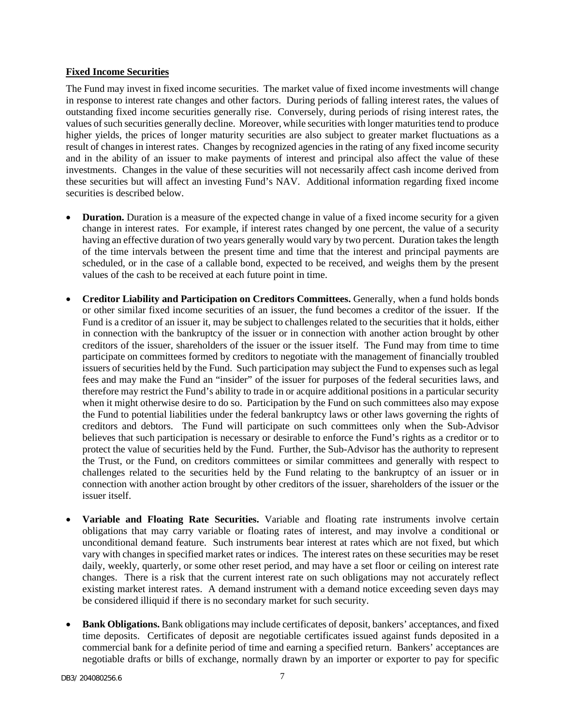### **Fixed Income Securities**

The Fund may invest in fixed income securities. The market value of fixed income investments will change in response to interest rate changes and other factors. During periods of falling interest rates, the values of outstanding fixed income securities generally rise. Conversely, during periods of rising interest rates, the values of such securities generally decline. Moreover, while securities with longer maturities tend to produce higher yields, the prices of longer maturity securities are also subject to greater market fluctuations as a result of changes in interest rates. Changes by recognized agencies in the rating of any fixed income security and in the ability of an issuer to make payments of interest and principal also affect the value of these investments. Changes in the value of these securities will not necessarily affect cash income derived from these securities but will affect an investing Fund's NAV. Additional information regarding fixed income securities is described below.

- **Duration.** Duration is a measure of the expected change in value of a fixed income security for a given change in interest rates. For example, if interest rates changed by one percent, the value of a security having an effective duration of two years generally would vary by two percent. Duration takes the length of the time intervals between the present time and time that the interest and principal payments are scheduled, or in the case of a callable bond, expected to be received, and weighs them by the present values of the cash to be received at each future point in time.
- **Creditor Liability and Participation on Creditors Committees.** Generally, when a fund holds bonds or other similar fixed income securities of an issuer, the fund becomes a creditor of the issuer. If the Fund is a creditor of an issuer it, may be subject to challenges related to the securities that it holds, either in connection with the bankruptcy of the issuer or in connection with another action brought by other creditors of the issuer, shareholders of the issuer or the issuer itself. The Fund may from time to time participate on committees formed by creditors to negotiate with the management of financially troubled issuers of securities held by the Fund. Such participation may subject the Fund to expenses such as legal fees and may make the Fund an "insider" of the issuer for purposes of the federal securities laws, and therefore may restrict the Fund's ability to trade in or acquire additional positions in a particular security when it might otherwise desire to do so. Participation by the Fund on such committees also may expose the Fund to potential liabilities under the federal bankruptcy laws or other laws governing the rights of creditors and debtors. The Fund will participate on such committees only when the Sub-Advisor believes that such participation is necessary or desirable to enforce the Fund's rights as a creditor or to protect the value of securities held by the Fund. Further, the Sub-Advisor has the authority to represent the Trust, or the Fund, on creditors committees or similar committees and generally with respect to challenges related to the securities held by the Fund relating to the bankruptcy of an issuer or in connection with another action brought by other creditors of the issuer, shareholders of the issuer or the issuer itself.
- **Variable and Floating Rate Securities.** Variable and floating rate instruments involve certain obligations that may carry variable or floating rates of interest, and may involve a conditional or unconditional demand feature. Such instruments bear interest at rates which are not fixed, but which vary with changes in specified market rates or indices. The interest rates on these securities may be reset daily, weekly, quarterly, or some other reset period, and may have a set floor or ceiling on interest rate changes. There is a risk that the current interest rate on such obligations may not accurately reflect existing market interest rates. A demand instrument with a demand notice exceeding seven days may be considered illiquid if there is no secondary market for such security.
- **Bank Obligations.** Bank obligations may include certificates of deposit, bankers' acceptances, and fixed time deposits. Certificates of deposit are negotiable certificates issued against funds deposited in a commercial bank for a definite period of time and earning a specified return. Bankers' acceptances are negotiable drafts or bills of exchange, normally drawn by an importer or exporter to pay for specific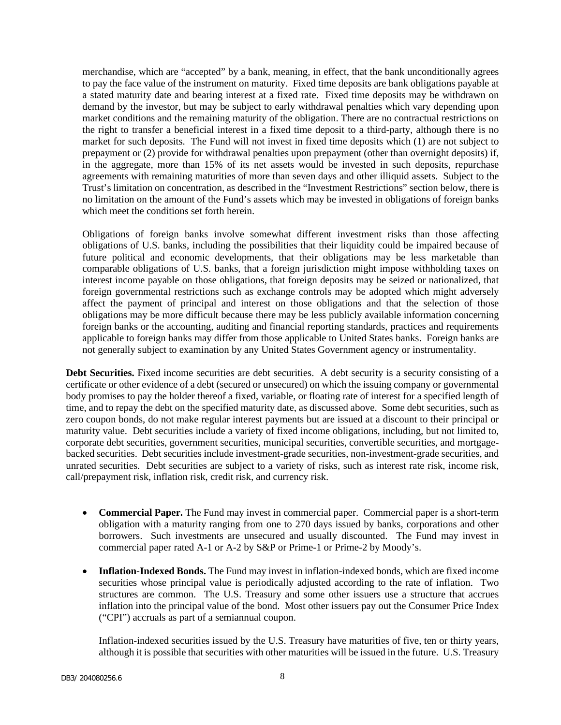merchandise, which are "accepted" by a bank, meaning, in effect, that the bank unconditionally agrees to pay the face value of the instrument on maturity. Fixed time deposits are bank obligations payable at a stated maturity date and bearing interest at a fixed rate. Fixed time deposits may be withdrawn on demand by the investor, but may be subject to early withdrawal penalties which vary depending upon market conditions and the remaining maturity of the obligation. There are no contractual restrictions on the right to transfer a beneficial interest in a fixed time deposit to a third-party, although there is no market for such deposits. The Fund will not invest in fixed time deposits which (1) are not subject to prepayment or (2) provide for withdrawal penalties upon prepayment (other than overnight deposits) if, in the aggregate, more than 15% of its net assets would be invested in such deposits, repurchase agreements with remaining maturities of more than seven days and other illiquid assets. Subject to the Trust's limitation on concentration, as described in the "Investment Restrictions" section below, there is no limitation on the amount of the Fund's assets which may be invested in obligations of foreign banks which meet the conditions set forth herein.

Obligations of foreign banks involve somewhat different investment risks than those affecting obligations of U.S. banks, including the possibilities that their liquidity could be impaired because of future political and economic developments, that their obligations may be less marketable than comparable obligations of U.S. banks, that a foreign jurisdiction might impose withholding taxes on interest income payable on those obligations, that foreign deposits may be seized or nationalized, that foreign governmental restrictions such as exchange controls may be adopted which might adversely affect the payment of principal and interest on those obligations and that the selection of those obligations may be more difficult because there may be less publicly available information concerning foreign banks or the accounting, auditing and financial reporting standards, practices and requirements applicable to foreign banks may differ from those applicable to United States banks. Foreign banks are not generally subject to examination by any United States Government agency or instrumentality.

Debt Securities. Fixed income securities are debt securities. A debt security is a security consisting of a certificate or other evidence of a debt (secured or unsecured) on which the issuing company or governmental body promises to pay the holder thereof a fixed, variable, or floating rate of interest for a specified length of time, and to repay the debt on the specified maturity date, as discussed above. Some debt securities, such as zero coupon bonds, do not make regular interest payments but are issued at a discount to their principal or maturity value. Debt securities include a variety of fixed income obligations, including, but not limited to, corporate debt securities, government securities, municipal securities, convertible securities, and mortgagebacked securities. Debt securities include investment-grade securities, non-investment-grade securities, and unrated securities. Debt securities are subject to a variety of risks, such as interest rate risk, income risk, call/prepayment risk, inflation risk, credit risk, and currency risk.

- **Commercial Paper.** The Fund may invest in commercial paper. Commercial paper is a short-term obligation with a maturity ranging from one to 270 days issued by banks, corporations and other borrowers. Such investments are unsecured and usually discounted. The Fund may invest in commercial paper rated A-1 or A-2 by S&P or Prime-1 or Prime-2 by Moody's.
- **Inflation-Indexed Bonds.** The Fund may invest in inflation-indexed bonds, which are fixed income securities whose principal value is periodically adjusted according to the rate of inflation. Two structures are common. The U.S. Treasury and some other issuers use a structure that accrues inflation into the principal value of the bond. Most other issuers pay out the Consumer Price Index ("CPI") accruals as part of a semiannual coupon.

Inflation-indexed securities issued by the U.S. Treasury have maturities of five, ten or thirty years, although it is possible that securities with other maturities will be issued in the future. U.S. Treasury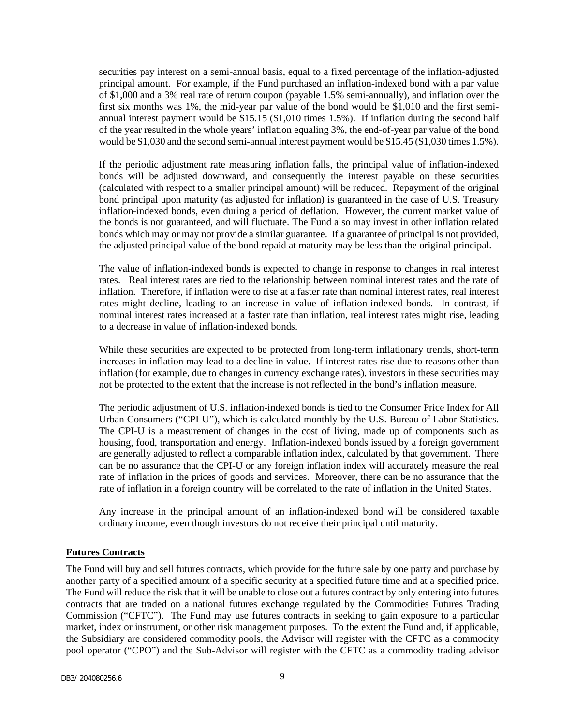securities pay interest on a semi-annual basis, equal to a fixed percentage of the inflation-adjusted principal amount. For example, if the Fund purchased an inflation-indexed bond with a par value of \$1,000 and a 3% real rate of return coupon (payable 1.5% semi-annually), and inflation over the first six months was 1%, the mid-year par value of the bond would be \$1,010 and the first semiannual interest payment would be \$15.15 (\$1,010 times 1.5%). If inflation during the second half of the year resulted in the whole years' inflation equaling 3%, the end-of-year par value of the bond would be \$1,030 and the second semi-annual interest payment would be \$15.45 (\$1,030 times 1.5%).

If the periodic adjustment rate measuring inflation falls, the principal value of inflation-indexed bonds will be adjusted downward, and consequently the interest payable on these securities (calculated with respect to a smaller principal amount) will be reduced. Repayment of the original bond principal upon maturity (as adjusted for inflation) is guaranteed in the case of U.S. Treasury inflation-indexed bonds, even during a period of deflation. However, the current market value of the bonds is not guaranteed, and will fluctuate. The Fund also may invest in other inflation related bonds which may or may not provide a similar guarantee. If a guarantee of principal is not provided, the adjusted principal value of the bond repaid at maturity may be less than the original principal.

The value of inflation-indexed bonds is expected to change in response to changes in real interest rates. Real interest rates are tied to the relationship between nominal interest rates and the rate of inflation. Therefore, if inflation were to rise at a faster rate than nominal interest rates, real interest rates might decline, leading to an increase in value of inflation-indexed bonds. In contrast, if nominal interest rates increased at a faster rate than inflation, real interest rates might rise, leading to a decrease in value of inflation-indexed bonds.

While these securities are expected to be protected from long-term inflationary trends, short-term increases in inflation may lead to a decline in value. If interest rates rise due to reasons other than inflation (for example, due to changes in currency exchange rates), investors in these securities may not be protected to the extent that the increase is not reflected in the bond's inflation measure.

The periodic adjustment of U.S. inflation-indexed bonds is tied to the Consumer Price Index for All Urban Consumers ("CPI-U"), which is calculated monthly by the U.S. Bureau of Labor Statistics. The CPI-U is a measurement of changes in the cost of living, made up of components such as housing, food, transportation and energy. Inflation-indexed bonds issued by a foreign government are generally adjusted to reflect a comparable inflation index, calculated by that government. There can be no assurance that the CPI-U or any foreign inflation index will accurately measure the real rate of inflation in the prices of goods and services. Moreover, there can be no assurance that the rate of inflation in a foreign country will be correlated to the rate of inflation in the United States.

Any increase in the principal amount of an inflation-indexed bond will be considered taxable ordinary income, even though investors do not receive their principal until maturity.

## **Futures Contracts**

The Fund will buy and sell futures contracts, which provide for the future sale by one party and purchase by another party of a specified amount of a specific security at a specified future time and at a specified price. The Fund will reduce the risk that it will be unable to close out a futures contract by only entering into futures contracts that are traded on a national futures exchange regulated by the Commodities Futures Trading Commission ("CFTC"). The Fund may use futures contracts in seeking to gain exposure to a particular market, index or instrument, or other risk management purposes. To the extent the Fund and, if applicable, the Subsidiary are considered commodity pools, the Advisor will register with the CFTC as a commodity pool operator ("CPO") and the Sub-Advisor will register with the CFTC as a commodity trading advisor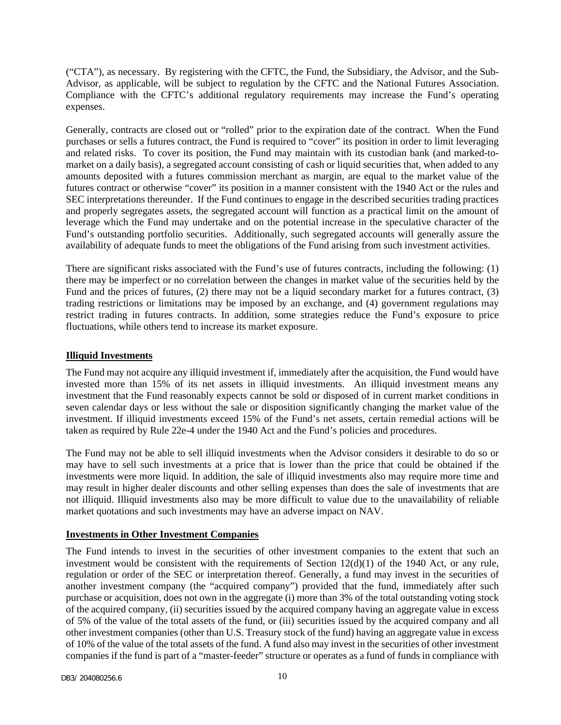("CTA"), as necessary. By registering with the CFTC, the Fund, the Subsidiary, the Advisor, and the Sub-Advisor, as applicable, will be subject to regulation by the CFTC and the National Futures Association. Compliance with the CFTC's additional regulatory requirements may increase the Fund's operating expenses.

Generally, contracts are closed out or "rolled" prior to the expiration date of the contract. When the Fund purchases or sells a futures contract, the Fund is required to "cover" its position in order to limit leveraging and related risks. To cover its position, the Fund may maintain with its custodian bank (and marked-tomarket on a daily basis), a segregated account consisting of cash or liquid securities that, when added to any amounts deposited with a futures commission merchant as margin, are equal to the market value of the futures contract or otherwise "cover" its position in a manner consistent with the 1940 Act or the rules and SEC interpretations thereunder. If the Fund continues to engage in the described securities trading practices and properly segregates assets, the segregated account will function as a practical limit on the amount of leverage which the Fund may undertake and on the potential increase in the speculative character of the Fund's outstanding portfolio securities. Additionally, such segregated accounts will generally assure the availability of adequate funds to meet the obligations of the Fund arising from such investment activities.

There are significant risks associated with the Fund's use of futures contracts, including the following: (1) there may be imperfect or no correlation between the changes in market value of the securities held by the Fund and the prices of futures, (2) there may not be a liquid secondary market for a futures contract, (3) trading restrictions or limitations may be imposed by an exchange, and (4) government regulations may restrict trading in futures contracts. In addition, some strategies reduce the Fund's exposure to price fluctuations, while others tend to increase its market exposure.

## **Illiquid Investments**

The Fund may not acquire any illiquid investment if, immediately after the acquisition, the Fund would have invested more than 15% of its net assets in illiquid investments. An illiquid investment means any investment that the Fund reasonably expects cannot be sold or disposed of in current market conditions in seven calendar days or less without the sale or disposition significantly changing the market value of the investment. If illiquid investments exceed 15% of the Fund's net assets, certain remedial actions will be taken as required by Rule 22e-4 under the 1940 Act and the Fund's policies and procedures.

The Fund may not be able to sell illiquid investments when the Advisor considers it desirable to do so or may have to sell such investments at a price that is lower than the price that could be obtained if the investments were more liquid. In addition, the sale of illiquid investments also may require more time and may result in higher dealer discounts and other selling expenses than does the sale of investments that are not illiquid. Illiquid investments also may be more difficult to value due to the unavailability of reliable market quotations and such investments may have an adverse impact on NAV.

## **Investments in Other Investment Companies**

The Fund intends to invest in the securities of other investment companies to the extent that such an investment would be consistent with the requirements of Section  $12(d)(1)$  of the 1940 Act, or any rule, regulation or order of the SEC or interpretation thereof. Generally, a fund may invest in the securities of another investment company (the "acquired company") provided that the fund, immediately after such purchase or acquisition, does not own in the aggregate (i) more than 3% of the total outstanding voting stock of the acquired company, (ii) securities issued by the acquired company having an aggregate value in excess of 5% of the value of the total assets of the fund, or (iii) securities issued by the acquired company and all other investment companies (other than U.S. Treasury stock of the fund) having an aggregate value in excess of 10% of the value of the total assets of the fund. A fund also may invest in the securities of other investment companies if the fund is part of a "master-feeder" structure or operates as a fund of funds in compliance with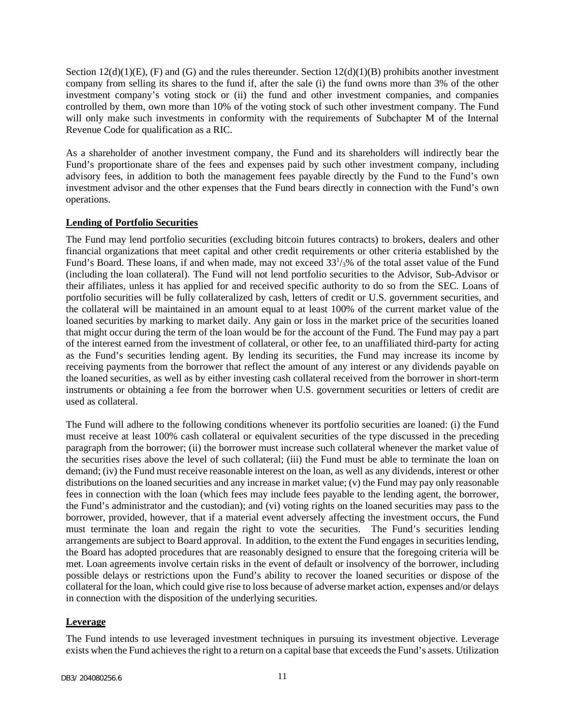Section  $12(d)(1)(E)$ , (F) and (G) and the rules thereunder. Section  $12(d)(1)(B)$  prohibits another investment company from selling its shares to the fund if, after the sale (i) the fund owns more than 3% of the other investment company's voting stock or (ii) the fund and other investment companies, and companies controlled by them, own more than 10% of the voting stock of such other investment company. The Fund will only make such investments in conformity with the requirements of Subchapter M of the Internal Revenue Code for qualification as a RIC.

As a shareholder of another investment company, the Fund and its shareholders will indirectly bear the Fund's proportionate share of the fees and expenses paid by such other investment company, including advisory fees, in addition to both the management fees payable directly by the Fund to the Fund's own investment advisor and the other expenses that the Fund bears directly in connection with the Fund's own operations.

## **Lending of Portfolio Securities**

The Fund may lend portfolio securities (excluding bitcoin futures contracts) to brokers, dealers and other financial organizations that meet capital and other credit requirements or other criteria established by the Fund's Board. These loans, if and when made, may not exceed  $33<sup>1</sup>/3\%$  of the total asset value of the Fund (including the loan collateral). The Fund will not lend portfolio securities to the Advisor, Sub-Advisor or their affiliates, unless it has applied for and received specific authority to do so from the SEC. Loans of portfolio securities will be fully collateralized by cash, letters of credit or U.S. government securities, and the collateral will be maintained in an amount equal to at least 100% of the current market value of the loaned securities by marking to market daily. Any gain or loss in the market price of the securities loaned that might occur during the term of the loan would be for the account of the Fund. The Fund may pay a part of the interest earned from the investment of collateral, or other fee, to an unaffiliated third-party for acting as the Fund's securities lending agent. By lending its securities, the Fund may increase its income by receiving payments from the borrower that reflect the amount of any interest or any dividends payable on the loaned securities, as well as by either investing cash collateral received from the borrower in short-term instruments or obtaining a fee from the borrower when U.S. government securities or letters of credit are used as collateral.

The Fund will adhere to the following conditions whenever its portfolio securities are loaned: (i) the Fund must receive at least 100% cash collateral or equivalent securities of the type discussed in the preceding paragraph from the borrower; (ii) the borrower must increase such collateral whenever the market value of the securities rises above the level of such collateral; (iii) the Fund must be able to terminate the loan on demand; (iv) the Fund must receive reasonable interest on the loan, as well as any dividends, interest or other distributions on the loaned securities and any increase in market value; (v) the Fund may pay only reasonable fees in connection with the loan (which fees may include fees payable to the lending agent, the borrower, the Fund's administrator and the custodian); and (vi) voting rights on the loaned securities may pass to the borrower, provided, however, that if a material event adversely affecting the investment occurs, the Fund must terminate the loan and regain the right to vote the securities. The Fund's securities lending arrangements are subject to Board approval. In addition, to the extent the Fund engages in securities lending, the Board has adopted procedures that are reasonably designed to ensure that the foregoing criteria will be met. Loan agreements involve certain risks in the event of default or insolvency of the borrower, including possible delays or restrictions upon the Fund's ability to recover the loaned securities or dispose of the collateral for the loan, which could give rise to loss because of adverse market action, expenses and/or delays in connection with the disposition of the underlying securities.

## **Leverage**

The Fund intends to use leveraged investment techniques in pursuing its investment objective. Leverage exists when the Fund achieves the right to a return on a capital base that exceeds the Fund's assets. Utilization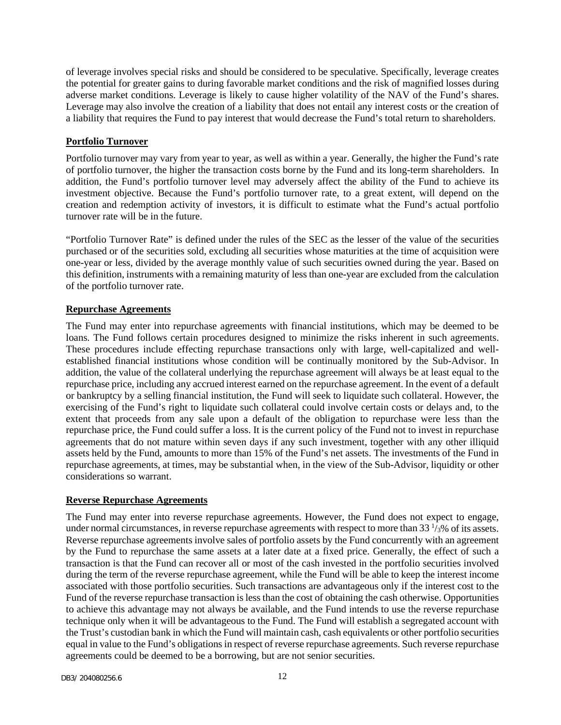of leverage involves special risks and should be considered to be speculative. Specifically, leverage creates the potential for greater gains to during favorable market conditions and the risk of magnified losses during adverse market conditions. Leverage is likely to cause higher volatility of the NAV of the Fund's shares. Leverage may also involve the creation of a liability that does not entail any interest costs or the creation of a liability that requires the Fund to pay interest that would decrease the Fund's total return to shareholders.

## **Portfolio Turnover**

Portfolio turnover may vary from year to year, as well as within a year. Generally, the higher the Fund's rate of portfolio turnover, the higher the transaction costs borne by the Fund and its long-term shareholders. In addition, the Fund's portfolio turnover level may adversely affect the ability of the Fund to achieve its investment objective. Because the Fund's portfolio turnover rate, to a great extent, will depend on the creation and redemption activity of investors, it is difficult to estimate what the Fund's actual portfolio turnover rate will be in the future.

"Portfolio Turnover Rate" is defined under the rules of the SEC as the lesser of the value of the securities purchased or of the securities sold, excluding all securities whose maturities at the time of acquisition were one-year or less, divided by the average monthly value of such securities owned during the year. Based on this definition, instruments with a remaining maturity of less than one-year are excluded from the calculation of the portfolio turnover rate.

## **Repurchase Agreements**

The Fund may enter into repurchase agreements with financial institutions, which may be deemed to be loans. The Fund follows certain procedures designed to minimize the risks inherent in such agreements. These procedures include effecting repurchase transactions only with large, well-capitalized and wellestablished financial institutions whose condition will be continually monitored by the Sub-Advisor. In addition, the value of the collateral underlying the repurchase agreement will always be at least equal to the repurchase price, including any accrued interest earned on the repurchase agreement. In the event of a default or bankruptcy by a selling financial institution, the Fund will seek to liquidate such collateral. However, the exercising of the Fund's right to liquidate such collateral could involve certain costs or delays and, to the extent that proceeds from any sale upon a default of the obligation to repurchase were less than the repurchase price, the Fund could suffer a loss. It is the current policy of the Fund not to invest in repurchase agreements that do not mature within seven days if any such investment, together with any other illiquid assets held by the Fund, amounts to more than 15% of the Fund's net assets. The investments of the Fund in repurchase agreements, at times, may be substantial when, in the view of the Sub-Advisor, liquidity or other considerations so warrant.

## **Reverse Repurchase Agreements**

The Fund may enter into reverse repurchase agreements. However, the Fund does not expect to engage, under normal circumstances, in reverse repurchase agreements with respect to more than  $33\frac{1}{3}\%$  of its assets. Reverse repurchase agreements involve sales of portfolio assets by the Fund concurrently with an agreement by the Fund to repurchase the same assets at a later date at a fixed price. Generally, the effect of such a transaction is that the Fund can recover all or most of the cash invested in the portfolio securities involved during the term of the reverse repurchase agreement, while the Fund will be able to keep the interest income associated with those portfolio securities. Such transactions are advantageous only if the interest cost to the Fund of the reverse repurchase transaction is less than the cost of obtaining the cash otherwise. Opportunities to achieve this advantage may not always be available, and the Fund intends to use the reverse repurchase technique only when it will be advantageous to the Fund. The Fund will establish a segregated account with the Trust's custodian bank in which the Fund will maintain cash, cash equivalents or other portfolio securities equal in value to the Fund's obligations in respect of reverse repurchase agreements. Such reverse repurchase agreements could be deemed to be a borrowing, but are not senior securities.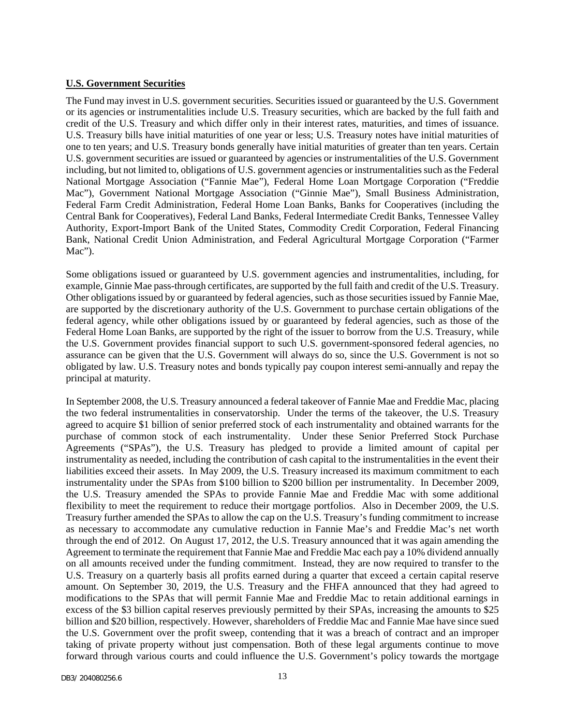#### **U.S. Government Securities**

The Fund may invest in U.S. government securities. Securities issued or guaranteed by the U.S. Government or its agencies or instrumentalities include U.S. Treasury securities, which are backed by the full faith and credit of the U.S. Treasury and which differ only in their interest rates, maturities, and times of issuance. U.S. Treasury bills have initial maturities of one year or less; U.S. Treasury notes have initial maturities of one to ten years; and U.S. Treasury bonds generally have initial maturities of greater than ten years. Certain U.S. government securities are issued or guaranteed by agencies or instrumentalities of the U.S. Government including, but not limited to, obligations of U.S. government agencies or instrumentalities such as the Federal National Mortgage Association ("Fannie Mae"), Federal Home Loan Mortgage Corporation ("Freddie Mac"), Government National Mortgage Association ("Ginnie Mae"), Small Business Administration, Federal Farm Credit Administration, Federal Home Loan Banks, Banks for Cooperatives (including the Central Bank for Cooperatives), Federal Land Banks, Federal Intermediate Credit Banks, Tennessee Valley Authority, Export-Import Bank of the United States, Commodity Credit Corporation, Federal Financing Bank, National Credit Union Administration, and Federal Agricultural Mortgage Corporation ("Farmer Mac").

Some obligations issued or guaranteed by U.S. government agencies and instrumentalities, including, for example, Ginnie Mae pass-through certificates, are supported by the full faith and credit of the U.S. Treasury. Other obligations issued by or guaranteed by federal agencies, such as those securities issued by Fannie Mae, are supported by the discretionary authority of the U.S. Government to purchase certain obligations of the federal agency, while other obligations issued by or guaranteed by federal agencies, such as those of the Federal Home Loan Banks, are supported by the right of the issuer to borrow from the U.S. Treasury, while the U.S. Government provides financial support to such U.S. government-sponsored federal agencies, no assurance can be given that the U.S. Government will always do so, since the U.S. Government is not so obligated by law. U.S. Treasury notes and bonds typically pay coupon interest semi-annually and repay the principal at maturity.

In September 2008, the U.S. Treasury announced a federal takeover of Fannie Mae and Freddie Mac, placing the two federal instrumentalities in conservatorship. Under the terms of the takeover, the U.S. Treasury agreed to acquire \$1 billion of senior preferred stock of each instrumentality and obtained warrants for the purchase of common stock of each instrumentality. Under these Senior Preferred Stock Purchase Agreements ("SPAs"), the U.S. Treasury has pledged to provide a limited amount of capital per instrumentality as needed, including the contribution of cash capital to the instrumentalities in the event their liabilities exceed their assets. In May 2009, the U.S. Treasury increased its maximum commitment to each instrumentality under the SPAs from \$100 billion to \$200 billion per instrumentality. In December 2009, the U.S. Treasury amended the SPAs to provide Fannie Mae and Freddie Mac with some additional flexibility to meet the requirement to reduce their mortgage portfolios. Also in December 2009, the U.S. Treasury further amended the SPAs to allow the cap on the U.S. Treasury's funding commitment to increase as necessary to accommodate any cumulative reduction in Fannie Mae's and Freddie Mac's net worth through the end of 2012. On August 17, 2012, the U.S. Treasury announced that it was again amending the Agreement to terminate the requirement that Fannie Mae and Freddie Mac each pay a 10% dividend annually on all amounts received under the funding commitment. Instead, they are now required to transfer to the U.S. Treasury on a quarterly basis all profits earned during a quarter that exceed a certain capital reserve amount. On September 30, 2019, the U.S. Treasury and the FHFA announced that they had agreed to modifications to the SPAs that will permit Fannie Mae and Freddie Mac to retain additional earnings in excess of the \$3 billion capital reserves previously permitted by their SPAs, increasing the amounts to \$25 billion and \$20 billion, respectively. However, shareholders of Freddie Mac and Fannie Mae have since sued the U.S. Government over the profit sweep, contending that it was a breach of contract and an improper taking of private property without just compensation. Both of these legal arguments continue to move forward through various courts and could influence the U.S. Government's policy towards the mortgage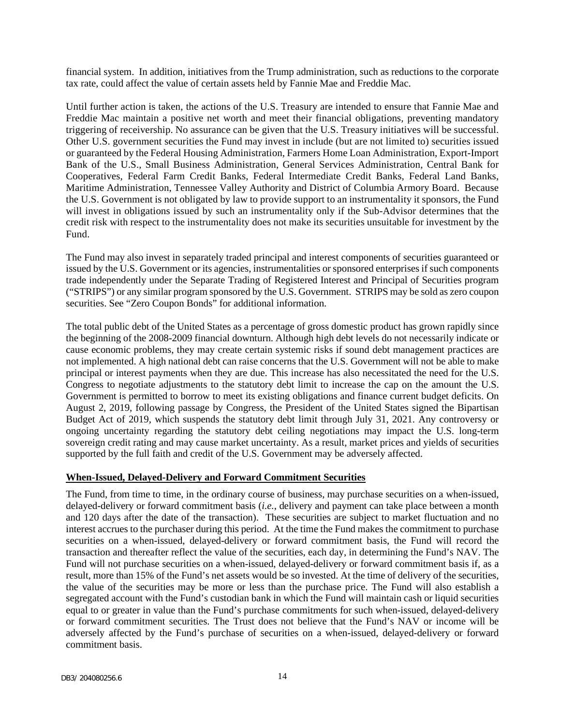financial system. In addition, initiatives from the Trump administration, such as reductions to the corporate tax rate, could affect the value of certain assets held by Fannie Mae and Freddie Mac.

Until further action is taken, the actions of the U.S. Treasury are intended to ensure that Fannie Mae and Freddie Mac maintain a positive net worth and meet their financial obligations, preventing mandatory triggering of receivership. No assurance can be given that the U.S. Treasury initiatives will be successful. Other U.S. government securities the Fund may invest in include (but are not limited to) securities issued or guaranteed by the Federal Housing Administration, Farmers Home Loan Administration, Export-Import Bank of the U.S., Small Business Administration, General Services Administration, Central Bank for Cooperatives, Federal Farm Credit Banks, Federal Intermediate Credit Banks, Federal Land Banks, Maritime Administration, Tennessee Valley Authority and District of Columbia Armory Board. Because the U.S. Government is not obligated by law to provide support to an instrumentality it sponsors, the Fund will invest in obligations issued by such an instrumentality only if the Sub-Advisor determines that the credit risk with respect to the instrumentality does not make its securities unsuitable for investment by the Fund.

The Fund may also invest in separately traded principal and interest components of securities guaranteed or issued by the U.S. Government or its agencies, instrumentalities or sponsored enterprises if such components trade independently under the Separate Trading of Registered Interest and Principal of Securities program ("STRIPS") or any similar program sponsored by the U.S. Government. STRIPS may be sold as zero coupon securities. See "Zero Coupon Bonds" for additional information.

The total public debt of the United States as a percentage of gross domestic product has grown rapidly since the beginning of the 2008-2009 financial downturn. Although high debt levels do not necessarily indicate or cause economic problems, they may create certain systemic risks if sound debt management practices are not implemented. A high national debt can raise concerns that the U.S. Government will not be able to make principal or interest payments when they are due. This increase has also necessitated the need for the U.S. Congress to negotiate adjustments to the statutory debt limit to increase the cap on the amount the U.S. Government is permitted to borrow to meet its existing obligations and finance current budget deficits. On August 2, 2019, following passage by Congress, the President of the United States signed the Bipartisan Budget Act of 2019, which suspends the statutory debt limit through July 31, 2021. Any controversy or ongoing uncertainty regarding the statutory debt ceiling negotiations may impact the U.S. long-term sovereign credit rating and may cause market uncertainty. As a result, market prices and yields of securities supported by the full faith and credit of the U.S. Government may be adversely affected.

#### **When-Issued, Delayed-Delivery and Forward Commitment Securities**

The Fund, from time to time, in the ordinary course of business, may purchase securities on a when-issued, delayed-delivery or forward commitment basis (*i.e.*, delivery and payment can take place between a month and 120 days after the date of the transaction). These securities are subject to market fluctuation and no interest accrues to the purchaser during this period. At the time the Fund makes the commitment to purchase securities on a when-issued, delayed-delivery or forward commitment basis, the Fund will record the transaction and thereafter reflect the value of the securities, each day, in determining the Fund's NAV. The Fund will not purchase securities on a when-issued, delayed-delivery or forward commitment basis if, as a result, more than 15% of the Fund's net assets would be so invested. At the time of delivery of the securities, the value of the securities may be more or less than the purchase price. The Fund will also establish a segregated account with the Fund's custodian bank in which the Fund will maintain cash or liquid securities equal to or greater in value than the Fund's purchase commitments for such when-issued, delayed-delivery or forward commitment securities. The Trust does not believe that the Fund's NAV or income will be adversely affected by the Fund's purchase of securities on a when-issued, delayed-delivery or forward commitment basis.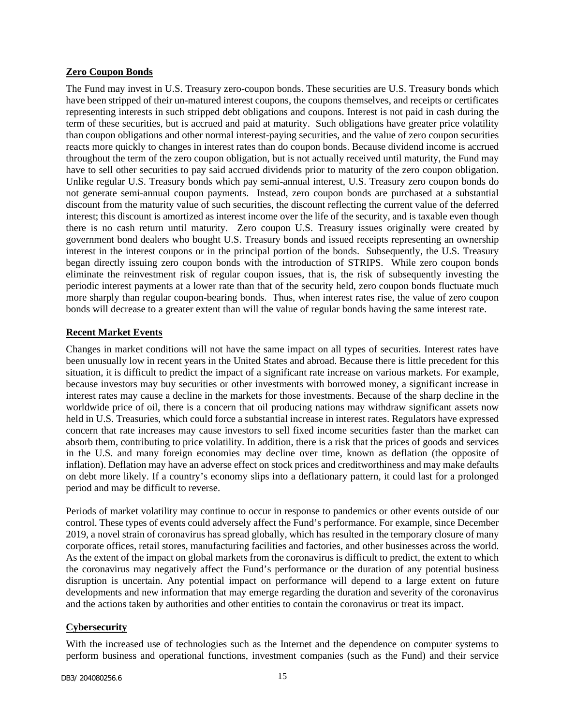## **Zero Coupon Bonds**

The Fund may invest in U.S. Treasury zero-coupon bonds. These securities are U.S. Treasury bonds which have been stripped of their un-matured interest coupons, the coupons themselves, and receipts or certificates representing interests in such stripped debt obligations and coupons. Interest is not paid in cash during the term of these securities, but is accrued and paid at maturity. Such obligations have greater price volatility than coupon obligations and other normal interest-paying securities, and the value of zero coupon securities reacts more quickly to changes in interest rates than do coupon bonds. Because dividend income is accrued throughout the term of the zero coupon obligation, but is not actually received until maturity, the Fund may have to sell other securities to pay said accrued dividends prior to maturity of the zero coupon obligation. Unlike regular U.S. Treasury bonds which pay semi-annual interest, U.S. Treasury zero coupon bonds do not generate semi-annual coupon payments. Instead, zero coupon bonds are purchased at a substantial discount from the maturity value of such securities, the discount reflecting the current value of the deferred interest; this discount is amortized as interest income over the life of the security, and is taxable even though there is no cash return until maturity. Zero coupon U.S. Treasury issues originally were created by government bond dealers who bought U.S. Treasury bonds and issued receipts representing an ownership interest in the interest coupons or in the principal portion of the bonds. Subsequently, the U.S. Treasury began directly issuing zero coupon bonds with the introduction of STRIPS. While zero coupon bonds eliminate the reinvestment risk of regular coupon issues, that is, the risk of subsequently investing the periodic interest payments at a lower rate than that of the security held, zero coupon bonds fluctuate much more sharply than regular coupon-bearing bonds. Thus, when interest rates rise, the value of zero coupon bonds will decrease to a greater extent than will the value of regular bonds having the same interest rate.

## **Recent Market Events**

Changes in market conditions will not have the same impact on all types of securities. Interest rates have been unusually low in recent years in the United States and abroad. Because there is little precedent for this situation, it is difficult to predict the impact of a significant rate increase on various markets. For example, because investors may buy securities or other investments with borrowed money, a significant increase in interest rates may cause a decline in the markets for those investments. Because of the sharp decline in the worldwide price of oil, there is a concern that oil producing nations may withdraw significant assets now held in U.S. Treasuries, which could force a substantial increase in interest rates. Regulators have expressed concern that rate increases may cause investors to sell fixed income securities faster than the market can absorb them, contributing to price volatility. In addition, there is a risk that the prices of goods and services in the U.S. and many foreign economies may decline over time, known as deflation (the opposite of inflation). Deflation may have an adverse effect on stock prices and creditworthiness and may make defaults on debt more likely. If a country's economy slips into a deflationary pattern, it could last for a prolonged period and may be difficult to reverse.

Periods of market volatility may continue to occur in response to pandemics or other events outside of our control. These types of events could adversely affect the Fund's performance. For example, since December 2019, a novel strain of coronavirus has spread globally, which has resulted in the temporary closure of many corporate offices, retail stores, manufacturing facilities and factories, and other businesses across the world. As the extent of the impact on global markets from the coronavirus is difficult to predict, the extent to which the coronavirus may negatively affect the Fund's performance or the duration of any potential business disruption is uncertain. Any potential impact on performance will depend to a large extent on future developments and new information that may emerge regarding the duration and severity of the coronavirus and the actions taken by authorities and other entities to contain the coronavirus or treat its impact.

## **Cybersecurity**

With the increased use of technologies such as the Internet and the dependence on computer systems to perform business and operational functions, investment companies (such as the Fund) and their service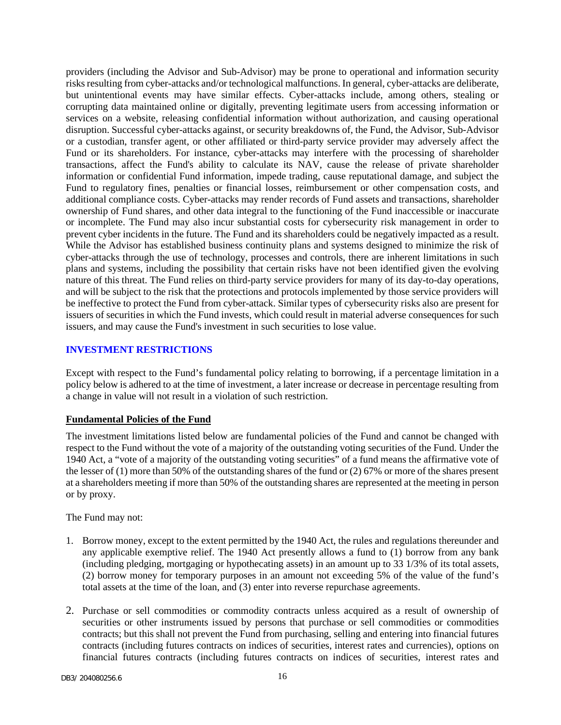providers (including the Advisor and Sub-Advisor) may be prone to operational and information security risks resulting from cyber-attacks and/or technological malfunctions. In general, cyber-attacks are deliberate, but unintentional events may have similar effects. Cyber-attacks include, among others, stealing or corrupting data maintained online or digitally, preventing legitimate users from accessing information or services on a website, releasing confidential information without authorization, and causing operational disruption. Successful cyber-attacks against, or security breakdowns of, the Fund, the Advisor, Sub-Advisor or a custodian, transfer agent, or other affiliated or third-party service provider may adversely affect the Fund or its shareholders. For instance, cyber-attacks may interfere with the processing of shareholder transactions, affect the Fund's ability to calculate its NAV, cause the release of private shareholder information or confidential Fund information, impede trading, cause reputational damage, and subject the Fund to regulatory fines, penalties or financial losses, reimbursement or other compensation costs, and additional compliance costs. Cyber-attacks may render records of Fund assets and transactions, shareholder ownership of Fund shares, and other data integral to the functioning of the Fund inaccessible or inaccurate or incomplete. The Fund may also incur substantial costs for cybersecurity risk management in order to prevent cyber incidents in the future. The Fund and its shareholders could be negatively impacted as a result. While the Advisor has established business continuity plans and systems designed to minimize the risk of cyber-attacks through the use of technology, processes and controls, there are inherent limitations in such plans and systems, including the possibility that certain risks have not been identified given the evolving nature of this threat. The Fund relies on third-party service providers for many of its day-to-day operations, and will be subject to the risk that the protections and protocols implemented by those service providers will be ineffective to protect the Fund from cyber-attack. Similar types of cybersecurity risks also are present for issuers of securities in which the Fund invests, which could result in material adverse consequences for such issuers, and may cause the Fund's investment in such securities to lose value.

## <span id="page-17-0"></span>**INVESTMENT RESTRICTIONS**

Except with respect to the Fund's fundamental policy relating to borrowing, if a percentage limitation in a policy below is adhered to at the time of investment, a later increase or decrease in percentage resulting from a change in value will not result in a violation of such restriction.

## **Fundamental Policies of the Fund**

The investment limitations listed below are fundamental policies of the Fund and cannot be changed with respect to the Fund without the vote of a majority of the outstanding voting securities of the Fund. Under the 1940 Act, a "vote of a majority of the outstanding voting securities" of a fund means the affirmative vote of the lesser of (1) more than 50% of the outstanding shares of the fund or (2) 67% or more of the shares present at a shareholders meeting if more than 50% of the outstanding shares are represented at the meeting in person or by proxy.

The Fund may not:

- 1. Borrow money, except to the extent permitted by the 1940 Act, the rules and regulations thereunder and any applicable exemptive relief. The 1940 Act presently allows a fund to (1) borrow from any bank (including pledging, mortgaging or hypothecating assets) in an amount up to 33 1/3% of its total assets, (2) borrow money for temporary purposes in an amount not exceeding 5% of the value of the fund's total assets at the time of the loan, and (3) enter into reverse repurchase agreements.
- 2. Purchase or sell commodities or commodity contracts unless acquired as a result of ownership of securities or other instruments issued by persons that purchase or sell commodities or commodities contracts; but this shall not prevent the Fund from purchasing, selling and entering into financial futures contracts (including futures contracts on indices of securities, interest rates and currencies), options on financial futures contracts (including futures contracts on indices of securities, interest rates and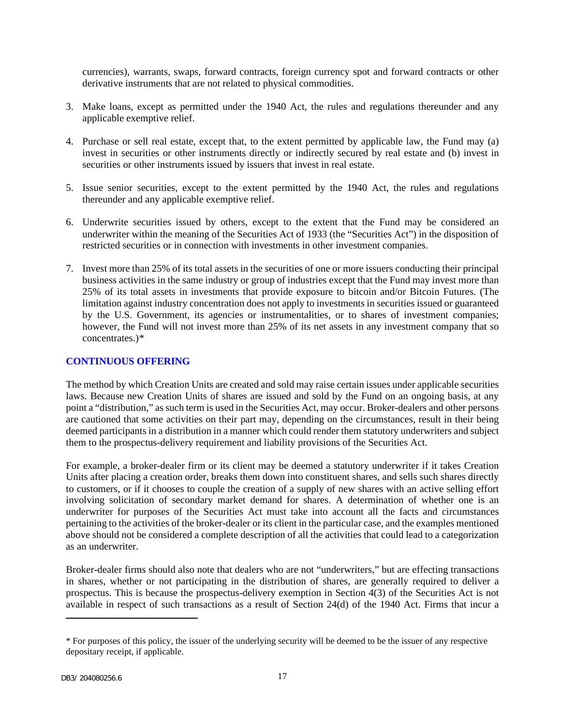currencies), warrants, swaps, forward contracts, foreign currency spot and forward contracts or other derivative instruments that are not related to physical commodities.

- 3. Make loans, except as permitted under the 1940 Act, the rules and regulations thereunder and any applicable exemptive relief.
- 4. Purchase or sell real estate, except that, to the extent permitted by applicable law, the Fund may (a) invest in securities or other instruments directly or indirectly secured by real estate and (b) invest in securities or other instruments issued by issuers that invest in real estate.
- 5. Issue senior securities, except to the extent permitted by the 1940 Act, the rules and regulations thereunder and any applicable exemptive relief.
- 6. Underwrite securities issued by others, except to the extent that the Fund may be considered an underwriter within the meaning of the Securities Act of 1933 (the "Securities Act") in the disposition of restricted securities or in connection with investments in other investment companies.
- 7. Invest more than 25% of its total assets in the securities of one or more issuers conducting their principal business activities in the same industry or group of industries except that the Fund may invest more than 25% of its total assets in investments that provide exposure to bitcoin and/or Bitcoin Futures. (The limitation against industry concentration does not apply to investments in securities issued or guaranteed by the U.S. Government, its agencies or instrumentalities, or to shares of investment companies; however, the Fund will not invest more than 25% of its net assets in any investment company that so concentrates.)[\\*](#page-18-1)

#### <span id="page-18-0"></span>**CONTINUOUS OFFERING**

The method by which Creation Units are created and sold may raise certain issues under applicable securities laws. Because new Creation Units of shares are issued and sold by the Fund on an ongoing basis, at any point a "distribution," as such term is used in the Securities Act, may occur. Broker-dealers and other persons are cautioned that some activities on their part may, depending on the circumstances, result in their being deemed participants in a distribution in a manner which could render them statutory underwriters and subject them to the prospectus-delivery requirement and liability provisions of the Securities Act.

For example, a broker-dealer firm or its client may be deemed a statutory underwriter if it takes Creation Units after placing a creation order, breaks them down into constituent shares, and sells such shares directly to customers, or if it chooses to couple the creation of a supply of new shares with an active selling effort involving solicitation of secondary market demand for shares. A determination of whether one is an underwriter for purposes of the Securities Act must take into account all the facts and circumstances pertaining to the activities of the broker-dealer or its client in the particular case, and the examples mentioned above should not be considered a complete description of all the activities that could lead to a categorization as an underwriter.

Broker-dealer firms should also note that dealers who are not "underwriters," but are effecting transactions in shares, whether or not participating in the distribution of shares, are generally required to deliver a prospectus. This is because the prospectus-delivery exemption in Section 4(3) of the Securities Act is not available in respect of such transactions as a result of Section 24(d) of the 1940 Act. Firms that incur a

<span id="page-18-1"></span><sup>\*</sup> For purposes of this policy, the issuer of the underlying security will be deemed to be the issuer of any respective depositary receipt, if applicable.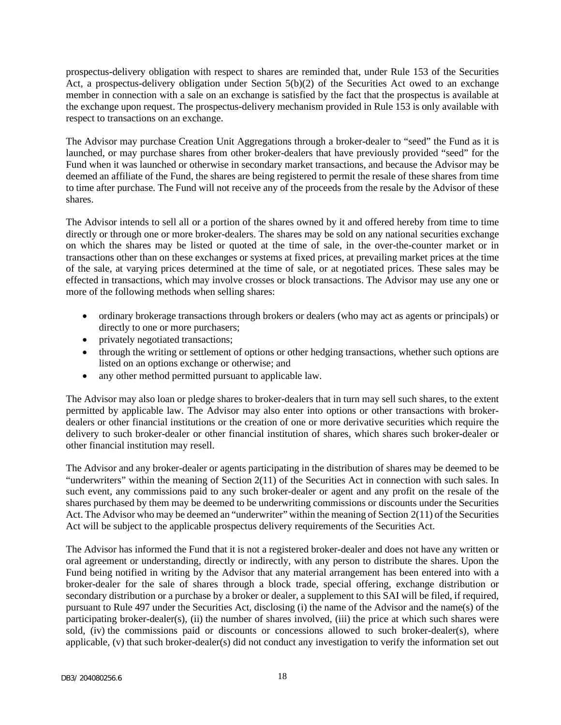prospectus-delivery obligation with respect to shares are reminded that, under Rule 153 of the Securities Act, a prospectus-delivery obligation under Section 5(b)(2) of the Securities Act owed to an exchange member in connection with a sale on an exchange is satisfied by the fact that the prospectus is available at the exchange upon request. The prospectus-delivery mechanism provided in Rule 153 is only available with respect to transactions on an exchange.

The Advisor may purchase Creation Unit Aggregations through a broker-dealer to "seed" the Fund as it is launched, or may purchase shares from other broker-dealers that have previously provided "seed" for the Fund when it was launched or otherwise in secondary market transactions, and because the Advisor may be deemed an affiliate of the Fund, the shares are being registered to permit the resale of these shares from time to time after purchase. The Fund will not receive any of the proceeds from the resale by the Advisor of these shares.

The Advisor intends to sell all or a portion of the shares owned by it and offered hereby from time to time directly or through one or more broker-dealers. The shares may be sold on any national securities exchange on which the shares may be listed or quoted at the time of sale, in the over-the-counter market or in transactions other than on these exchanges or systems at fixed prices, at prevailing market prices at the time of the sale, at varying prices determined at the time of sale, or at negotiated prices. These sales may be effected in transactions, which may involve crosses or block transactions. The Advisor may use any one or more of the following methods when selling shares:

- ordinary brokerage transactions through brokers or dealers (who may act as agents or principals) or directly to one or more purchasers;
- privately negotiated transactions;
- through the writing or settlement of options or other hedging transactions, whether such options are listed on an options exchange or otherwise; and
- any other method permitted pursuant to applicable law.

The Advisor may also loan or pledge shares to broker-dealers that in turn may sell such shares, to the extent permitted by applicable law. The Advisor may also enter into options or other transactions with brokerdealers or other financial institutions or the creation of one or more derivative securities which require the delivery to such broker-dealer or other financial institution of shares, which shares such broker-dealer or other financial institution may resell.

The Advisor and any broker-dealer or agents participating in the distribution of shares may be deemed to be "underwriters" within the meaning of Section 2(11) of the Securities Act in connection with such sales. In such event, any commissions paid to any such broker-dealer or agent and any profit on the resale of the shares purchased by them may be deemed to be underwriting commissions or discounts under the Securities Act. The Advisor who may be deemed an "underwriter" within the meaning of Section 2(11) of the Securities Act will be subject to the applicable prospectus delivery requirements of the Securities Act.

The Advisor has informed the Fund that it is not a registered broker-dealer and does not have any written or oral agreement or understanding, directly or indirectly, with any person to distribute the shares. Upon the Fund being notified in writing by the Advisor that any material arrangement has been entered into with a broker-dealer for the sale of shares through a block trade, special offering, exchange distribution or secondary distribution or a purchase by a broker or dealer, a supplement to this SAI will be filed, if required, pursuant to Rule 497 under the Securities Act, disclosing (i) the name of the Advisor and the name(s) of the participating broker-dealer(s), (ii) the number of shares involved, (iii) the price at which such shares were sold, (iv) the commissions paid or discounts or concessions allowed to such broker-dealer(s), where applicable, (v) that such broker-dealer(s) did not conduct any investigation to verify the information set out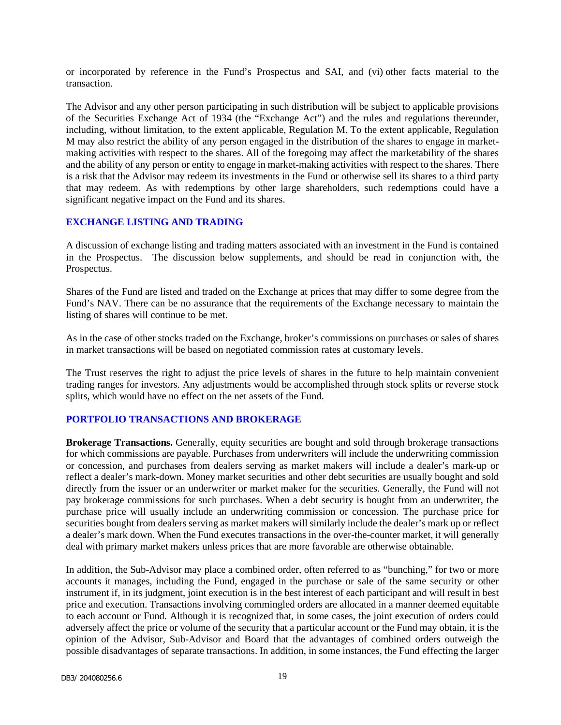or incorporated by reference in the Fund's Prospectus and SAI, and (vi) other facts material to the transaction.

The Advisor and any other person participating in such distribution will be subject to applicable provisions of the Securities Exchange Act of 1934 (the "Exchange Act") and the rules and regulations thereunder, including, without limitation, to the extent applicable, Regulation M. To the extent applicable, Regulation M may also restrict the ability of any person engaged in the distribution of the shares to engage in marketmaking activities with respect to the shares. All of the foregoing may affect the marketability of the shares and the ability of any person or entity to engage in market-making activities with respect to the shares. There is a risk that the Advisor may redeem its investments in the Fund or otherwise sell its shares to a third party that may redeem. As with redemptions by other large shareholders, such redemptions could have a significant negative impact on the Fund and its shares.

#### <span id="page-20-0"></span>**EXCHANGE LISTING AND TRADING**

A discussion of exchange listing and trading matters associated with an investment in the Fund is contained in the Prospectus. The discussion below supplements, and should be read in conjunction with, the Prospectus.

Shares of the Fund are listed and traded on the Exchange at prices that may differ to some degree from the Fund's NAV. There can be no assurance that the requirements of the Exchange necessary to maintain the listing of shares will continue to be met.

As in the case of other stocks traded on the Exchange, broker's commissions on purchases or sales of shares in market transactions will be based on negotiated commission rates at customary levels.

The Trust reserves the right to adjust the price levels of shares in the future to help maintain convenient trading ranges for investors. Any adjustments would be accomplished through stock splits or reverse stock splits, which would have no effect on the net assets of the Fund.

#### <span id="page-20-1"></span>**PORTFOLIO TRANSACTIONS AND BROKERAGE**

**Brokerage Transactions.** Generally, equity securities are bought and sold through brokerage transactions for which commissions are payable. Purchases from underwriters will include the underwriting commission or concession, and purchases from dealers serving as market makers will include a dealer's mark-up or reflect a dealer's mark-down. Money market securities and other debt securities are usually bought and sold directly from the issuer or an underwriter or market maker for the securities. Generally, the Fund will not pay brokerage commissions for such purchases. When a debt security is bought from an underwriter, the purchase price will usually include an underwriting commission or concession. The purchase price for securities bought from dealers serving as market makers will similarly include the dealer's mark up or reflect a dealer's mark down. When the Fund executes transactions in the over-the-counter market, it will generally deal with primary market makers unless prices that are more favorable are otherwise obtainable.

In addition, the Sub-Advisor may place a combined order, often referred to as "bunching," for two or more accounts it manages, including the Fund, engaged in the purchase or sale of the same security or other instrument if, in its judgment, joint execution is in the best interest of each participant and will result in best price and execution. Transactions involving commingled orders are allocated in a manner deemed equitable to each account or Fund. Although it is recognized that, in some cases, the joint execution of orders could adversely affect the price or volume of the security that a particular account or the Fund may obtain, it is the opinion of the Advisor, Sub-Advisor and Board that the advantages of combined orders outweigh the possible disadvantages of separate transactions. In addition, in some instances, the Fund effecting the larger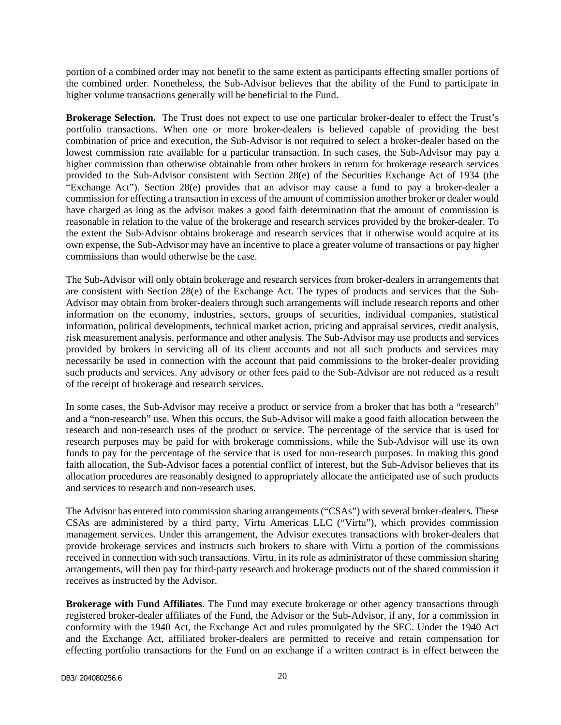portion of a combined order may not benefit to the same extent as participants effecting smaller portions of the combined order. Nonetheless, the Sub-Advisor believes that the ability of the Fund to participate in higher volume transactions generally will be beneficial to the Fund.

**Brokerage Selection.** The Trust does not expect to use one particular broker-dealer to effect the Trust's portfolio transactions. When one or more broker-dealers is believed capable of providing the best combination of price and execution, the Sub-Advisor is not required to select a broker-dealer based on the lowest commission rate available for a particular transaction. In such cases, the Sub-Advisor may pay a higher commission than otherwise obtainable from other brokers in return for brokerage research services provided to the Sub-Advisor consistent with Section 28(e) of the Securities Exchange Act of 1934 (the "Exchange Act"). Section 28(e) provides that an advisor may cause a fund to pay a broker-dealer a commission for effecting a transaction in excess of the amount of commission another broker or dealer would have charged as long as the advisor makes a good faith determination that the amount of commission is reasonable in relation to the value of the brokerage and research services provided by the broker-dealer. To the extent the Sub-Advisor obtains brokerage and research services that it otherwise would acquire at its own expense, the Sub-Advisor may have an incentive to place a greater volume of transactions or pay higher commissions than would otherwise be the case.

The Sub-Advisor will only obtain brokerage and research services from broker-dealers in arrangements that are consistent with Section 28(e) of the Exchange Act. The types of products and services that the Sub-Advisor may obtain from broker-dealers through such arrangements will include research reports and other information on the economy, industries, sectors, groups of securities, individual companies, statistical information, political developments, technical market action, pricing and appraisal services, credit analysis, risk measurement analysis, performance and other analysis. The Sub-Advisor may use products and services provided by brokers in servicing all of its client accounts and not all such products and services may necessarily be used in connection with the account that paid commissions to the broker-dealer providing such products and services. Any advisory or other fees paid to the Sub-Advisor are not reduced as a result of the receipt of brokerage and research services.

In some cases, the Sub-Advisor may receive a product or service from a broker that has both a "research" and a "non-research" use. When this occurs, the Sub-Advisor will make a good faith allocation between the research and non-research uses of the product or service. The percentage of the service that is used for research purposes may be paid for with brokerage commissions, while the Sub-Advisor will use its own funds to pay for the percentage of the service that is used for non-research purposes. In making this good faith allocation, the Sub-Advisor faces a potential conflict of interest, but the Sub-Advisor believes that its allocation procedures are reasonably designed to appropriately allocate the anticipated use of such products and services to research and non-research uses.

The Advisor has entered into commission sharing arrangements ("CSAs") with several broker-dealers. These CSAs are administered by a third party, Virtu Americas LLC ("Virtu"), which provides commission management services. Under this arrangement, the Advisor executes transactions with broker-dealers that provide brokerage services and instructs such brokers to share with Virtu a portion of the commissions received in connection with such transactions. Virtu, in its role as administrator of these commission sharing arrangements, will then pay for third-party research and brokerage products out of the shared commission it receives as instructed by the Advisor.

**Brokerage with Fund Affiliates.** The Fund may execute brokerage or other agency transactions through registered broker-dealer affiliates of the Fund, the Advisor or the Sub-Advisor, if any, for a commission in conformity with the 1940 Act, the Exchange Act and rules promulgated by the SEC. Under the 1940 Act and the Exchange Act, affiliated broker-dealers are permitted to receive and retain compensation for effecting portfolio transactions for the Fund on an exchange if a written contract is in effect between the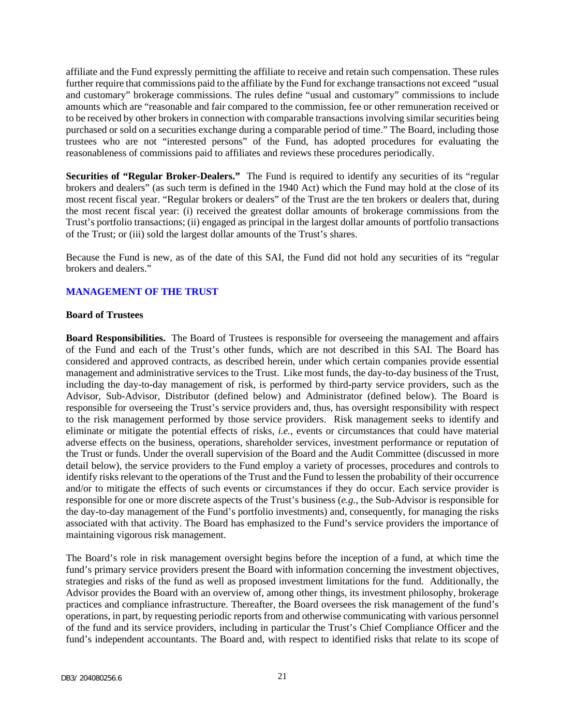affiliate and the Fund expressly permitting the affiliate to receive and retain such compensation. These rules further require that commissions paid to the affiliate by the Fund for exchange transactions not exceed *"*usual and customary" brokerage commissions. The rules define "usual and customary" commissions to include amounts which are "reasonable and fair compared to the commission, fee or other remuneration received or to be received by other brokers in connection with comparable transactions involving similar securities being purchased or sold on a securities exchange during a comparable period of time." The Board, including those trustees who are not "interested persons" of the Fund, has adopted procedures for evaluating the reasonableness of commissions paid to affiliates and reviews these procedures periodically.

**Securities of "Regular Broker-Dealers."** The Fund is required to identify any securities of its "regular brokers and dealers" (as such term is defined in the 1940 Act) which the Fund may hold at the close of its most recent fiscal year. "Regular brokers or dealers" of the Trust are the ten brokers or dealers that, during the most recent fiscal year: (i) received the greatest dollar amounts of brokerage commissions from the Trust's portfolio transactions; (ii) engaged as principal in the largest dollar amounts of portfolio transactions of the Trust; or (iii) sold the largest dollar amounts of the Trust's shares.

Because the Fund is new, as of the date of this SAI, the Fund did not hold any securities of its "regular brokers and dealers."

## <span id="page-22-0"></span>**MANAGEMENT OF THE TRUST**

#### **Board of Trustees**

**Board Responsibilities.** The Board of Trustees is responsible for overseeing the management and affairs of the Fund and each of the Trust's other funds, which are not described in this SAI. The Board has considered and approved contracts, as described herein, under which certain companies provide essential management and administrative services to the Trust. Like most funds, the day-to-day business of the Trust, including the day-to-day management of risk, is performed by third-party service providers, such as the Advisor, Sub-Advisor, Distributor (defined below) and Administrator (defined below). The Board is responsible for overseeing the Trust's service providers and, thus, has oversight responsibility with respect to the risk management performed by those service providers. Risk management seeks to identify and eliminate or mitigate the potential effects of risks, *i.e.*, events or circumstances that could have material adverse effects on the business, operations, shareholder services, investment performance or reputation of the Trust or funds. Under the overall supervision of the Board and the Audit Committee (discussed in more detail below), the service providers to the Fund employ a variety of processes, procedures and controls to identify risks relevant to the operations of the Trust and the Fund to lessen the probability of their occurrence and/or to mitigate the effects of such events or circumstances if they do occur. Each service provider is responsible for one or more discrete aspects of the Trust's business (*e.g.*, the Sub-Advisor is responsible for the day-to-day management of the Fund's portfolio investments) and, consequently, for managing the risks associated with that activity. The Board has emphasized to the Fund's service providers the importance of maintaining vigorous risk management.

The Board's role in risk management oversight begins before the inception of a fund, at which time the fund's primary service providers present the Board with information concerning the investment objectives, strategies and risks of the fund as well as proposed investment limitations for the fund. Additionally, the Advisor provides the Board with an overview of, among other things, its investment philosophy, brokerage practices and compliance infrastructure. Thereafter, the Board oversees the risk management of the fund's operations, in part, by requesting periodic reports from and otherwise communicating with various personnel of the fund and its service providers, including in particular the Trust's Chief Compliance Officer and the fund's independent accountants. The Board and, with respect to identified risks that relate to its scope of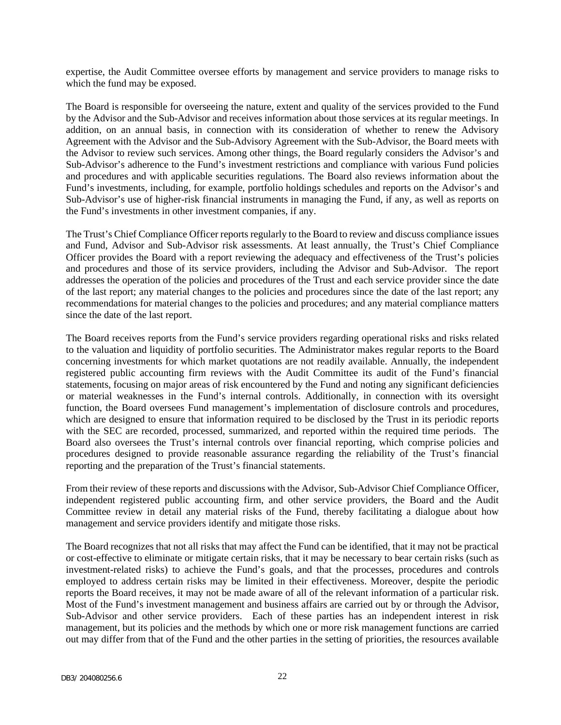expertise, the Audit Committee oversee efforts by management and service providers to manage risks to which the fund may be exposed.

The Board is responsible for overseeing the nature, extent and quality of the services provided to the Fund by the Advisor and the Sub-Advisor and receives information about those services at its regular meetings. In addition, on an annual basis, in connection with its consideration of whether to renew the Advisory Agreement with the Advisor and the Sub-Advisory Agreement with the Sub-Advisor, the Board meets with the Advisor to review such services. Among other things, the Board regularly considers the Advisor's and Sub-Advisor's adherence to the Fund's investment restrictions and compliance with various Fund policies and procedures and with applicable securities regulations. The Board also reviews information about the Fund's investments, including, for example, portfolio holdings schedules and reports on the Advisor's and Sub-Advisor's use of higher-risk financial instruments in managing the Fund, if any, as well as reports on the Fund's investments in other investment companies, if any.

The Trust's Chief Compliance Officer reports regularly to the Board to review and discuss compliance issues and Fund, Advisor and Sub-Advisor risk assessments. At least annually, the Trust's Chief Compliance Officer provides the Board with a report reviewing the adequacy and effectiveness of the Trust's policies and procedures and those of its service providers, including the Advisor and Sub-Advisor. The report addresses the operation of the policies and procedures of the Trust and each service provider since the date of the last report; any material changes to the policies and procedures since the date of the last report; any recommendations for material changes to the policies and procedures; and any material compliance matters since the date of the last report.

The Board receives reports from the Fund's service providers regarding operational risks and risks related to the valuation and liquidity of portfolio securities. The Administrator makes regular reports to the Board concerning investments for which market quotations are not readily available. Annually, the independent registered public accounting firm reviews with the Audit Committee its audit of the Fund's financial statements, focusing on major areas of risk encountered by the Fund and noting any significant deficiencies or material weaknesses in the Fund's internal controls. Additionally, in connection with its oversight function, the Board oversees Fund management's implementation of disclosure controls and procedures, which are designed to ensure that information required to be disclosed by the Trust in its periodic reports with the SEC are recorded, processed, summarized, and reported within the required time periods. The Board also oversees the Trust's internal controls over financial reporting, which comprise policies and procedures designed to provide reasonable assurance regarding the reliability of the Trust's financial reporting and the preparation of the Trust's financial statements.

From their review of these reports and discussions with the Advisor, Sub-Advisor Chief Compliance Officer, independent registered public accounting firm, and other service providers, the Board and the Audit Committee review in detail any material risks of the Fund, thereby facilitating a dialogue about how management and service providers identify and mitigate those risks.

The Board recognizes that not all risks that may affect the Fund can be identified, that it may not be practical or cost-effective to eliminate or mitigate certain risks, that it may be necessary to bear certain risks (such as investment-related risks) to achieve the Fund's goals, and that the processes, procedures and controls employed to address certain risks may be limited in their effectiveness. Moreover, despite the periodic reports the Board receives, it may not be made aware of all of the relevant information of a particular risk. Most of the Fund's investment management and business affairs are carried out by or through the Advisor, Sub-Advisor and other service providers. Each of these parties has an independent interest in risk management, but its policies and the methods by which one or more risk management functions are carried out may differ from that of the Fund and the other parties in the setting of priorities, the resources available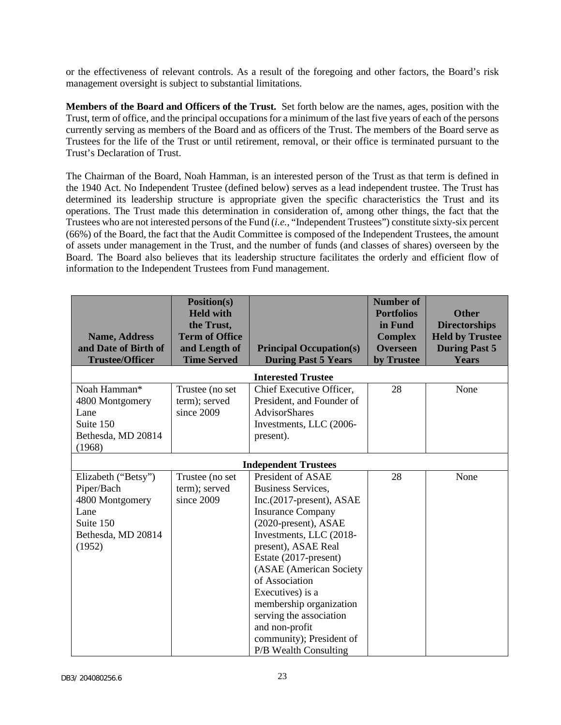or the effectiveness of relevant controls. As a result of the foregoing and other factors, the Board's risk management oversight is subject to substantial limitations.

**Members of the Board and Officers of the Trust.** Set forth below are the names, ages, position with the Trust, term of office, and the principal occupations for a minimum of the last five years of each of the persons currently serving as members of the Board and as officers of the Trust. The members of the Board serve as Trustees for the life of the Trust or until retirement, removal, or their office is terminated pursuant to the Trust's Declaration of Trust.

The Chairman of the Board, Noah Hamman, is an interested person of the Trust as that term is defined in the 1940 Act. No Independent Trustee (defined below) serves as a lead independent trustee. The Trust has determined its leadership structure is appropriate given the specific characteristics the Trust and its operations. The Trust made this determination in consideration of, among other things, the fact that the Trustees who are not interested persons of the Fund (*i.e.*, "Independent Trustees") constitute sixty-six percent (66%) of the Board, the fact that the Audit Committee is composed of the Independent Trustees, the amount of assets under management in the Trust, and the number of funds (and classes of shares) overseen by the Board. The Board also believes that its leadership structure facilitates the orderly and efficient flow of information to the Independent Trustees from Fund management.

| <b>Name, Address</b><br>and Date of Birth of<br><b>Trustee/Officer</b>                                    | Position(s)<br><b>Held with</b><br>the Trust,<br><b>Term of Office</b><br>and Length of<br><b>Time Served</b> | <b>Principal Occupation(s)</b><br><b>During Past 5 Years</b>                                                                                                                                                                                                                                                                                                                                               | <b>Number of</b><br><b>Portfolios</b><br>in Fund<br><b>Complex</b><br><b>Overseen</b><br>by Trustee | <b>Other</b><br><b>Directorships</b><br><b>Held by Trustee</b><br><b>During Past 5</b><br><b>Years</b> |
|-----------------------------------------------------------------------------------------------------------|---------------------------------------------------------------------------------------------------------------|------------------------------------------------------------------------------------------------------------------------------------------------------------------------------------------------------------------------------------------------------------------------------------------------------------------------------------------------------------------------------------------------------------|-----------------------------------------------------------------------------------------------------|--------------------------------------------------------------------------------------------------------|
|                                                                                                           |                                                                                                               | <b>Interested Trustee</b>                                                                                                                                                                                                                                                                                                                                                                                  |                                                                                                     |                                                                                                        |
| Noah Hamman*<br>4800 Montgomery<br>Lane<br>Suite 150<br>Bethesda, MD 20814<br>(1968)                      | Trustee (no set<br>term); served<br>since 2009                                                                | Chief Executive Officer,<br>President, and Founder of<br><b>AdvisorShares</b><br>Investments, LLC (2006-<br>present).                                                                                                                                                                                                                                                                                      | 28                                                                                                  | None                                                                                                   |
|                                                                                                           |                                                                                                               | <b>Independent Trustees</b>                                                                                                                                                                                                                                                                                                                                                                                |                                                                                                     |                                                                                                        |
| Elizabeth ("Betsy")<br>Piper/Bach<br>4800 Montgomery<br>Lane<br>Suite 150<br>Bethesda, MD 20814<br>(1952) | Trustee (no set<br>term); served<br>since 2009                                                                | President of ASAE<br><b>Business Services,</b><br>$Inc.(2017-present)$ , ASAE<br><b>Insurance Company</b><br>(2020-present), ASAE<br>Investments, LLC (2018-<br>present), ASAE Real<br>Estate (2017-present)<br>(ASAE (American Society<br>of Association<br>Executives) is a<br>membership organization<br>serving the association<br>and non-profit<br>community); President of<br>P/B Wealth Consulting | 28                                                                                                  | None                                                                                                   |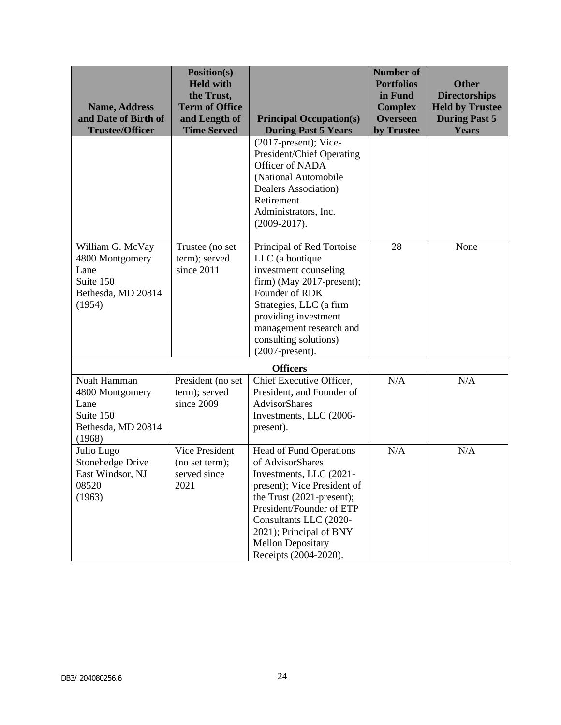| <b>Name, Address</b><br>and Date of Birth of<br><b>Trustee/Officer</b>                   | Position(s)<br><b>Held with</b><br>the Trust,<br><b>Term of Office</b><br>and Length of<br><b>Time Served</b> | <b>Principal Occupation(s)</b><br><b>During Past 5 Years</b>                                                                                                                                                                                                                    | <b>Number of</b><br><b>Portfolios</b><br>in Fund<br><b>Complex</b><br><b>Overseen</b><br>by Trustee | <b>Other</b><br><b>Directorships</b><br><b>Held by Trustee</b><br><b>During Past 5</b><br><b>Years</b> |
|------------------------------------------------------------------------------------------|---------------------------------------------------------------------------------------------------------------|---------------------------------------------------------------------------------------------------------------------------------------------------------------------------------------------------------------------------------------------------------------------------------|-----------------------------------------------------------------------------------------------------|--------------------------------------------------------------------------------------------------------|
|                                                                                          |                                                                                                               | $(2017$ -present); Vice-<br>President/Chief Operating<br>Officer of NADA<br>(National Automobile<br>Dealers Association)<br>Retirement<br>Administrators, Inc.<br>$(2009-2017).$                                                                                                |                                                                                                     |                                                                                                        |
| William G. McVay<br>4800 Montgomery<br>Lane<br>Suite 150<br>Bethesda, MD 20814<br>(1954) | Trustee (no set<br>term); served<br>since 2011                                                                | Principal of Red Tortoise<br>LLC (a boutique<br>investment counseling<br>$firm)$ (May 2017-present);<br>Founder of RDK<br>Strategies, LLC (a firm<br>providing investment<br>management research and<br>consulting solutions)<br>$(2007$ -present).                             | 28                                                                                                  | None                                                                                                   |
| Noah Hamman<br>4800 Montgomery<br>Lane<br>Suite 150<br>Bethesda, MD 20814<br>(1968)      | President (no set<br>term); served<br>since 2009                                                              | <b>Officers</b><br>Chief Executive Officer,<br>President, and Founder of<br>AdvisorShares<br>Investments, LLC (2006-<br>present).                                                                                                                                               | N/A                                                                                                 | N/A                                                                                                    |
| Julio Lugo<br><b>Stonehedge Drive</b><br>East Windsor, NJ<br>08520<br>(1963)             | Vice President<br>(no set term);<br>served since<br>2021                                                      | <b>Head of Fund Operations</b><br>of AdvisorShares<br>Investments, LLC (2021-<br>present); Vice President of<br>the Trust (2021-present);<br>President/Founder of ETP<br>Consultants LLC (2020-<br>2021); Principal of BNY<br><b>Mellon Depositary</b><br>Receipts (2004-2020). | N/A                                                                                                 | N/A                                                                                                    |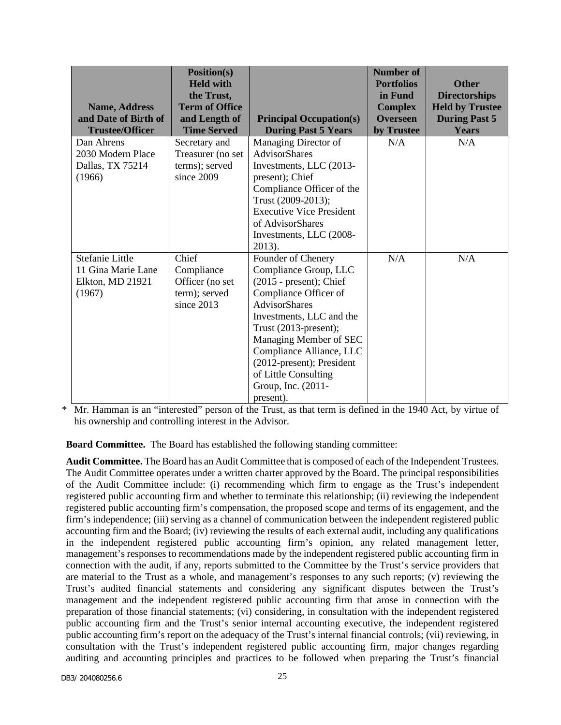| <b>Name, Address</b><br>and Date of Birth of<br><b>Trustee/Officer</b> | Position(s)<br><b>Held with</b><br>the Trust,<br><b>Term of Office</b><br>and Length of<br><b>Time Served</b> | <b>Principal Occupation(s)</b><br><b>During Past 5 Years</b>                                                                                                                                                                                                                                                                  | <b>Number of</b><br><b>Portfolios</b><br>in Fund<br><b>Complex</b><br><b>Overseen</b><br>by Trustee | <b>Other</b><br><b>Directorships</b><br><b>Held by Trustee</b><br><b>During Past 5</b><br><b>Years</b> |
|------------------------------------------------------------------------|---------------------------------------------------------------------------------------------------------------|-------------------------------------------------------------------------------------------------------------------------------------------------------------------------------------------------------------------------------------------------------------------------------------------------------------------------------|-----------------------------------------------------------------------------------------------------|--------------------------------------------------------------------------------------------------------|
| Dan Ahrens<br>2030 Modern Place<br>Dallas, TX 75214<br>(1966)          | Secretary and<br>Treasurer (no set<br>terms); served<br>since 2009                                            | Managing Director of<br><b>AdvisorShares</b><br>Investments, LLC (2013-<br>present); Chief<br>Compliance Officer of the<br>Trust (2009-2013);<br><b>Executive Vice President</b><br>of AdvisorShares<br>Investments, LLC (2008-<br>2013).                                                                                     | N/A                                                                                                 | N/A                                                                                                    |
| Stefanie Little<br>11 Gina Marie Lane<br>Elkton, MD 21921<br>(1967)    | Chief<br>Compliance<br>Officer (no set<br>term); served<br>since 2013                                         | Founder of Chenery<br>Compliance Group, LLC<br>$(2015 - present)$ ; Chief<br>Compliance Officer of<br><b>AdvisorShares</b><br>Investments, LLC and the<br>Trust (2013-present);<br>Managing Member of SEC<br>Compliance Alliance, LLC<br>(2012-present); President<br>of Little Consulting<br>Group, Inc. (2011-<br>present). | N/A                                                                                                 | N/A                                                                                                    |

\* Mr. Hamman is an "interested" person of the Trust, as that term is defined in the 1940 Act, by virtue of his ownership and controlling interest in the Advisor.

**Board Committee.** The Board has established the following standing committee:

**Audit Committee.** The Board has an Audit Committee that is composed of each of the Independent Trustees. The Audit Committee operates under a written charter approved by the Board. The principal responsibilities of the Audit Committee include: (i) recommending which firm to engage as the Trust's independent registered public accounting firm and whether to terminate this relationship; (ii) reviewing the independent registered public accounting firm's compensation, the proposed scope and terms of its engagement, and the firm's independence; (iii) serving as a channel of communication between the independent registered public accounting firm and the Board; (iv) reviewing the results of each external audit, including any qualifications in the independent registered public accounting firm's opinion, any related management letter, management's responses to recommendations made by the independent registered public accounting firm in connection with the audit, if any, reports submitted to the Committee by the Trust's service providers that are material to the Trust as a whole, and management's responses to any such reports; (v) reviewing the Trust's audited financial statements and considering any significant disputes between the Trust's management and the independent registered public accounting firm that arose in connection with the preparation of those financial statements; (vi) considering, in consultation with the independent registered public accounting firm and the Trust's senior internal accounting executive, the independent registered public accounting firm's report on the adequacy of the Trust's internal financial controls; (vii) reviewing, in consultation with the Trust's independent registered public accounting firm, major changes regarding auditing and accounting principles and practices to be followed when preparing the Trust's financial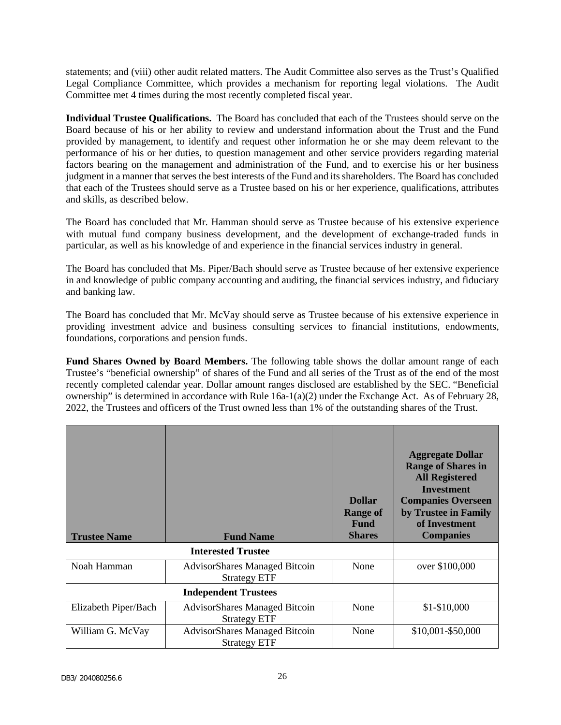statements; and (viii) other audit related matters. The Audit Committee also serves as the Trust's Qualified Legal Compliance Committee, which provides a mechanism for reporting legal violations. The Audit Committee met 4 times during the most recently completed fiscal year.

**Individual Trustee Qualifications.** The Board has concluded that each of the Trustees should serve on the Board because of his or her ability to review and understand information about the Trust and the Fund provided by management, to identify and request other information he or she may deem relevant to the performance of his or her duties, to question management and other service providers regarding material factors bearing on the management and administration of the Fund, and to exercise his or her business judgment in a manner that serves the best interests of the Fund and its shareholders. The Board has concluded that each of the Trustees should serve as a Trustee based on his or her experience, qualifications, attributes and skills, as described below.

The Board has concluded that Mr. Hamman should serve as Trustee because of his extensive experience with mutual fund company business development, and the development of exchange-traded funds in particular, as well as his knowledge of and experience in the financial services industry in general.

The Board has concluded that Ms. Piper/Bach should serve as Trustee because of her extensive experience in and knowledge of public company accounting and auditing, the financial services industry, and fiduciary and banking law.

The Board has concluded that Mr. McVay should serve as Trustee because of his extensive experience in providing investment advice and business consulting services to financial institutions, endowments, foundations, corporations and pension funds.

**Fund Shares Owned by Board Members.** The following table shows the dollar amount range of each Trustee's "beneficial ownership" of shares of the Fund and all series of the Trust as of the end of the most recently completed calendar year. Dollar amount ranges disclosed are established by the SEC. "Beneficial ownership" is determined in accordance with Rule  $16a-1(a)(2)$  under the Exchange Act. As of February 28, 2022, the Trustees and officers of the Trust owned less than 1% of the outstanding shares of the Trust.

| <b>Trustee Name</b>  | <b>Fund Name</b>                                            | <b>Dollar</b><br><b>Range of</b><br><b>Fund</b><br><b>Shares</b> | <b>Aggregate Dollar</b><br><b>Range of Shares in</b><br><b>All Registered</b><br><b>Investment</b><br><b>Companies Overseen</b><br>by Trustee in Family<br>of Investment<br><b>Companies</b> |
|----------------------|-------------------------------------------------------------|------------------------------------------------------------------|----------------------------------------------------------------------------------------------------------------------------------------------------------------------------------------------|
|                      | <b>Interested Trustee</b>                                   |                                                                  |                                                                                                                                                                                              |
| Noah Hamman          | <b>AdvisorShares Managed Bitcoin</b><br><b>Strategy ETF</b> | None                                                             | over \$100,000                                                                                                                                                                               |
|                      | <b>Independent Trustees</b>                                 |                                                                  |                                                                                                                                                                                              |
| Elizabeth Piper/Bach | <b>AdvisorShares Managed Bitcoin</b><br><b>Strategy ETF</b> | None                                                             | $$1-$10,000$                                                                                                                                                                                 |
| William G. McVay     | AdvisorShares Managed Bitcoin<br><b>Strategy ETF</b>        | None                                                             | \$10,001-\$50,000                                                                                                                                                                            |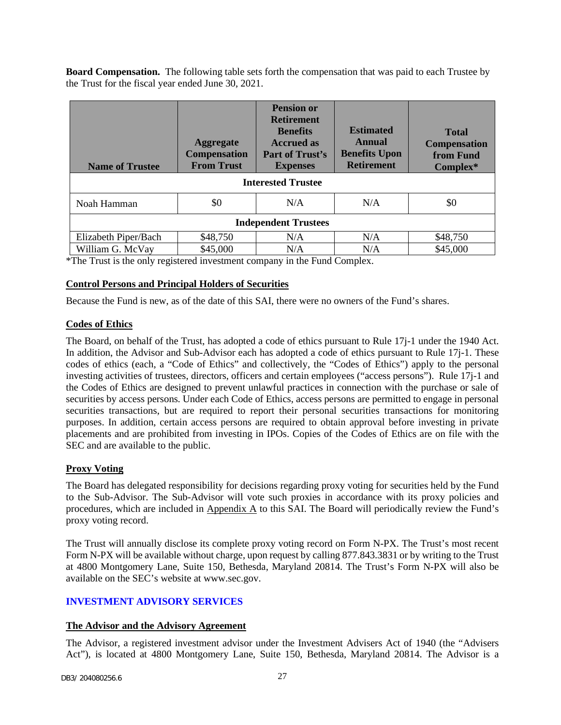**Board Compensation.** The following table sets forth the compensation that was paid to each Trustee by the Trust for the fiscal year ended June 30, 2021.

| <b>Name of Trustee</b>      | <b>Aggregate</b><br><b>Compensation</b><br><b>From Trust</b> | <b>Pension or</b><br><b>Retirement</b><br><b>Benefits</b><br><b>Accrued as</b><br>Part of Trust's<br><b>Expenses</b> | <b>Estimated</b><br>Annual<br><b>Benefits Upon</b><br><b>Retirement</b> | <b>Total</b><br><b>Compensation</b><br>from Fund<br>Complex* |
|-----------------------------|--------------------------------------------------------------|----------------------------------------------------------------------------------------------------------------------|-------------------------------------------------------------------------|--------------------------------------------------------------|
| <b>Interested Trustee</b>   |                                                              |                                                                                                                      |                                                                         |                                                              |
| Noah Hamman                 | \$0                                                          | N/A                                                                                                                  | N/A                                                                     | \$0                                                          |
| <b>Independent Trustees</b> |                                                              |                                                                                                                      |                                                                         |                                                              |
| Elizabeth Piper/Bach        | \$48,750                                                     | N/A                                                                                                                  | N/A                                                                     | \$48,750                                                     |
| William G. McVay            | \$45,000                                                     | N/A                                                                                                                  | N/A                                                                     | \$45,000                                                     |

\*The Trust is the only registered investment company in the Fund Complex.

## **Control Persons and Principal Holders of Securities**

Because the Fund is new, as of the date of this SAI, there were no owners of the Fund's shares.

## **Codes of Ethics**

The Board, on behalf of the Trust, has adopted a code of ethics pursuant to Rule 17j-1 under the 1940 Act. In addition, the Advisor and Sub-Advisor each has adopted a code of ethics pursuant to Rule 17j-1. These codes of ethics (each, a "Code of Ethics" and collectively, the "Codes of Ethics") apply to the personal investing activities of trustees, directors, officers and certain employees ("access persons"). Rule 17j-1 and the Codes of Ethics are designed to prevent unlawful practices in connection with the purchase or sale of securities by access persons. Under each Code of Ethics, access persons are permitted to engage in personal securities transactions, but are required to report their personal securities transactions for monitoring purposes. In addition, certain access persons are required to obtain approval before investing in private placements and are prohibited from investing in IPOs. Copies of the Codes of Ethics are on file with the SEC and are available to the public.

## **Proxy Voting**

The Board has delegated responsibility for decisions regarding proxy voting for securities held by the Fund to the Sub-Advisor. The Sub-Advisor will vote such proxies in accordance with its proxy policies and procedures, which are included in Appendix A to this SAI. The Board will periodically review the Fund's proxy voting record.

The Trust will annually disclose its complete proxy voting record on Form N-PX. The Trust's most recent Form N-PX will be available without charge, upon request by calling 877.843.3831 or by writing to the Trust at 4800 Montgomery Lane, Suite 150, Bethesda, Maryland 20814. The Trust's Form N-PX will also be available on the SEC's website at www.sec.gov.

## <span id="page-28-0"></span>**INVESTMENT ADVISORY SERVICES**

## **The Advisor and the Advisory Agreement**

The Advisor, a registered investment advisor under the Investment Advisers Act of 1940 (the "Advisers Act"), is located at 4800 Montgomery Lane, Suite 150, Bethesda, Maryland 20814. The Advisor is a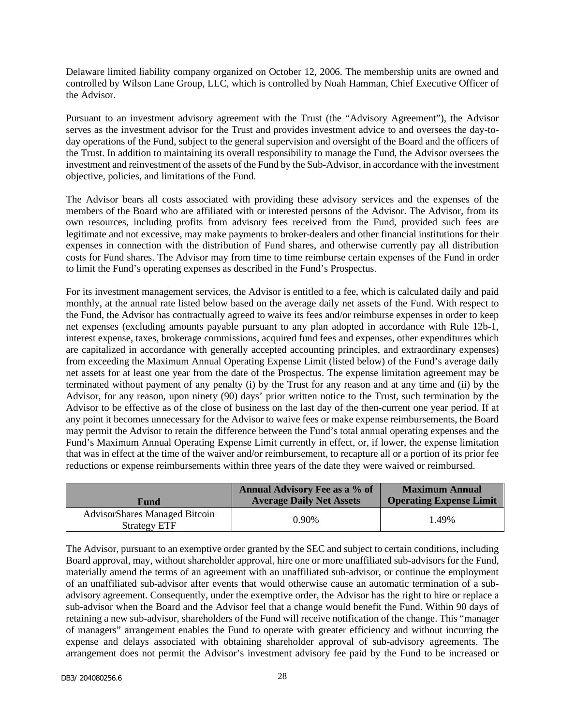Delaware limited liability company organized on October 12, 2006. The membership units are owned and controlled by Wilson Lane Group, LLC, which is controlled by Noah Hamman, Chief Executive Officer of the Advisor.

Pursuant to an investment advisory agreement with the Trust (the "Advisory Agreement"), the Advisor serves as the investment advisor for the Trust and provides investment advice to and oversees the day-today operations of the Fund, subject to the general supervision and oversight of the Board and the officers of the Trust. In addition to maintaining its overall responsibility to manage the Fund, the Advisor oversees the investment and reinvestment of the assets of the Fund by the Sub-Advisor, in accordance with the investment objective, policies, and limitations of the Fund.

The Advisor bears all costs associated with providing these advisory services and the expenses of the members of the Board who are affiliated with or interested persons of the Advisor. The Advisor, from its own resources, including profits from advisory fees received from the Fund, provided such fees are legitimate and not excessive, may make payments to broker-dealers and other financial institutions for their expenses in connection with the distribution of Fund shares, and otherwise currently pay all distribution costs for Fund shares. The Advisor may from time to time reimburse certain expenses of the Fund in order to limit the Fund's operating expenses as described in the Fund's Prospectus.

For its investment management services, the Advisor is entitled to a fee, which is calculated daily and paid monthly, at the annual rate listed below based on the average daily net assets of the Fund. With respect to the Fund, the Advisor has contractually agreed to waive its fees and/or reimburse expenses in order to keep net expenses (excluding amounts payable pursuant to any plan adopted in accordance with Rule 12b-1, interest expense, taxes, brokerage commissions, acquired fund fees and expenses, other expenditures which are capitalized in accordance with generally accepted accounting principles, and extraordinary expenses) from exceeding the Maximum Annual Operating Expense Limit (listed below) of the Fund's average daily net assets for at least one year from the date of the Prospectus. The expense limitation agreement may be terminated without payment of any penalty (i) by the Trust for any reason and at any time and (ii) by the Advisor, for any reason, upon ninety (90) days' prior written notice to the Trust, such termination by the Advisor to be effective as of the close of business on the last day of the then-current one year period. If at any point it becomes unnecessary for the Advisor to waive fees or make expense reimbursements, the Board may permit the Advisor to retain the difference between the Fund's total annual operating expenses and the Fund's Maximum Annual Operating Expense Limit currently in effect, or, if lower, the expense limitation that was in effect at the time of the waiver and/or reimbursement, to recapture all or a portion of its prior fee reductions or expense reimbursements within three years of the date they were waived or reimbursed.

| <b>Fund</b>                                                 | <b>Annual Advisory Fee as a % of</b><br><b>Average Daily Net Assets</b> | <b>Maximum Annual</b><br><b>Operating Expense Limit</b> |
|-------------------------------------------------------------|-------------------------------------------------------------------------|---------------------------------------------------------|
| <b>AdvisorShares Managed Bitcoin</b><br><b>Strategy ETF</b> | $0.90\%$                                                                | 1.49%                                                   |

The Advisor, pursuant to an exemptive order granted by the SEC and subject to certain conditions, including Board approval, may, without shareholder approval, hire one or more unaffiliated sub-advisors for the Fund, materially amend the terms of an agreement with an unaffiliated sub-advisor, or continue the employment of an unaffiliated sub-advisor after events that would otherwise cause an automatic termination of a subadvisory agreement. Consequently, under the exemptive order, the Advisor has the right to hire or replace a sub-advisor when the Board and the Advisor feel that a change would benefit the Fund. Within 90 days of retaining a new sub-advisor, shareholders of the Fund will receive notification of the change. This "manager of managers" arrangement enables the Fund to operate with greater efficiency and without incurring the expense and delays associated with obtaining shareholder approval of sub-advisory agreements. The arrangement does not permit the Advisor's investment advisory fee paid by the Fund to be increased or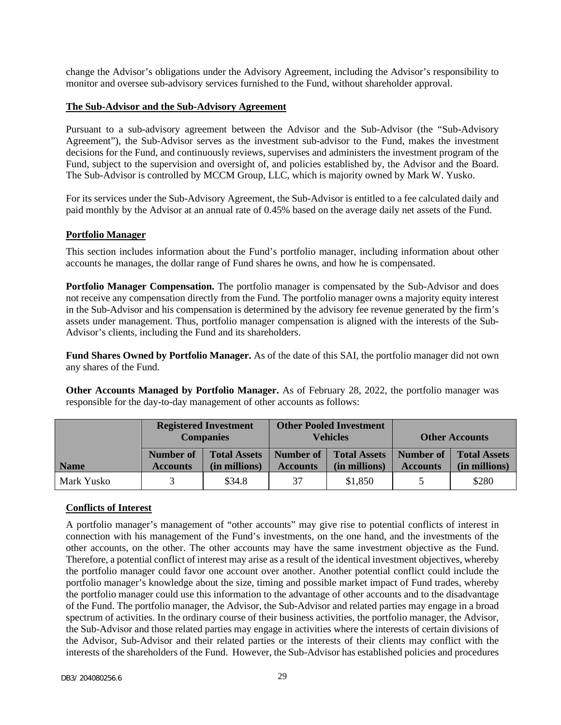change the Advisor's obligations under the Advisory Agreement, including the Advisor's responsibility to monitor and oversee sub-advisory services furnished to the Fund, without shareholder approval.

#### **The Sub-Advisor and the Sub-Advisory Agreement**

Pursuant to a sub-advisory agreement between the Advisor and the Sub-Advisor (the "Sub-Advisory Agreement"), the Sub-Advisor serves as the investment sub-advisor to the Fund, makes the investment decisions for the Fund, and continuously reviews, supervises and administers the investment program of the Fund, subject to the supervision and oversight of, and policies established by, the Advisor and the Board. The Sub-Advisor is controlled by MCCM Group, LLC, which is majority owned by Mark W. Yusko.

For its services under the Sub-Advisory Agreement, the Sub-Advisor is entitled to a fee calculated daily and paid monthly by the Advisor at an annual rate of 0.45% based on the average daily net assets of the Fund.

#### **Portfolio Manager**

This section includes information about the Fund's portfolio manager, including information about other accounts he manages, the dollar range of Fund shares he owns, and how he is compensated.

**Portfolio Manager Compensation.** The portfolio manager is compensated by the Sub-Advisor and does not receive any compensation directly from the Fund. The portfolio manager owns a majority equity interest in the Sub-Advisor and his compensation is determined by the advisory fee revenue generated by the firm's assets under management. Thus, portfolio manager compensation is aligned with the interests of the Sub-Advisor's clients, including the Fund and its shareholders.

**Fund Shares Owned by Portfolio Manager.** As of the date of this SAI, the portfolio manager did not own any shares of the Fund.

**Other Accounts Managed by Portfolio Manager.** As of February 28, 2022, the portfolio manager was responsible for the day-to-day management of other accounts as follows:

|             |                              | <b>Registered Investment</b><br><b>Companies</b> |                              | <b>Other Pooled Investment</b><br><b>Vehicles</b> |                              | <b>Other Accounts</b>                |
|-------------|------------------------------|--------------------------------------------------|------------------------------|---------------------------------------------------|------------------------------|--------------------------------------|
| <b>Name</b> | Number of<br><b>Accounts</b> | <b>Total Assets</b><br>(in millions)             | Number of<br><b>Accounts</b> | <b>Total Assets</b><br>(in millions)              | Number of<br><b>Accounts</b> | <b>Total Assets</b><br>(in millions) |
| Mark Yusko  |                              | \$34.8                                           | 37                           | \$1,850                                           |                              | \$280                                |

#### **Conflicts of Interest**

A portfolio manager's management of "other accounts" may give rise to potential conflicts of interest in connection with his management of the Fund's investments, on the one hand, and the investments of the other accounts, on the other. The other accounts may have the same investment objective as the Fund. Therefore, a potential conflict of interest may arise as a result of the identical investment objectives, whereby the portfolio manager could favor one account over another. Another potential conflict could include the portfolio manager's knowledge about the size, timing and possible market impact of Fund trades, whereby the portfolio manager could use this information to the advantage of other accounts and to the disadvantage of the Fund. The portfolio manager, the Advisor, the Sub-Advisor and related parties may engage in a broad spectrum of activities. In the ordinary course of their business activities, the portfolio manager, the Advisor, the Sub-Advisor and those related parties may engage in activities where the interests of certain divisions of the Advisor, Sub-Advisor and their related parties or the interests of their clients may conflict with the interests of the shareholders of the Fund. However, the Sub-Advisor has established policies and procedures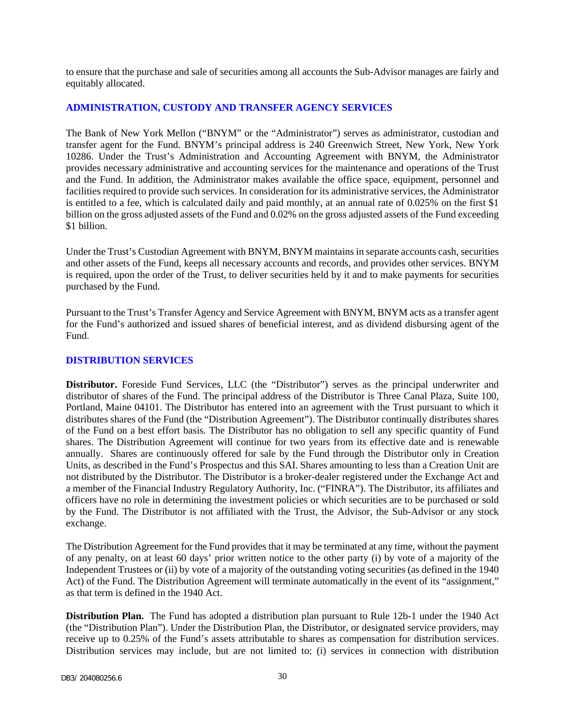to ensure that the purchase and sale of securities among all accounts the Sub-Advisor manages are fairly and equitably allocated.

### <span id="page-31-0"></span>**ADMINISTRATION, CUSTODY AND TRANSFER AGENCY SERVICES**

The Bank of New York Mellon ("BNYM" or the "Administrator") serves as administrator, custodian and transfer agent for the Fund. BNYM's principal address is 240 Greenwich Street, New York, New York 10286. Under the Trust's Administration and Accounting Agreement with BNYM, the Administrator provides necessary administrative and accounting services for the maintenance and operations of the Trust and the Fund. In addition, the Administrator makes available the office space, equipment, personnel and facilities required to provide such services. In consideration for its administrative services, the Administrator is entitled to a fee, which is calculated daily and paid monthly, at an annual rate of 0.025% on the first \$1 billion on the gross adjusted assets of the Fund and 0.02% on the gross adjusted assets of the Fund exceeding \$1 billion.

Under the Trust's Custodian Agreement with BNYM, BNYM maintains in separate accounts cash, securities and other assets of the Fund, keeps all necessary accounts and records, and provides other services. BNYM is required, upon the order of the Trust, to deliver securities held by it and to make payments for securities purchased by the Fund.

Pursuant to the Trust's Transfer Agency and Service Agreement with BNYM, BNYM acts as a transfer agent for the Fund's authorized and issued shares of beneficial interest, and as dividend disbursing agent of the Fund.

#### <span id="page-31-1"></span>**DISTRIBUTION SERVICES**

**Distributor.** Foreside Fund Services, LLC (the "Distributor") serves as the principal underwriter and distributor of shares of the Fund. The principal address of the Distributor is Three Canal Plaza, Suite 100, Portland, Maine 04101. The Distributor has entered into an agreement with the Trust pursuant to which it distributes shares of the Fund (the "Distribution Agreement"). The Distributor continually distributes shares of the Fund on a best effort basis. The Distributor has no obligation to sell any specific quantity of Fund shares. The Distribution Agreement will continue for two years from its effective date and is renewable annually. Shares are continuously offered for sale by the Fund through the Distributor only in Creation Units, as described in the Fund's Prospectus and this SAI. Shares amounting to less than a Creation Unit are not distributed by the Distributor. The Distributor is a broker-dealer registered under the Exchange Act and a member of the Financial Industry Regulatory Authority, Inc. ("FINRA"). The Distributor, its affiliates and officers have no role in determining the investment policies or which securities are to be purchased or sold by the Fund. The Distributor is not affiliated with the Trust, the Advisor, the Sub-Advisor or any stock exchange.

The Distribution Agreement for the Fund provides that it may be terminated at any time, without the payment of any penalty, on at least 60 days' prior written notice to the other party (i) by vote of a majority of the Independent Trustees or (ii) by vote of a majority of the outstanding voting securities (as defined in the 1940 Act) of the Fund. The Distribution Agreement will terminate automatically in the event of its "assignment," as that term is defined in the 1940 Act.

**Distribution Plan.** The Fund has adopted a distribution plan pursuant to Rule 12b-1 under the 1940 Act (the "Distribution Plan"). Under the Distribution Plan, the Distributor, or designated service providers, may receive up to 0.25% of the Fund's assets attributable to shares as compensation for distribution services. Distribution services may include, but are not limited to: (i) services in connection with distribution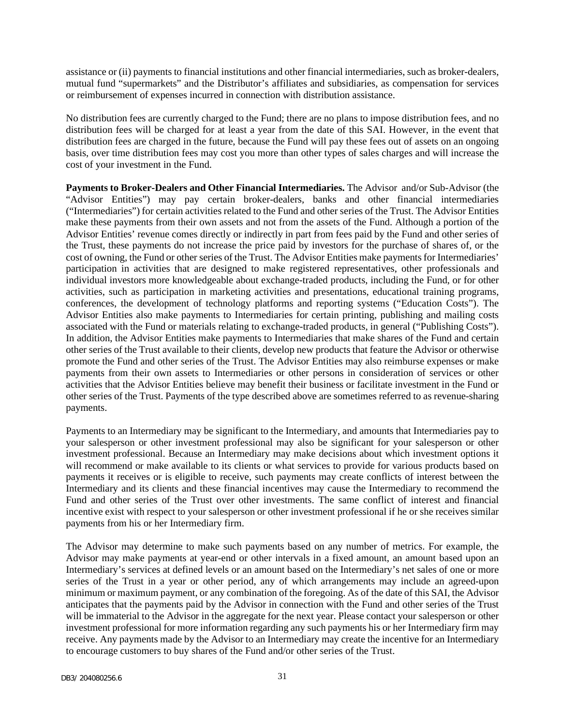assistance or (ii) payments to financial institutions and other financial intermediaries, such as broker-dealers, mutual fund "supermarkets" and the Distributor's affiliates and subsidiaries, as compensation for services or reimbursement of expenses incurred in connection with distribution assistance.

No distribution fees are currently charged to the Fund; there are no plans to impose distribution fees, and no distribution fees will be charged for at least a year from the date of this SAI. However, in the event that distribution fees are charged in the future, because the Fund will pay these fees out of assets on an ongoing basis, over time distribution fees may cost you more than other types of sales charges and will increase the cost of your investment in the Fund.

**Payments to Broker-Dealers and Other Financial Intermediaries.** The Advisor and/or Sub-Advisor (the "Advisor Entities") may pay certain broker-dealers, banks and other financial intermediaries ("Intermediaries") for certain activities related to the Fund and other series of the Trust. The Advisor Entities make these payments from their own assets and not from the assets of the Fund. Although a portion of the Advisor Entities' revenue comes directly or indirectly in part from fees paid by the Fund and other series of the Trust, these payments do not increase the price paid by investors for the purchase of shares of, or the cost of owning, the Fund or other series of the Trust. The Advisor Entities make payments for Intermediaries' participation in activities that are designed to make registered representatives, other professionals and individual investors more knowledgeable about exchange-traded products, including the Fund, or for other activities, such as participation in marketing activities and presentations, educational training programs, conferences, the development of technology platforms and reporting systems ("Education Costs"). The Advisor Entities also make payments to Intermediaries for certain printing, publishing and mailing costs associated with the Fund or materials relating to exchange-traded products, in general ("Publishing Costs"). In addition, the Advisor Entities make payments to Intermediaries that make shares of the Fund and certain other series of the Trust available to their clients, develop new products that feature the Advisor or otherwise promote the Fund and other series of the Trust. The Advisor Entities may also reimburse expenses or make payments from their own assets to Intermediaries or other persons in consideration of services or other activities that the Advisor Entities believe may benefit their business or facilitate investment in the Fund or other series of the Trust. Payments of the type described above are sometimes referred to as revenue-sharing payments.

Payments to an Intermediary may be significant to the Intermediary, and amounts that Intermediaries pay to your salesperson or other investment professional may also be significant for your salesperson or other investment professional. Because an Intermediary may make decisions about which investment options it will recommend or make available to its clients or what services to provide for various products based on payments it receives or is eligible to receive, such payments may create conflicts of interest between the Intermediary and its clients and these financial incentives may cause the Intermediary to recommend the Fund and other series of the Trust over other investments. The same conflict of interest and financial incentive exist with respect to your salesperson or other investment professional if he or she receives similar payments from his or her Intermediary firm.

The Advisor may determine to make such payments based on any number of metrics. For example, the Advisor may make payments at year-end or other intervals in a fixed amount, an amount based upon an Intermediary's services at defined levels or an amount based on the Intermediary's net sales of one or more series of the Trust in a year or other period, any of which arrangements may include an agreed-upon minimum or maximum payment, or any combination of the foregoing. As of the date of this SAI, the Advisor anticipates that the payments paid by the Advisor in connection with the Fund and other series of the Trust will be immaterial to the Advisor in the aggregate for the next year. Please contact your salesperson or other investment professional for more information regarding any such payments his or her Intermediary firm may receive. Any payments made by the Advisor to an Intermediary may create the incentive for an Intermediary to encourage customers to buy shares of the Fund and/or other series of the Trust.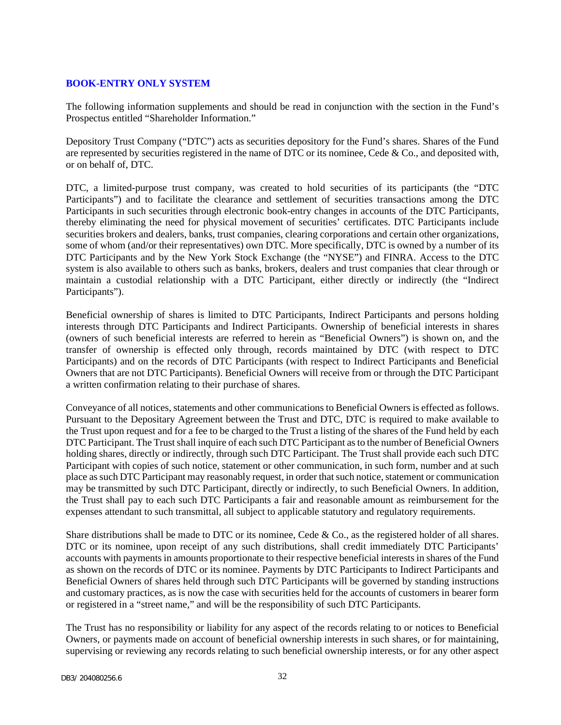## <span id="page-33-0"></span>**BOOK-ENTRY ONLY SYSTEM**

The following information supplements and should be read in conjunction with the section in the Fund's Prospectus entitled "Shareholder Information."

Depository Trust Company ("DTC") acts as securities depository for the Fund's shares. Shares of the Fund are represented by securities registered in the name of DTC or its nominee, Cede & Co., and deposited with, or on behalf of, DTC.

DTC, a limited-purpose trust company, was created to hold securities of its participants (the "DTC Participants") and to facilitate the clearance and settlement of securities transactions among the DTC Participants in such securities through electronic book-entry changes in accounts of the DTC Participants, thereby eliminating the need for physical movement of securities' certificates. DTC Participants include securities brokers and dealers, banks, trust companies, clearing corporations and certain other organizations, some of whom (and/or their representatives) own DTC. More specifically, DTC is owned by a number of its DTC Participants and by the New York Stock Exchange (the "NYSE") and FINRA. Access to the DTC system is also available to others such as banks, brokers, dealers and trust companies that clear through or maintain a custodial relationship with a DTC Participant, either directly or indirectly (the "Indirect Participants").

Beneficial ownership of shares is limited to DTC Participants, Indirect Participants and persons holding interests through DTC Participants and Indirect Participants. Ownership of beneficial interests in shares (owners of such beneficial interests are referred to herein as "Beneficial Owners") is shown on, and the transfer of ownership is effected only through, records maintained by DTC (with respect to DTC Participants) and on the records of DTC Participants (with respect to Indirect Participants and Beneficial Owners that are not DTC Participants). Beneficial Owners will receive from or through the DTC Participant a written confirmation relating to their purchase of shares.

Conveyance of all notices, statements and other communications to Beneficial Owners is effected as follows. Pursuant to the Depositary Agreement between the Trust and DTC, DTC is required to make available to the Trust upon request and for a fee to be charged to the Trust a listing of the shares of the Fund held by each DTC Participant. The Trust shall inquire of each such DTC Participant as to the number of Beneficial Owners holding shares, directly or indirectly, through such DTC Participant. The Trust shall provide each such DTC Participant with copies of such notice, statement or other communication, in such form, number and at such place as such DTC Participant may reasonably request, in order that such notice, statement or communication may be transmitted by such DTC Participant, directly or indirectly, to such Beneficial Owners. In addition, the Trust shall pay to each such DTC Participants a fair and reasonable amount as reimbursement for the expenses attendant to such transmittal, all subject to applicable statutory and regulatory requirements.

Share distributions shall be made to DTC or its nominee, Cede & Co., as the registered holder of all shares. DTC or its nominee, upon receipt of any such distributions, shall credit immediately DTC Participants' accounts with payments in amounts proportionate to their respective beneficial interests in shares of the Fund as shown on the records of DTC or its nominee. Payments by DTC Participants to Indirect Participants and Beneficial Owners of shares held through such DTC Participants will be governed by standing instructions and customary practices, as is now the case with securities held for the accounts of customers in bearer form or registered in a "street name," and will be the responsibility of such DTC Participants.

The Trust has no responsibility or liability for any aspect of the records relating to or notices to Beneficial Owners, or payments made on account of beneficial ownership interests in such shares, or for maintaining, supervising or reviewing any records relating to such beneficial ownership interests, or for any other aspect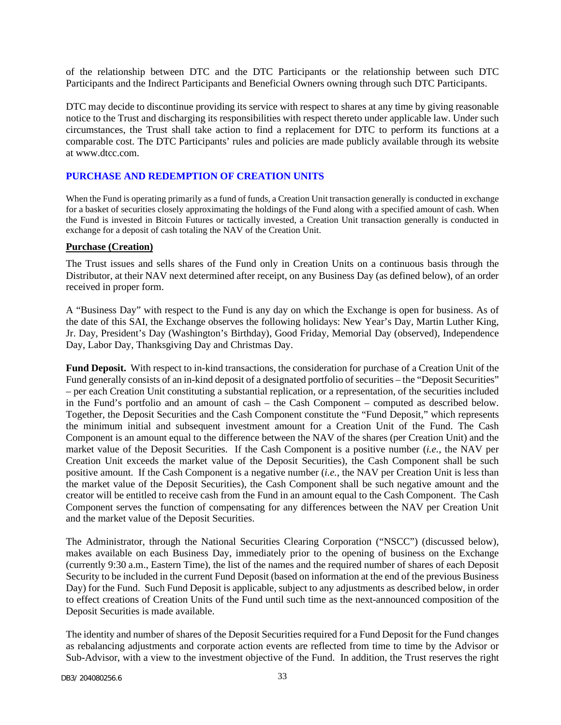of the relationship between DTC and the DTC Participants or the relationship between such DTC Participants and the Indirect Participants and Beneficial Owners owning through such DTC Participants.

DTC may decide to discontinue providing its service with respect to shares at any time by giving reasonable notice to the Trust and discharging its responsibilities with respect thereto under applicable law. Under such circumstances, the Trust shall take action to find a replacement for DTC to perform its functions at a comparable cost. The DTC Participants' rules and policies are made publicly available through its website at www.dtcc.com.

## <span id="page-34-0"></span>**PURCHASE AND REDEMPTION OF CREATION UNITS**

When the Fund is operating primarily as a fund of funds, a Creation Unit transaction generally is conducted in exchange for a basket of securities closely approximating the holdings of the Fund along with a specified amount of cash. When the Fund is invested in Bitcoin Futures or tactically invested, a Creation Unit transaction generally is conducted in exchange for a deposit of cash totaling the NAV of the Creation Unit.

### **Purchase (Creation)**

The Trust issues and sells shares of the Fund only in Creation Units on a continuous basis through the Distributor, at their NAV next determined after receipt, on any Business Day (as defined below), of an order received in proper form.

A "Business Day" with respect to the Fund is any day on which the Exchange is open for business. As of the date of this SAI, the Exchange observes the following holidays: New Year's Day, Martin Luther King, Jr. Day, President's Day (Washington's Birthday), Good Friday, Memorial Day (observed), Independence Day, Labor Day, Thanksgiving Day and Christmas Day.

**Fund Deposit.** With respect to in-kind transactions, the consideration for purchase of a Creation Unit of the Fund generally consists of an in-kind deposit of a designated portfolio of securities – the "Deposit Securities" – per each Creation Unit constituting a substantial replication, or a representation, of the securities included in the Fund's portfolio and an amount of cash – the Cash Component – computed as described below. Together, the Deposit Securities and the Cash Component constitute the "Fund Deposit," which represents the minimum initial and subsequent investment amount for a Creation Unit of the Fund. The Cash Component is an amount equal to the difference between the NAV of the shares (per Creation Unit) and the market value of the Deposit Securities. If the Cash Component is a positive number (*i.e.*, the NAV per Creation Unit exceeds the market value of the Deposit Securities), the Cash Component shall be such positive amount. If the Cash Component is a negative number (*i.e.*, the NAV per Creation Unit is less than the market value of the Deposit Securities), the Cash Component shall be such negative amount and the creator will be entitled to receive cash from the Fund in an amount equal to the Cash Component. The Cash Component serves the function of compensating for any differences between the NAV per Creation Unit and the market value of the Deposit Securities.

The Administrator, through the National Securities Clearing Corporation ("NSCC") (discussed below), makes available on each Business Day, immediately prior to the opening of business on the Exchange (currently 9:30 a.m., Eastern Time), the list of the names and the required number of shares of each Deposit Security to be included in the current Fund Deposit (based on information at the end of the previous Business Day) for the Fund. Such Fund Deposit is applicable, subject to any adjustments as described below, in order to effect creations of Creation Units of the Fund until such time as the next-announced composition of the Deposit Securities is made available.

The identity and number of shares of the Deposit Securities required for a Fund Deposit for the Fund changes as rebalancing adjustments and corporate action events are reflected from time to time by the Advisor or Sub-Advisor, with a view to the investment objective of the Fund. In addition, the Trust reserves the right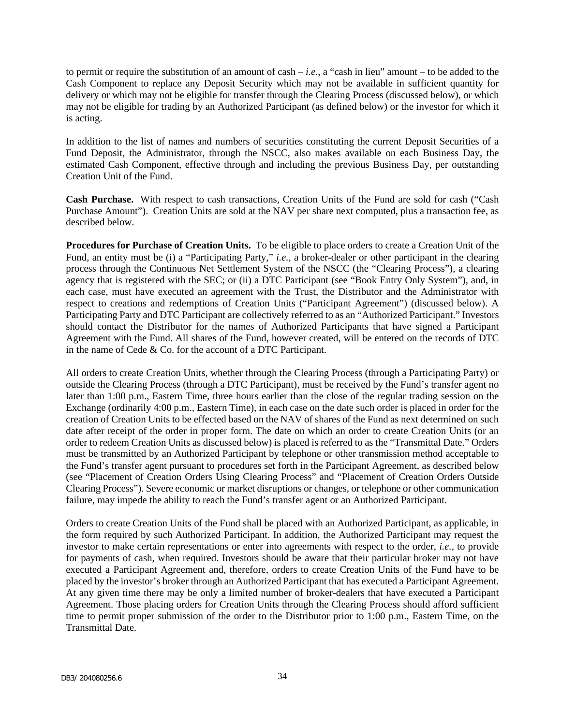to permit or require the substitution of an amount of cash – *i.e.*, a "cash in lieu" amount – to be added to the Cash Component to replace any Deposit Security which may not be available in sufficient quantity for delivery or which may not be eligible for transfer through the Clearing Process (discussed below), or which may not be eligible for trading by an Authorized Participant (as defined below) or the investor for which it is acting.

In addition to the list of names and numbers of securities constituting the current Deposit Securities of a Fund Deposit, the Administrator, through the NSCC, also makes available on each Business Day, the estimated Cash Component, effective through and including the previous Business Day, per outstanding Creation Unit of the Fund.

**Cash Purchase.** With respect to cash transactions, Creation Units of the Fund are sold for cash ("Cash Purchase Amount"). Creation Units are sold at the NAV per share next computed, plus a transaction fee, as described below.

**Procedures for Purchase of Creation Units.** To be eligible to place orders to create a Creation Unit of the Fund, an entity must be (i) a "Participating Party," *i.e.*, a broker-dealer or other participant in the clearing process through the Continuous Net Settlement System of the NSCC (the "Clearing Process"), a clearing agency that is registered with the SEC; or (ii) a DTC Participant (see "Book Entry Only System"), and, in each case, must have executed an agreement with the Trust, the Distributor and the Administrator with respect to creations and redemptions of Creation Units ("Participant Agreement") (discussed below). A Participating Party and DTC Participant are collectively referred to as an "Authorized Participant." Investors should contact the Distributor for the names of Authorized Participants that have signed a Participant Agreement with the Fund. All shares of the Fund, however created, will be entered on the records of DTC in the name of Cede & Co. for the account of a DTC Participant.

All orders to create Creation Units, whether through the Clearing Process (through a Participating Party) or outside the Clearing Process (through a DTC Participant), must be received by the Fund's transfer agent no later than 1:00 p.m., Eastern Time, three hours earlier than the close of the regular trading session on the Exchange (ordinarily 4:00 p.m., Eastern Time), in each case on the date such order is placed in order for the creation of Creation Units to be effected based on the NAV of shares of the Fund as next determined on such date after receipt of the order in proper form. The date on which an order to create Creation Units (or an order to redeem Creation Units as discussed below) is placed is referred to as the "Transmittal Date." Orders must be transmitted by an Authorized Participant by telephone or other transmission method acceptable to the Fund's transfer agent pursuant to procedures set forth in the Participant Agreement, as described below (see "Placement of Creation Orders Using Clearing Process" and "Placement of Creation Orders Outside Clearing Process"). Severe economic or market disruptions or changes, or telephone or other communication failure, may impede the ability to reach the Fund's transfer agent or an Authorized Participant.

Orders to create Creation Units of the Fund shall be placed with an Authorized Participant, as applicable, in the form required by such Authorized Participant. In addition, the Authorized Participant may request the investor to make certain representations or enter into agreements with respect to the order, *i.e.*, to provide for payments of cash, when required. Investors should be aware that their particular broker may not have executed a Participant Agreement and, therefore, orders to create Creation Units of the Fund have to be placed by the investor's broker through an Authorized Participant that has executed a Participant Agreement. At any given time there may be only a limited number of broker-dealers that have executed a Participant Agreement. Those placing orders for Creation Units through the Clearing Process should afford sufficient time to permit proper submission of the order to the Distributor prior to 1:00 p.m., Eastern Time, on the Transmittal Date.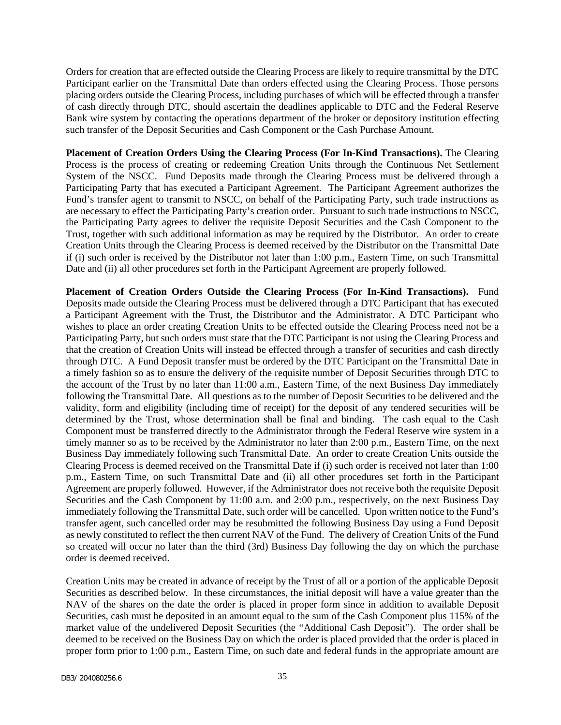Orders for creation that are effected outside the Clearing Process are likely to require transmittal by the DTC Participant earlier on the Transmittal Date than orders effected using the Clearing Process. Those persons placing orders outside the Clearing Process, including purchases of which will be effected through a transfer of cash directly through DTC, should ascertain the deadlines applicable to DTC and the Federal Reserve Bank wire system by contacting the operations department of the broker or depository institution effecting such transfer of the Deposit Securities and Cash Component or the Cash Purchase Amount.

**Placement of Creation Orders Using the Clearing Process (For In-Kind Transactions).** The Clearing Process is the process of creating or redeeming Creation Units through the Continuous Net Settlement System of the NSCC. Fund Deposits made through the Clearing Process must be delivered through a Participating Party that has executed a Participant Agreement. The Participant Agreement authorizes the Fund's transfer agent to transmit to NSCC, on behalf of the Participating Party, such trade instructions as are necessary to effect the Participating Party's creation order. Pursuant to such trade instructions to NSCC, the Participating Party agrees to deliver the requisite Deposit Securities and the Cash Component to the Trust, together with such additional information as may be required by the Distributor. An order to create Creation Units through the Clearing Process is deemed received by the Distributor on the Transmittal Date if (i) such order is received by the Distributor not later than 1:00 p.m., Eastern Time, on such Transmittal Date and (ii) all other procedures set forth in the Participant Agreement are properly followed.

**Placement of Creation Orders Outside the Clearing Process (For In-Kind Transactions).** Fund Deposits made outside the Clearing Process must be delivered through a DTC Participant that has executed a Participant Agreement with the Trust, the Distributor and the Administrator. A DTC Participant who wishes to place an order creating Creation Units to be effected outside the Clearing Process need not be a Participating Party, but such orders must state that the DTC Participant is not using the Clearing Process and that the creation of Creation Units will instead be effected through a transfer of securities and cash directly through DTC. A Fund Deposit transfer must be ordered by the DTC Participant on the Transmittal Date in a timely fashion so as to ensure the delivery of the requisite number of Deposit Securities through DTC to the account of the Trust by no later than 11:00 a.m., Eastern Time, of the next Business Day immediately following the Transmittal Date. All questions as to the number of Deposit Securities to be delivered and the validity, form and eligibility (including time of receipt) for the deposit of any tendered securities will be determined by the Trust, whose determination shall be final and binding. The cash equal to the Cash Component must be transferred directly to the Administrator through the Federal Reserve wire system in a timely manner so as to be received by the Administrator no later than 2:00 p.m., Eastern Time, on the next Business Day immediately following such Transmittal Date. An order to create Creation Units outside the Clearing Process is deemed received on the Transmittal Date if (i) such order is received not later than 1:00 p.m., Eastern Time, on such Transmittal Date and (ii) all other procedures set forth in the Participant Agreement are properly followed. However, if the Administrator does not receive both the requisite Deposit Securities and the Cash Component by 11:00 a.m. and 2:00 p.m., respectively, on the next Business Day immediately following the Transmittal Date, such order will be cancelled. Upon written notice to the Fund's transfer agent, such cancelled order may be resubmitted the following Business Day using a Fund Deposit as newly constituted to reflect the then current NAV of the Fund. The delivery of Creation Units of the Fund so created will occur no later than the third (3rd) Business Day following the day on which the purchase order is deemed received.

Creation Units may be created in advance of receipt by the Trust of all or a portion of the applicable Deposit Securities as described below. In these circumstances, the initial deposit will have a value greater than the NAV of the shares on the date the order is placed in proper form since in addition to available Deposit Securities, cash must be deposited in an amount equal to the sum of the Cash Component plus 115% of the market value of the undelivered Deposit Securities (the "Additional Cash Deposit"). The order shall be deemed to be received on the Business Day on which the order is placed provided that the order is placed in proper form prior to 1:00 p.m., Eastern Time, on such date and federal funds in the appropriate amount are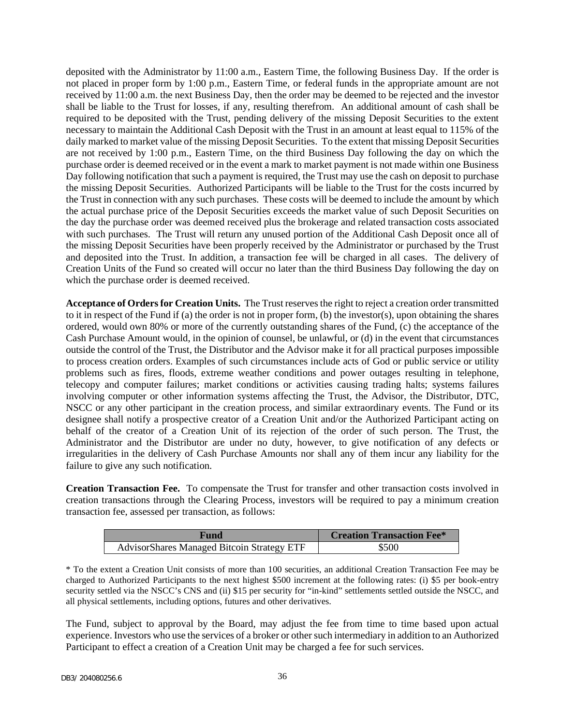deposited with the Administrator by 11:00 a.m., Eastern Time, the following Business Day. If the order is not placed in proper form by 1:00 p.m., Eastern Time, or federal funds in the appropriate amount are not received by 11:00 a.m. the next Business Day, then the order may be deemed to be rejected and the investor shall be liable to the Trust for losses, if any, resulting therefrom. An additional amount of cash shall be required to be deposited with the Trust, pending delivery of the missing Deposit Securities to the extent necessary to maintain the Additional Cash Deposit with the Trust in an amount at least equal to 115% of the daily marked to market value of the missing Deposit Securities. To the extent that missing Deposit Securities are not received by 1:00 p.m., Eastern Time, on the third Business Day following the day on which the purchase order is deemed received or in the event a mark to market payment is not made within one Business Day following notification that such a payment is required, the Trust may use the cash on deposit to purchase the missing Deposit Securities. Authorized Participants will be liable to the Trust for the costs incurred by the Trust in connection with any such purchases. These costs will be deemed to include the amount by which the actual purchase price of the Deposit Securities exceeds the market value of such Deposit Securities on the day the purchase order was deemed received plus the brokerage and related transaction costs associated with such purchases. The Trust will return any unused portion of the Additional Cash Deposit once all of the missing Deposit Securities have been properly received by the Administrator or purchased by the Trust and deposited into the Trust. In addition, a transaction fee will be charged in all cases. The delivery of Creation Units of the Fund so created will occur no later than the third Business Day following the day on which the purchase order is deemed received.

**Acceptance of Orders for Creation Units.** The Trust reserves the right to reject a creation order transmitted to it in respect of the Fund if (a) the order is not in proper form, (b) the investor(s), upon obtaining the shares ordered, would own 80% or more of the currently outstanding shares of the Fund, (c) the acceptance of the Cash Purchase Amount would, in the opinion of counsel, be unlawful, or (d) in the event that circumstances outside the control of the Trust, the Distributor and the Advisor make it for all practical purposes impossible to process creation orders. Examples of such circumstances include acts of God or public service or utility problems such as fires, floods, extreme weather conditions and power outages resulting in telephone, telecopy and computer failures; market conditions or activities causing trading halts; systems failures involving computer or other information systems affecting the Trust, the Advisor, the Distributor, DTC, NSCC or any other participant in the creation process, and similar extraordinary events. The Fund or its designee shall notify a prospective creator of a Creation Unit and/or the Authorized Participant acting on behalf of the creator of a Creation Unit of its rejection of the order of such person. The Trust, the Administrator and the Distributor are under no duty, however, to give notification of any defects or irregularities in the delivery of Cash Purchase Amounts nor shall any of them incur any liability for the failure to give any such notification.

**Creation Transaction Fee.** To compensate the Trust for transfer and other transaction costs involved in creation transactions through the Clearing Process, investors will be required to pay a minimum creation transaction fee, assessed per transaction, as follows:

| Fund                                              | <b>Creation Transaction Fee*</b> |
|---------------------------------------------------|----------------------------------|
| <b>AdvisorShares Managed Bitcoin Strategy ETF</b> | \$500                            |

\* To the extent a Creation Unit consists of more than 100 securities, an additional Creation Transaction Fee may be charged to Authorized Participants to the next highest \$500 increment at the following rates: (i) \$5 per book-entry security settled via the NSCC's CNS and (ii) \$15 per security for "in-kind" settlements settled outside the NSCC, and all physical settlements, including options, futures and other derivatives.

The Fund, subject to approval by the Board, may adjust the fee from time to time based upon actual experience. Investors who use the services of a broker or other such intermediary in addition to an Authorized Participant to effect a creation of a Creation Unit may be charged a fee for such services.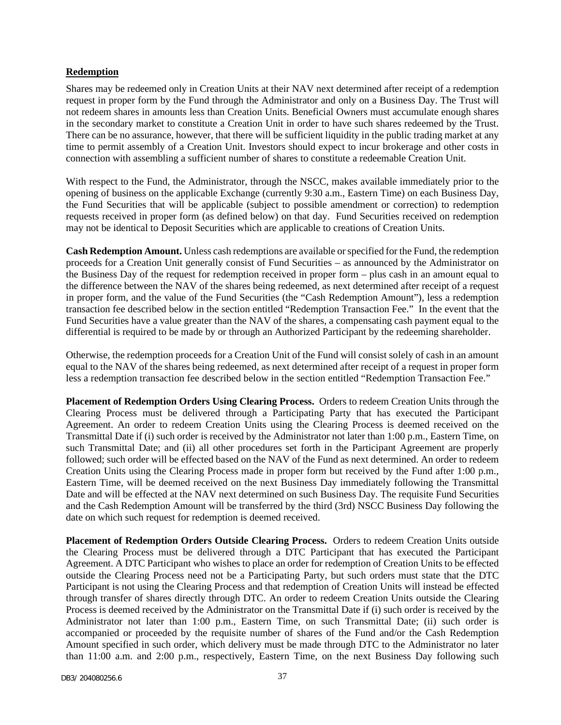#### **Redemption**

Shares may be redeemed only in Creation Units at their NAV next determined after receipt of a redemption request in proper form by the Fund through the Administrator and only on a Business Day. The Trust will not redeem shares in amounts less than Creation Units. Beneficial Owners must accumulate enough shares in the secondary market to constitute a Creation Unit in order to have such shares redeemed by the Trust. There can be no assurance, however, that there will be sufficient liquidity in the public trading market at any time to permit assembly of a Creation Unit. Investors should expect to incur brokerage and other costs in connection with assembling a sufficient number of shares to constitute a redeemable Creation Unit.

With respect to the Fund, the Administrator, through the NSCC, makes available immediately prior to the opening of business on the applicable Exchange (currently 9:30 a.m., Eastern Time) on each Business Day, the Fund Securities that will be applicable (subject to possible amendment or correction) to redemption requests received in proper form (as defined below) on that day. Fund Securities received on redemption may not be identical to Deposit Securities which are applicable to creations of Creation Units.

**Cash Redemption Amount.** Unless cash redemptions are available or specified for the Fund, the redemption proceeds for a Creation Unit generally consist of Fund Securities – as announced by the Administrator on the Business Day of the request for redemption received in proper form – plus cash in an amount equal to the difference between the NAV of the shares being redeemed, as next determined after receipt of a request in proper form, and the value of the Fund Securities (the "Cash Redemption Amount"), less a redemption transaction fee described below in the section entitled "Redemption Transaction Fee." In the event that the Fund Securities have a value greater than the NAV of the shares, a compensating cash payment equal to the differential is required to be made by or through an Authorized Participant by the redeeming shareholder.

Otherwise, the redemption proceeds for a Creation Unit of the Fund will consist solely of cash in an amount equal to the NAV of the shares being redeemed, as next determined after receipt of a request in proper form less a redemption transaction fee described below in the section entitled "Redemption Transaction Fee."

**Placement of Redemption Orders Using Clearing Process.** Orders to redeem Creation Units through the Clearing Process must be delivered through a Participating Party that has executed the Participant Agreement. An order to redeem Creation Units using the Clearing Process is deemed received on the Transmittal Date if (i) such order is received by the Administrator not later than 1:00 p.m., Eastern Time, on such Transmittal Date; and (ii) all other procedures set forth in the Participant Agreement are properly followed; such order will be effected based on the NAV of the Fund as next determined. An order to redeem Creation Units using the Clearing Process made in proper form but received by the Fund after 1:00 p.m., Eastern Time, will be deemed received on the next Business Day immediately following the Transmittal Date and will be effected at the NAV next determined on such Business Day. The requisite Fund Securities and the Cash Redemption Amount will be transferred by the third (3rd) NSCC Business Day following the date on which such request for redemption is deemed received.

**Placement of Redemption Orders Outside Clearing Process.** Orders to redeem Creation Units outside the Clearing Process must be delivered through a DTC Participant that has executed the Participant Agreement. A DTC Participant who wishes to place an order for redemption of Creation Units to be effected outside the Clearing Process need not be a Participating Party, but such orders must state that the DTC Participant is not using the Clearing Process and that redemption of Creation Units will instead be effected through transfer of shares directly through DTC. An order to redeem Creation Units outside the Clearing Process is deemed received by the Administrator on the Transmittal Date if (i) such order is received by the Administrator not later than 1:00 p.m., Eastern Time, on such Transmittal Date; (ii) such order is accompanied or proceeded by the requisite number of shares of the Fund and/or the Cash Redemption Amount specified in such order, which delivery must be made through DTC to the Administrator no later than 11:00 a.m. and 2:00 p.m., respectively, Eastern Time, on the next Business Day following such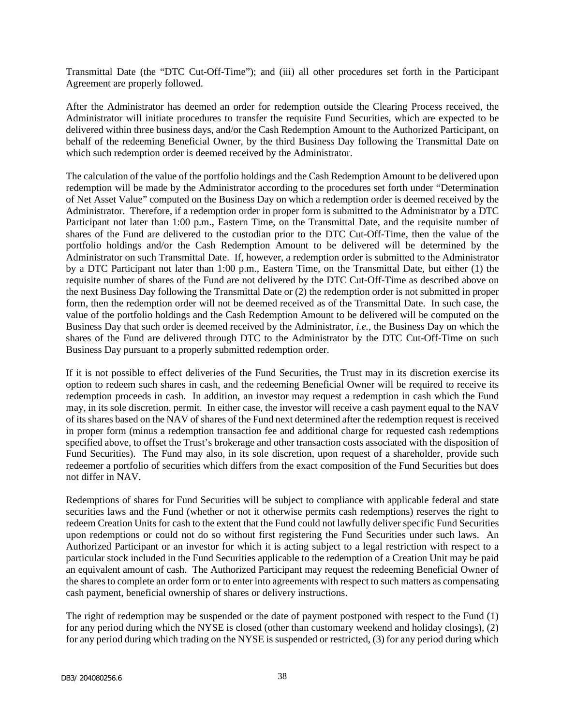Transmittal Date (the "DTC Cut-Off-Time"); and (iii) all other procedures set forth in the Participant Agreement are properly followed.

After the Administrator has deemed an order for redemption outside the Clearing Process received, the Administrator will initiate procedures to transfer the requisite Fund Securities, which are expected to be delivered within three business days, and/or the Cash Redemption Amount to the Authorized Participant, on behalf of the redeeming Beneficial Owner, by the third Business Day following the Transmittal Date on which such redemption order is deemed received by the Administrator.

The calculation of the value of the portfolio holdings and the Cash Redemption Amount to be delivered upon redemption will be made by the Administrator according to the procedures set forth under "Determination of Net Asset Value" computed on the Business Day on which a redemption order is deemed received by the Administrator. Therefore, if a redemption order in proper form is submitted to the Administrator by a DTC Participant not later than 1:00 p.m., Eastern Time, on the Transmittal Date, and the requisite number of shares of the Fund are delivered to the custodian prior to the DTC Cut-Off-Time, then the value of the portfolio holdings and/or the Cash Redemption Amount to be delivered will be determined by the Administrator on such Transmittal Date. If, however, a redemption order is submitted to the Administrator by a DTC Participant not later than 1:00 p.m., Eastern Time, on the Transmittal Date, but either (1) the requisite number of shares of the Fund are not delivered by the DTC Cut-Off-Time as described above on the next Business Day following the Transmittal Date or (2) the redemption order is not submitted in proper form, then the redemption order will not be deemed received as of the Transmittal Date. In such case, the value of the portfolio holdings and the Cash Redemption Amount to be delivered will be computed on the Business Day that such order is deemed received by the Administrator, *i.e.*, the Business Day on which the shares of the Fund are delivered through DTC to the Administrator by the DTC Cut-Off-Time on such Business Day pursuant to a properly submitted redemption order.

If it is not possible to effect deliveries of the Fund Securities, the Trust may in its discretion exercise its option to redeem such shares in cash, and the redeeming Beneficial Owner will be required to receive its redemption proceeds in cash. In addition, an investor may request a redemption in cash which the Fund may, in its sole discretion, permit. In either case, the investor will receive a cash payment equal to the NAV of its shares based on the NAV of shares of the Fund next determined after the redemption request is received in proper form (minus a redemption transaction fee and additional charge for requested cash redemptions specified above, to offset the Trust's brokerage and other transaction costs associated with the disposition of Fund Securities). The Fund may also, in its sole discretion, upon request of a shareholder, provide such redeemer a portfolio of securities which differs from the exact composition of the Fund Securities but does not differ in NAV.

Redemptions of shares for Fund Securities will be subject to compliance with applicable federal and state securities laws and the Fund (whether or not it otherwise permits cash redemptions) reserves the right to redeem Creation Units for cash to the extent that the Fund could not lawfully deliver specific Fund Securities upon redemptions or could not do so without first registering the Fund Securities under such laws. An Authorized Participant or an investor for which it is acting subject to a legal restriction with respect to a particular stock included in the Fund Securities applicable to the redemption of a Creation Unit may be paid an equivalent amount of cash. The Authorized Participant may request the redeeming Beneficial Owner of the shares to complete an order form or to enter into agreements with respect to such matters as compensating cash payment, beneficial ownership of shares or delivery instructions.

The right of redemption may be suspended or the date of payment postponed with respect to the Fund (1) for any period during which the NYSE is closed (other than customary weekend and holiday closings), (2) for any period during which trading on the NYSE is suspended or restricted, (3) for any period during which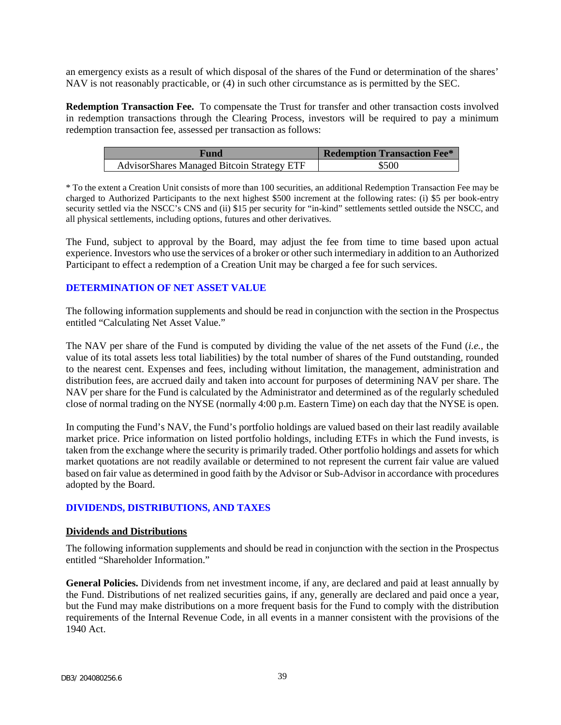an emergency exists as a result of which disposal of the shares of the Fund or determination of the shares' NAV is not reasonably practicable, or (4) in such other circumstance as is permitted by the SEC.

**Redemption Transaction Fee.** To compensate the Trust for transfer and other transaction costs involved in redemption transactions through the Clearing Process, investors will be required to pay a minimum redemption transaction fee, assessed per transaction as follows:

| Fund                                              | <b>Redemption Transaction Fee*</b> |
|---------------------------------------------------|------------------------------------|
| <b>AdvisorShares Managed Bitcoin Strategy ETF</b> | \$500                              |

\* To the extent a Creation Unit consists of more than 100 securities, an additional Redemption Transaction Fee may be charged to Authorized Participants to the next highest \$500 increment at the following rates: (i) \$5 per book-entry security settled via the NSCC's CNS and (ii) \$15 per security for "in-kind" settlements settled outside the NSCC, and all physical settlements, including options, futures and other derivatives.

The Fund, subject to approval by the Board, may adjust the fee from time to time based upon actual experience. Investors who use the services of a broker or other such intermediary in addition to an Authorized Participant to effect a redemption of a Creation Unit may be charged a fee for such services.

## <span id="page-40-0"></span>**DETERMINATION OF NET ASSET VALUE**

The following information supplements and should be read in conjunction with the section in the Prospectus entitled "Calculating Net Asset Value."

The NAV per share of the Fund is computed by dividing the value of the net assets of the Fund (*i.e.*, the value of its total assets less total liabilities) by the total number of shares of the Fund outstanding, rounded to the nearest cent. Expenses and fees, including without limitation, the management, administration and distribution fees, are accrued daily and taken into account for purposes of determining NAV per share. The NAV per share for the Fund is calculated by the Administrator and determined as of the regularly scheduled close of normal trading on the NYSE (normally 4:00 p.m. Eastern Time) on each day that the NYSE is open.

In computing the Fund's NAV, the Fund's portfolio holdings are valued based on their last readily available market price. Price information on listed portfolio holdings, including ETFs in which the Fund invests, is taken from the exchange where the security is primarily traded. Other portfolio holdings and assets for which market quotations are not readily available or determined to not represent the current fair value are valued based on fair value as determined in good faith by the Advisor or Sub-Advisor in accordance with procedures adopted by the Board.

## <span id="page-40-1"></span>**DIVIDENDS, DISTRIBUTIONS, AND TAXES**

## **Dividends and Distributions**

The following information supplements and should be read in conjunction with the section in the Prospectus entitled "Shareholder Information."

**General Policies.** Dividends from net investment income, if any, are declared and paid at least annually by the Fund. Distributions of net realized securities gains, if any, generally are declared and paid once a year, but the Fund may make distributions on a more frequent basis for the Fund to comply with the distribution requirements of the Internal Revenue Code, in all events in a manner consistent with the provisions of the 1940 Act.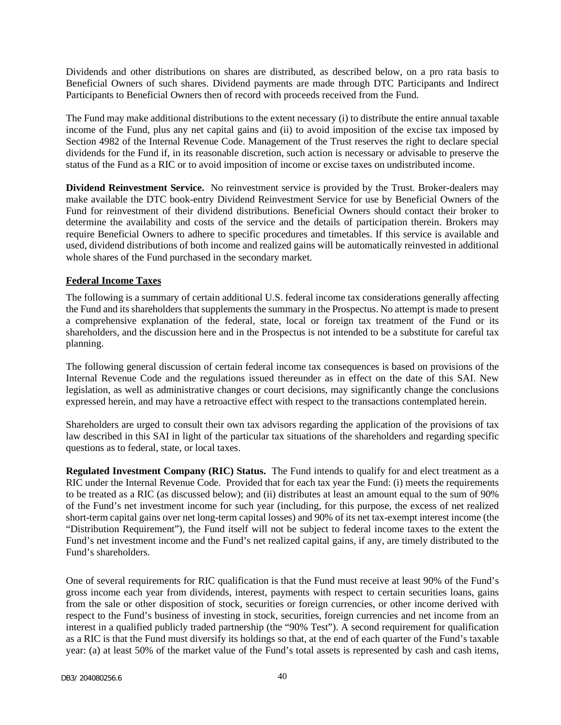Dividends and other distributions on shares are distributed, as described below, on a pro rata basis to Beneficial Owners of such shares. Dividend payments are made through DTC Participants and Indirect Participants to Beneficial Owners then of record with proceeds received from the Fund.

The Fund may make additional distributions to the extent necessary (i) to distribute the entire annual taxable income of the Fund, plus any net capital gains and (ii) to avoid imposition of the excise tax imposed by Section 4982 of the Internal Revenue Code. Management of the Trust reserves the right to declare special dividends for the Fund if, in its reasonable discretion, such action is necessary or advisable to preserve the status of the Fund as a RIC or to avoid imposition of income or excise taxes on undistributed income.

**Dividend Reinvestment Service.** No reinvestment service is provided by the Trust. Broker-dealers may make available the DTC book-entry Dividend Reinvestment Service for use by Beneficial Owners of the Fund for reinvestment of their dividend distributions. Beneficial Owners should contact their broker to determine the availability and costs of the service and the details of participation therein. Brokers may require Beneficial Owners to adhere to specific procedures and timetables. If this service is available and used, dividend distributions of both income and realized gains will be automatically reinvested in additional whole shares of the Fund purchased in the secondary market.

## **Federal Income Taxes**

The following is a summary of certain additional U.S. federal income tax considerations generally affecting the Fund and its shareholders that supplements the summary in the Prospectus. No attempt is made to present a comprehensive explanation of the federal, state, local or foreign tax treatment of the Fund or its shareholders, and the discussion here and in the Prospectus is not intended to be a substitute for careful tax planning.

The following general discussion of certain federal income tax consequences is based on provisions of the Internal Revenue Code and the regulations issued thereunder as in effect on the date of this SAI. New legislation, as well as administrative changes or court decisions, may significantly change the conclusions expressed herein, and may have a retroactive effect with respect to the transactions contemplated herein.

Shareholders are urged to consult their own tax advisors regarding the application of the provisions of tax law described in this SAI in light of the particular tax situations of the shareholders and regarding specific questions as to federal, state, or local taxes.

**Regulated Investment Company (RIC) Status.** The Fund intends to qualify for and elect treatment as a RIC under the Internal Revenue Code. Provided that for each tax year the Fund: (i) meets the requirements to be treated as a RIC (as discussed below); and (ii) distributes at least an amount equal to the sum of 90% of the Fund's net investment income for such year (including, for this purpose, the excess of net realized short-term capital gains over net long-term capital losses) and 90% of its net tax-exempt interest income (the "Distribution Requirement"), the Fund itself will not be subject to federal income taxes to the extent the Fund's net investment income and the Fund's net realized capital gains, if any, are timely distributed to the Fund's shareholders.

One of several requirements for RIC qualification is that the Fund must receive at least 90% of the Fund's gross income each year from dividends, interest, payments with respect to certain securities loans, gains from the sale or other disposition of stock, securities or foreign currencies, or other income derived with respect to the Fund's business of investing in stock, securities, foreign currencies and net income from an interest in a qualified publicly traded partnership (the "90% Test"). A second requirement for qualification as a RIC is that the Fund must diversify its holdings so that, at the end of each quarter of the Fund's taxable year: (a) at least 50% of the market value of the Fund's total assets is represented by cash and cash items,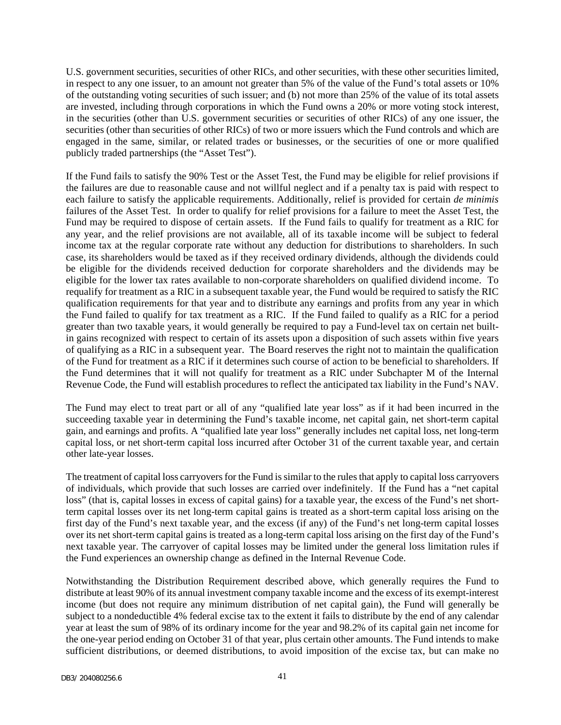U.S. government securities, securities of other RICs, and other securities, with these other securities limited, in respect to any one issuer, to an amount not greater than 5% of the value of the Fund's total assets or 10% of the outstanding voting securities of such issuer; and (b) not more than 25% of the value of its total assets are invested, including through corporations in which the Fund owns a 20% or more voting stock interest, in the securities (other than U.S. government securities or securities of other RICs) of any one issuer, the securities (other than securities of other RICs) of two or more issuers which the Fund controls and which are engaged in the same, similar, or related trades or businesses, or the securities of one or more qualified publicly traded partnerships (the "Asset Test").

If the Fund fails to satisfy the 90% Test or the Asset Test, the Fund may be eligible for relief provisions if the failures are due to reasonable cause and not willful neglect and if a penalty tax is paid with respect to each failure to satisfy the applicable requirements. Additionally, relief is provided for certain *de minimis*  failures of the Asset Test. In order to qualify for relief provisions for a failure to meet the Asset Test, the Fund may be required to dispose of certain assets. If the Fund fails to qualify for treatment as a RIC for any year, and the relief provisions are not available, all of its taxable income will be subject to federal income tax at the regular corporate rate without any deduction for distributions to shareholders. In such case, its shareholders would be taxed as if they received ordinary dividends, although the dividends could be eligible for the dividends received deduction for corporate shareholders and the dividends may be eligible for the lower tax rates available to non-corporate shareholders on qualified dividend income. To requalify for treatment as a RIC in a subsequent taxable year, the Fund would be required to satisfy the RIC qualification requirements for that year and to distribute any earnings and profits from any year in which the Fund failed to qualify for tax treatment as a RIC. If the Fund failed to qualify as a RIC for a period greater than two taxable years, it would generally be required to pay a Fund-level tax on certain net builtin gains recognized with respect to certain of its assets upon a disposition of such assets within five years of qualifying as a RIC in a subsequent year. The Board reserves the right not to maintain the qualification of the Fund for treatment as a RIC if it determines such course of action to be beneficial to shareholders. If the Fund determines that it will not qualify for treatment as a RIC under Subchapter M of the Internal Revenue Code, the Fund will establish procedures to reflect the anticipated tax liability in the Fund's NAV.

The Fund may elect to treat part or all of any "qualified late year loss" as if it had been incurred in the succeeding taxable year in determining the Fund's taxable income, net capital gain, net short-term capital gain, and earnings and profits. A "qualified late year loss" generally includes net capital loss, net long-term capital loss, or net short-term capital loss incurred after October 31 of the current taxable year, and certain other late-year losses.

The treatment of capital loss carryovers for the Fund is similar to the rules that apply to capital loss carryovers of individuals, which provide that such losses are carried over indefinitely. If the Fund has a "net capital loss" (that is, capital losses in excess of capital gains) for a taxable year, the excess of the Fund's net shortterm capital losses over its net long-term capital gains is treated as a short-term capital loss arising on the first day of the Fund's next taxable year, and the excess (if any) of the Fund's net long-term capital losses over its net short-term capital gains is treated as a long-term capital loss arising on the first day of the Fund's next taxable year. The carryover of capital losses may be limited under the general loss limitation rules if the Fund experiences an ownership change as defined in the Internal Revenue Code.

Notwithstanding the Distribution Requirement described above, which generally requires the Fund to distribute at least 90% of its annual investment company taxable income and the excess of its exempt-interest income (but does not require any minimum distribution of net capital gain), the Fund will generally be subject to a nondeductible 4% federal excise tax to the extent it fails to distribute by the end of any calendar year at least the sum of 98% of its ordinary income for the year and 98.2% of its capital gain net income for the one-year period ending on October 31 of that year, plus certain other amounts. The Fund intends to make sufficient distributions, or deemed distributions, to avoid imposition of the excise tax, but can make no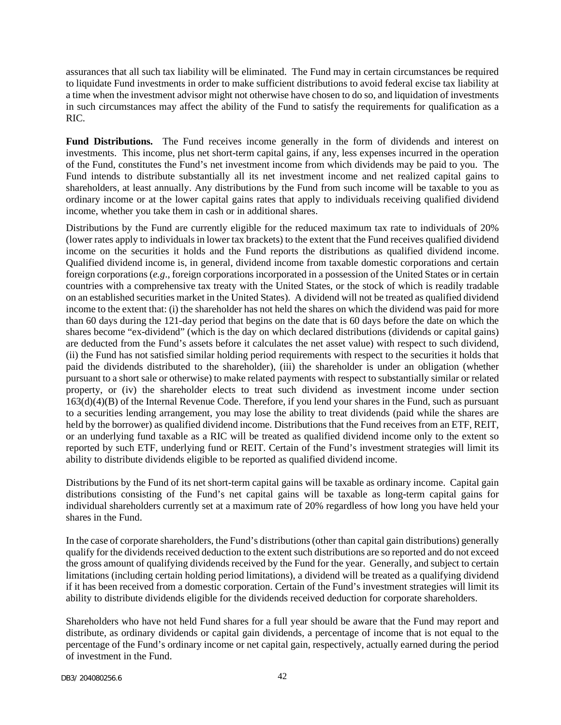assurances that all such tax liability will be eliminated. The Fund may in certain circumstances be required to liquidate Fund investments in order to make sufficient distributions to avoid federal excise tax liability at a time when the investment advisor might not otherwise have chosen to do so, and liquidation of investments in such circumstances may affect the ability of the Fund to satisfy the requirements for qualification as a RIC.

**Fund Distributions.** The Fund receives income generally in the form of dividends and interest on investments. This income, plus net short-term capital gains, if any, less expenses incurred in the operation of the Fund, constitutes the Fund's net investment income from which dividends may be paid to you. The Fund intends to distribute substantially all its net investment income and net realized capital gains to shareholders, at least annually. Any distributions by the Fund from such income will be taxable to you as ordinary income or at the lower capital gains rates that apply to individuals receiving qualified dividend income, whether you take them in cash or in additional shares.

Distributions by the Fund are currently eligible for the reduced maximum tax rate to individuals of 20% (lower rates apply to individuals in lower tax brackets) to the extent that the Fund receives qualified dividend income on the securities it holds and the Fund reports the distributions as qualified dividend income. Qualified dividend income is, in general, dividend income from taxable domestic corporations and certain foreign corporations (*e.g*., foreign corporations incorporated in a possession of the United States or in certain countries with a comprehensive tax treaty with the United States, or the stock of which is readily tradable on an established securities market in the United States). A dividend will not be treated as qualified dividend income to the extent that: (i) the shareholder has not held the shares on which the dividend was paid for more than 60 days during the 121-day period that begins on the date that is 60 days before the date on which the shares become "ex-dividend" (which is the day on which declared distributions (dividends or capital gains) are deducted from the Fund's assets before it calculates the net asset value) with respect to such dividend, (ii) the Fund has not satisfied similar holding period requirements with respect to the securities it holds that paid the dividends distributed to the shareholder), (iii) the shareholder is under an obligation (whether pursuant to a short sale or otherwise) to make related payments with respect to substantially similar or related property, or (iv) the shareholder elects to treat such dividend as investment income under section 163(d)(4)(B) of the Internal Revenue Code. Therefore, if you lend your shares in the Fund, such as pursuant to a securities lending arrangement, you may lose the ability to treat dividends (paid while the shares are held by the borrower) as qualified dividend income. Distributions that the Fund receives from an ETF, REIT, or an underlying fund taxable as a RIC will be treated as qualified dividend income only to the extent so reported by such ETF, underlying fund or REIT. Certain of the Fund's investment strategies will limit its ability to distribute dividends eligible to be reported as qualified dividend income.

Distributions by the Fund of its net short-term capital gains will be taxable as ordinary income. Capital gain distributions consisting of the Fund's net capital gains will be taxable as long-term capital gains for individual shareholders currently set at a maximum rate of 20% regardless of how long you have held your shares in the Fund.

In the case of corporate shareholders, the Fund's distributions (other than capital gain distributions) generally qualify for the dividends received deduction to the extent such distributions are so reported and do not exceed the gross amount of qualifying dividends received by the Fund for the year. Generally, and subject to certain limitations (including certain holding period limitations), a dividend will be treated as a qualifying dividend if it has been received from a domestic corporation. Certain of the Fund's investment strategies will limit its ability to distribute dividends eligible for the dividends received deduction for corporate shareholders.

Shareholders who have not held Fund shares for a full year should be aware that the Fund may report and distribute, as ordinary dividends or capital gain dividends, a percentage of income that is not equal to the percentage of the Fund's ordinary income or net capital gain, respectively, actually earned during the period of investment in the Fund.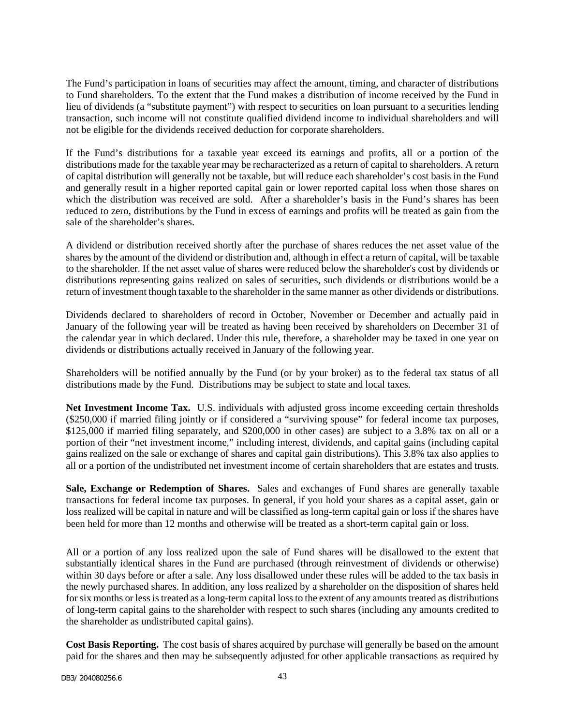The Fund's participation in loans of securities may affect the amount, timing, and character of distributions to Fund shareholders. To the extent that the Fund makes a distribution of income received by the Fund in lieu of dividends (a "substitute payment") with respect to securities on loan pursuant to a securities lending transaction, such income will not constitute qualified dividend income to individual shareholders and will not be eligible for the dividends received deduction for corporate shareholders.

If the Fund's distributions for a taxable year exceed its earnings and profits, all or a portion of the distributions made for the taxable year may be recharacterized as a return of capital to shareholders. A return of capital distribution will generally not be taxable, but will reduce each shareholder's cost basis in the Fund and generally result in a higher reported capital gain or lower reported capital loss when those shares on which the distribution was received are sold. After a shareholder's basis in the Fund's shares has been reduced to zero, distributions by the Fund in excess of earnings and profits will be treated as gain from the sale of the shareholder's shares.

A dividend or distribution received shortly after the purchase of shares reduces the net asset value of the shares by the amount of the dividend or distribution and, although in effect a return of capital, will be taxable to the shareholder. If the net asset value of shares were reduced below the shareholder's cost by dividends or distributions representing gains realized on sales of securities, such dividends or distributions would be a return of investment though taxable to the shareholder in the same manner as other dividends or distributions.

Dividends declared to shareholders of record in October, November or December and actually paid in January of the following year will be treated as having been received by shareholders on December 31 of the calendar year in which declared. Under this rule, therefore, a shareholder may be taxed in one year on dividends or distributions actually received in January of the following year.

Shareholders will be notified annually by the Fund (or by your broker) as to the federal tax status of all distributions made by the Fund. Distributions may be subject to state and local taxes.

**Net Investment Income Tax.** U.S. individuals with adjusted gross income exceeding certain thresholds (\$250,000 if married filing jointly or if considered a "surviving spouse" for federal income tax purposes, \$125,000 if married filing separately, and \$200,000 in other cases) are subject to a 3.8% tax on all or a portion of their "net investment income," including interest, dividends, and capital gains (including capital gains realized on the sale or exchange of shares and capital gain distributions). This 3.8% tax also applies to all or a portion of the undistributed net investment income of certain shareholders that are estates and trusts.

**Sale, Exchange or Redemption of Shares.** Sales and exchanges of Fund shares are generally taxable transactions for federal income tax purposes. In general, if you hold your shares as a capital asset, gain or loss realized will be capital in nature and will be classified as long-term capital gain or loss if the shares have been held for more than 12 months and otherwise will be treated as a short-term capital gain or loss.

All or a portion of any loss realized upon the sale of Fund shares will be disallowed to the extent that substantially identical shares in the Fund are purchased (through reinvestment of dividends or otherwise) within 30 days before or after a sale. Any loss disallowed under these rules will be added to the tax basis in the newly purchased shares. In addition, any loss realized by a shareholder on the disposition of shares held for six months or less is treated as a long-term capital loss to the extent of any amounts treated as distributions of long-term capital gains to the shareholder with respect to such shares (including any amounts credited to the shareholder as undistributed capital gains).

**Cost Basis Reporting.** The cost basis of shares acquired by purchase will generally be based on the amount paid for the shares and then may be subsequently adjusted for other applicable transactions as required by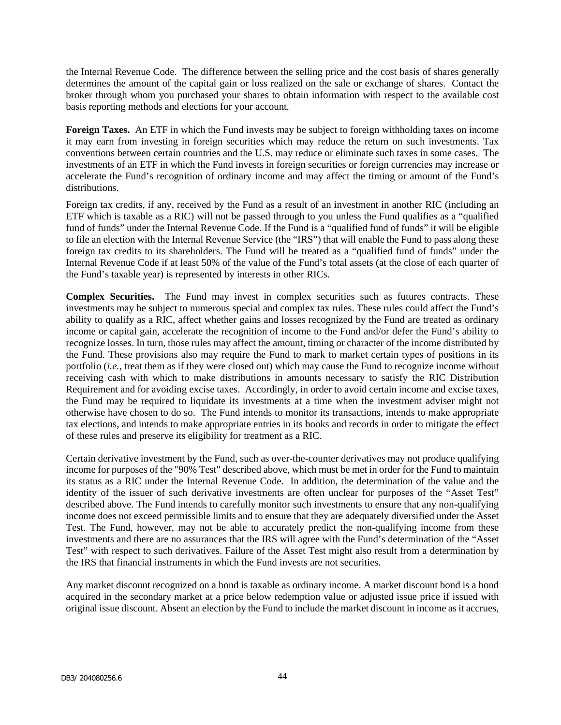the Internal Revenue Code. The difference between the selling price and the cost basis of shares generally determines the amount of the capital gain or loss realized on the sale or exchange of shares. Contact the broker through whom you purchased your shares to obtain information with respect to the available cost basis reporting methods and elections for your account.

**Foreign Taxes.** An ETF in which the Fund invests may be subject to foreign withholding taxes on income it may earn from investing in foreign securities which may reduce the return on such investments. Tax conventions between certain countries and the U.S. may reduce or eliminate such taxes in some cases. The investments of an ETF in which the Fund invests in foreign securities or foreign currencies may increase or accelerate the Fund's recognition of ordinary income and may affect the timing or amount of the Fund's distributions.

Foreign tax credits, if any, received by the Fund as a result of an investment in another RIC (including an ETF which is taxable as a RIC) will not be passed through to you unless the Fund qualifies as a "qualified fund of funds" under the Internal Revenue Code. If the Fund is a "qualified fund of funds" it will be eligible to file an election with the Internal Revenue Service (the "IRS") that will enable the Fund to pass along these foreign tax credits to its shareholders. The Fund will be treated as a "qualified fund of funds" under the Internal Revenue Code if at least 50% of the value of the Fund's total assets (at the close of each quarter of the Fund's taxable year) is represented by interests in other RICs.

**Complex Securities.** The Fund may invest in complex securities such as futures contracts. These investments may be subject to numerous special and complex tax rules. These rules could affect the Fund's ability to qualify as a RIC, affect whether gains and losses recognized by the Fund are treated as ordinary income or capital gain, accelerate the recognition of income to the Fund and/or defer the Fund's ability to recognize losses. In turn, those rules may affect the amount, timing or character of the income distributed by the Fund. These provisions also may require the Fund to mark to market certain types of positions in its portfolio (*i.e.*, treat them as if they were closed out) which may cause the Fund to recognize income without receiving cash with which to make distributions in amounts necessary to satisfy the RIC Distribution Requirement and for avoiding excise taxes. Accordingly, in order to avoid certain income and excise taxes, the Fund may be required to liquidate its investments at a time when the investment adviser might not otherwise have chosen to do so. The Fund intends to monitor its transactions, intends to make appropriate tax elections, and intends to make appropriate entries in its books and records in order to mitigate the effect of these rules and preserve its eligibility for treatment as a RIC.

Certain derivative investment by the Fund, such as over-the-counter derivatives may not produce qualifying income for purposes of the "90% Test" described above, which must be met in order for the Fund to maintain its status as a RIC under the Internal Revenue Code. In addition, the determination of the value and the identity of the issuer of such derivative investments are often unclear for purposes of the "Asset Test" described above. The Fund intends to carefully monitor such investments to ensure that any non-qualifying income does not exceed permissible limits and to ensure that they are adequately diversified under the Asset Test. The Fund, however, may not be able to accurately predict the non-qualifying income from these investments and there are no assurances that the IRS will agree with the Fund's determination of the "Asset Test" with respect to such derivatives. Failure of the Asset Test might also result from a determination by the IRS that financial instruments in which the Fund invests are not securities.

Any market discount recognized on a bond is taxable as ordinary income. A market discount bond is a bond acquired in the secondary market at a price below redemption value or adjusted issue price if issued with original issue discount. Absent an election by the Fund to include the market discount in income as it accrues,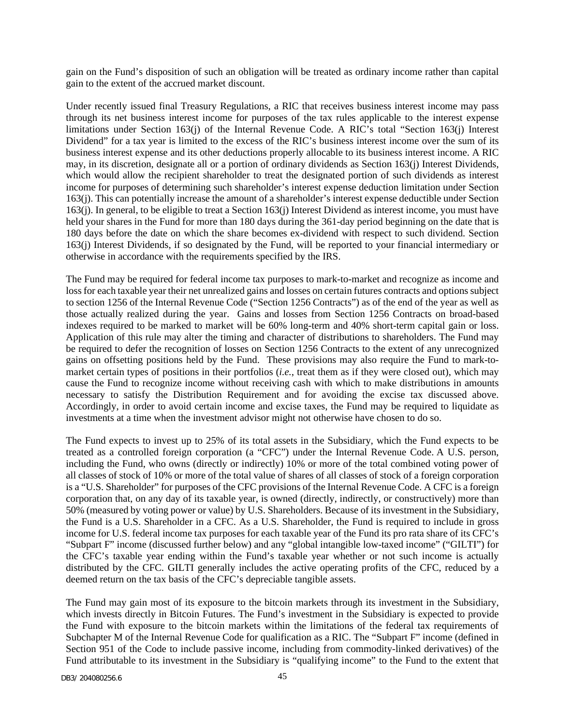gain on the Fund's disposition of such an obligation will be treated as ordinary income rather than capital gain to the extent of the accrued market discount.

Under recently issued final Treasury Regulations, a RIC that receives business interest income may pass through its net business interest income for purposes of the tax rules applicable to the interest expense limitations under Section 163(j) of the Internal Revenue Code. A RIC's total "Section 163(j) Interest Dividend" for a tax year is limited to the excess of the RIC's business interest income over the sum of its business interest expense and its other deductions properly allocable to its business interest income. A RIC may, in its discretion, designate all or a portion of ordinary dividends as Section 163(j) Interest Dividends, which would allow the recipient shareholder to treat the designated portion of such dividends as interest income for purposes of determining such shareholder's interest expense deduction limitation under Section 163(j). This can potentially increase the amount of a shareholder's interest expense deductible under Section 163(j). In general, to be eligible to treat a Section 163(j) Interest Dividend as interest income, you must have held your shares in the Fund for more than 180 days during the 361-day period beginning on the date that is 180 days before the date on which the share becomes ex-dividend with respect to such dividend. Section 163(j) Interest Dividends, if so designated by the Fund, will be reported to your financial intermediary or otherwise in accordance with the requirements specified by the IRS.

The Fund may be required for federal income tax purposes to mark-to-market and recognize as income and loss for each taxable year their net unrealized gains and losses on certain futures contracts and options subject to section 1256 of the Internal Revenue Code ("Section 1256 Contracts") as of the end of the year as well as those actually realized during the year. Gains and losses from Section 1256 Contracts on broad-based indexes required to be marked to market will be 60% long-term and 40% short-term capital gain or loss. Application of this rule may alter the timing and character of distributions to shareholders. The Fund may be required to defer the recognition of losses on Section 1256 Contracts to the extent of any unrecognized gains on offsetting positions held by the Fund. These provisions may also require the Fund to mark-tomarket certain types of positions in their portfolios (*i.e.*, treat them as if they were closed out), which may cause the Fund to recognize income without receiving cash with which to make distributions in amounts necessary to satisfy the Distribution Requirement and for avoiding the excise tax discussed above. Accordingly, in order to avoid certain income and excise taxes, the Fund may be required to liquidate as investments at a time when the investment advisor might not otherwise have chosen to do so.

The Fund expects to invest up to 25% of its total assets in the Subsidiary, which the Fund expects to be treated as a controlled foreign corporation (a "CFC") under the Internal Revenue Code. A U.S. person, including the Fund, who owns (directly or indirectly) 10% or more of the total combined voting power of all classes of stock of 10% or more of the total value of shares of all classes of stock of a foreign corporation is a "U.S. Shareholder" for purposes of the CFC provisions of the Internal Revenue Code. A CFC is a foreign corporation that, on any day of its taxable year, is owned (directly, indirectly, or constructively) more than 50% (measured by voting power or value) by U.S. Shareholders. Because of its investment in the Subsidiary, the Fund is a U.S. Shareholder in a CFC. As a U.S. Shareholder, the Fund is required to include in gross income for U.S. federal income tax purposes for each taxable year of the Fund its pro rata share of its CFC's "Subpart F" income (discussed further below) and any "global intangible low-taxed income" ("GILTI") for the CFC's taxable year ending within the Fund's taxable year whether or not such income is actually distributed by the CFC. GILTI generally includes the active operating profits of the CFC, reduced by a deemed return on the tax basis of the CFC's depreciable tangible assets.

The Fund may gain most of its exposure to the bitcoin markets through its investment in the Subsidiary, which invests directly in Bitcoin Futures. The Fund's investment in the Subsidiary is expected to provide the Fund with exposure to the bitcoin markets within the limitations of the federal tax requirements of Subchapter M of the Internal Revenue Code for qualification as a RIC. The "Subpart F" income (defined in Section 951 of the Code to include passive income, including from commodity-linked derivatives) of the Fund attributable to its investment in the Subsidiary is "qualifying income" to the Fund to the extent that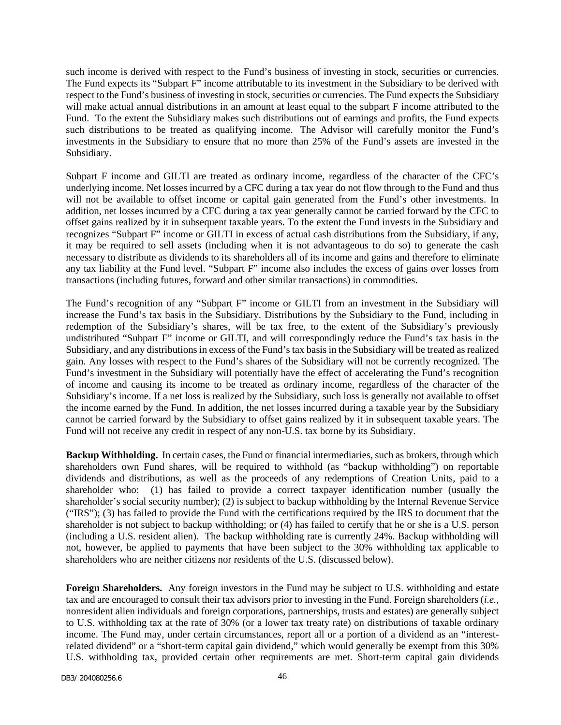such income is derived with respect to the Fund's business of investing in stock, securities or currencies. The Fund expects its "Subpart F" income attributable to its investment in the Subsidiary to be derived with respect to the Fund's business of investing in stock, securities or currencies. The Fund expects the Subsidiary will make actual annual distributions in an amount at least equal to the subpart F income attributed to the Fund. To the extent the Subsidiary makes such distributions out of earnings and profits, the Fund expects such distributions to be treated as qualifying income. The Advisor will carefully monitor the Fund's investments in the Subsidiary to ensure that no more than 25% of the Fund's assets are invested in the Subsidiary.

Subpart F income and GILTI are treated as ordinary income, regardless of the character of the CFC's underlying income. Net losses incurred by a CFC during a tax year do not flow through to the Fund and thus will not be available to offset income or capital gain generated from the Fund's other investments. In addition, net losses incurred by a CFC during a tax year generally cannot be carried forward by the CFC to offset gains realized by it in subsequent taxable years. To the extent the Fund invests in the Subsidiary and recognizes "Subpart F" income or GILTI in excess of actual cash distributions from the Subsidiary, if any, it may be required to sell assets (including when it is not advantageous to do so) to generate the cash necessary to distribute as dividends to its shareholders all of its income and gains and therefore to eliminate any tax liability at the Fund level. "Subpart F" income also includes the excess of gains over losses from transactions (including futures, forward and other similar transactions) in commodities.

The Fund's recognition of any "Subpart F" income or GILTI from an investment in the Subsidiary will increase the Fund's tax basis in the Subsidiary. Distributions by the Subsidiary to the Fund, including in redemption of the Subsidiary's shares, will be tax free, to the extent of the Subsidiary's previously undistributed "Subpart F" income or GILTI, and will correspondingly reduce the Fund's tax basis in the Subsidiary, and any distributions in excess of the Fund's tax basis in the Subsidiary will be treated as realized gain. Any losses with respect to the Fund's shares of the Subsidiary will not be currently recognized. The Fund's investment in the Subsidiary will potentially have the effect of accelerating the Fund's recognition of income and causing its income to be treated as ordinary income, regardless of the character of the Subsidiary's income. If a net loss is realized by the Subsidiary, such loss is generally not available to offset the income earned by the Fund. In addition, the net losses incurred during a taxable year by the Subsidiary cannot be carried forward by the Subsidiary to offset gains realized by it in subsequent taxable years. The Fund will not receive any credit in respect of any non-U.S. tax borne by its Subsidiary.

**Backup Withholding.** In certain cases, the Fund or financial intermediaries, such as brokers, through which shareholders own Fund shares, will be required to withhold (as "backup withholding") on reportable dividends and distributions, as well as the proceeds of any redemptions of Creation Units, paid to a shareholder who: (1) has failed to provide a correct taxpayer identification number (usually the shareholder's social security number); (2) is subject to backup withholding by the Internal Revenue Service ("IRS"); (3) has failed to provide the Fund with the certifications required by the IRS to document that the shareholder is not subject to backup withholding; or (4) has failed to certify that he or she is a U.S. person (including a U.S. resident alien). The backup withholding rate is currently 24%. Backup withholding will not, however, be applied to payments that have been subject to the 30% withholding tax applicable to shareholders who are neither citizens nor residents of the U.S. (discussed below).

**Foreign Shareholders.** Any foreign investors in the Fund may be subject to U.S. withholding and estate tax and are encouraged to consult their tax advisors prior to investing in the Fund. Foreign shareholders (*i.e.,* nonresident alien individuals and foreign corporations, partnerships, trusts and estates) are generally subject to U.S. withholding tax at the rate of 30% (or a lower tax treaty rate) on distributions of taxable ordinary income. The Fund may, under certain circumstances, report all or a portion of a dividend as an "interestrelated dividend" or a "short-term capital gain dividend," which would generally be exempt from this 30% U.S. withholding tax, provided certain other requirements are met. Short-term capital gain dividends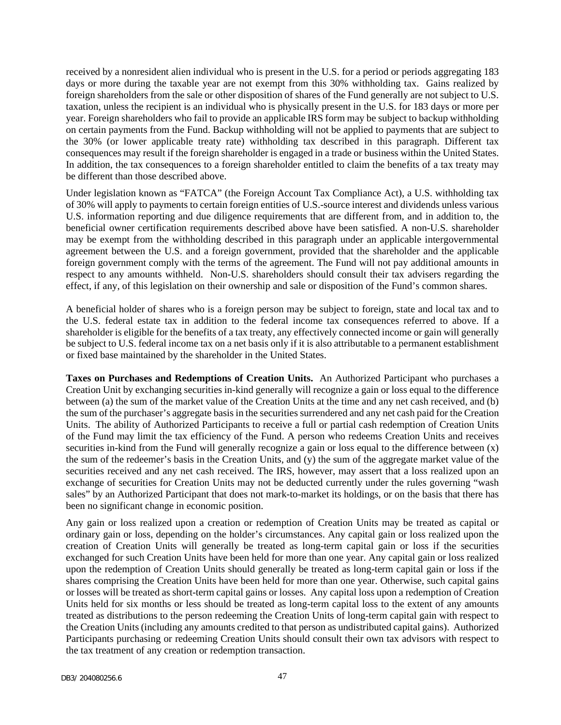received by a nonresident alien individual who is present in the U.S. for a period or periods aggregating 183 days or more during the taxable year are not exempt from this 30% withholding tax. Gains realized by foreign shareholders from the sale or other disposition of shares of the Fund generally are not subject to U.S. taxation, unless the recipient is an individual who is physically present in the U.S. for 183 days or more per year. Foreign shareholders who fail to provide an applicable IRS form may be subject to backup withholding on certain payments from the Fund. Backup withholding will not be applied to payments that are subject to the 30% (or lower applicable treaty rate) withholding tax described in this paragraph. Different tax consequences may result if the foreign shareholder is engaged in a trade or business within the United States. In addition, the tax consequences to a foreign shareholder entitled to claim the benefits of a tax treaty may be different than those described above.

Under legislation known as "FATCA" (the Foreign Account Tax Compliance Act), a U.S. withholding tax of 30% will apply to payments to certain foreign entities of U.S.-source interest and dividends unless various U.S. information reporting and due diligence requirements that are different from, and in addition to, the beneficial owner certification requirements described above have been satisfied. A non-U.S. shareholder may be exempt from the withholding described in this paragraph under an applicable intergovernmental agreement between the U.S. and a foreign government, provided that the shareholder and the applicable foreign government comply with the terms of the agreement. The Fund will not pay additional amounts in respect to any amounts withheld. Non-U.S. shareholders should consult their tax advisers regarding the effect, if any, of this legislation on their ownership and sale or disposition of the Fund's common shares.

A beneficial holder of shares who is a foreign person may be subject to foreign, state and local tax and to the U.S. federal estate tax in addition to the federal income tax consequences referred to above. If a shareholder is eligible for the benefits of a tax treaty, any effectively connected income or gain will generally be subject to U.S. federal income tax on a net basis only if it is also attributable to a permanent establishment or fixed base maintained by the shareholder in the United States.

**Taxes on Purchases and Redemptions of Creation Units.** An Authorized Participant who purchases a Creation Unit by exchanging securities in-kind generally will recognize a gain or loss equal to the difference between (a) the sum of the market value of the Creation Units at the time and any net cash received, and (b) the sum of the purchaser's aggregate basis in the securities surrendered and any net cash paid for the Creation Units. The ability of Authorized Participants to receive a full or partial cash redemption of Creation Units of the Fund may limit the tax efficiency of the Fund. A person who redeems Creation Units and receives securities in-kind from the Fund will generally recognize a gain or loss equal to the difference between (x) the sum of the redeemer's basis in the Creation Units, and (y) the sum of the aggregate market value of the securities received and any net cash received. The IRS, however, may assert that a loss realized upon an exchange of securities for Creation Units may not be deducted currently under the rules governing "wash sales" by an Authorized Participant that does not mark-to-market its holdings, or on the basis that there has been no significant change in economic position.

Any gain or loss realized upon a creation or redemption of Creation Units may be treated as capital or ordinary gain or loss, depending on the holder's circumstances. Any capital gain or loss realized upon the creation of Creation Units will generally be treated as long-term capital gain or loss if the securities exchanged for such Creation Units have been held for more than one year. Any capital gain or loss realized upon the redemption of Creation Units should generally be treated as long-term capital gain or loss if the shares comprising the Creation Units have been held for more than one year. Otherwise, such capital gains or losses will be treated as short-term capital gains or losses. Any capital loss upon a redemption of Creation Units held for six months or less should be treated as long-term capital loss to the extent of any amounts treated as distributions to the person redeeming the Creation Units of long-term capital gain with respect to the Creation Units (including any amounts credited to that person as undistributed capital gains). Authorized Participants purchasing or redeeming Creation Units should consult their own tax advisors with respect to the tax treatment of any creation or redemption transaction.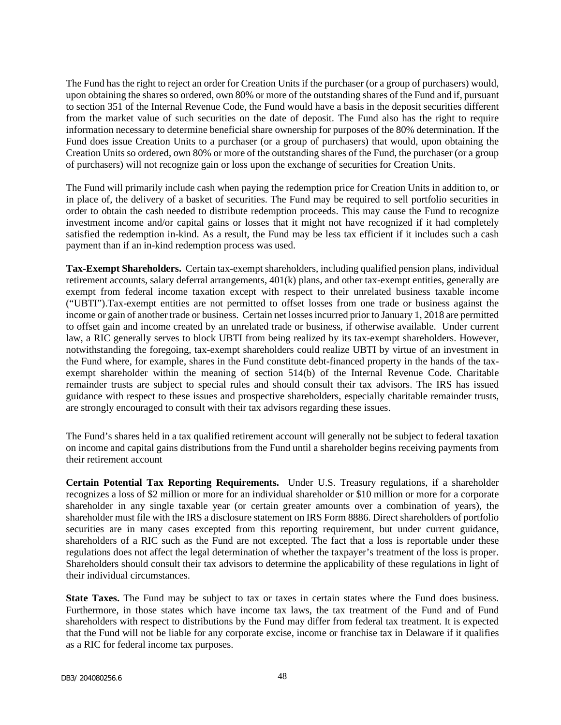The Fund has the right to reject an order for Creation Units if the purchaser (or a group of purchasers) would, upon obtaining the shares so ordered, own 80% or more of the outstanding shares of the Fund and if, pursuant to section 351 of the Internal Revenue Code, the Fund would have a basis in the deposit securities different from the market value of such securities on the date of deposit. The Fund also has the right to require information necessary to determine beneficial share ownership for purposes of the 80% determination. If the Fund does issue Creation Units to a purchaser (or a group of purchasers) that would, upon obtaining the Creation Units so ordered, own 80% or more of the outstanding shares of the Fund, the purchaser (or a group of purchasers) will not recognize gain or loss upon the exchange of securities for Creation Units.

The Fund will primarily include cash when paying the redemption price for Creation Units in addition to, or in place of, the delivery of a basket of securities. The Fund may be required to sell portfolio securities in order to obtain the cash needed to distribute redemption proceeds. This may cause the Fund to recognize investment income and/or capital gains or losses that it might not have recognized if it had completely satisfied the redemption in-kind. As a result, the Fund may be less tax efficient if it includes such a cash payment than if an in-kind redemption process was used.

**Tax-Exempt Shareholders.** Certain tax-exempt shareholders, including qualified pension plans, individual retirement accounts, salary deferral arrangements, 401(k) plans, and other tax-exempt entities, generally are exempt from federal income taxation except with respect to their unrelated business taxable income ("UBTI").Tax-exempt entities are not permitted to offset losses from one trade or business against the income or gain of another trade or business. Certain net losses incurred prior to January 1, 2018 are permitted to offset gain and income created by an unrelated trade or business, if otherwise available. Under current law, a RIC generally serves to block UBTI from being realized by its tax-exempt shareholders. However, notwithstanding the foregoing, tax-exempt shareholders could realize UBTI by virtue of an investment in the Fund where, for example, shares in the Fund constitute debt-financed property in the hands of the taxexempt shareholder within the meaning of section 514(b) of the Internal Revenue Code. Charitable remainder trusts are subject to special rules and should consult their tax advisors. The IRS has issued guidance with respect to these issues and prospective shareholders, especially charitable remainder trusts, are strongly encouraged to consult with their tax advisors regarding these issues.

The Fund's shares held in a tax qualified retirement account will generally not be subject to federal taxation on income and capital gains distributions from the Fund until a shareholder begins receiving payments from their retirement account

**Certain Potential Tax Reporting Requirements.** Under U.S. Treasury regulations, if a shareholder recognizes a loss of \$2 million or more for an individual shareholder or \$10 million or more for a corporate shareholder in any single taxable year (or certain greater amounts over a combination of years), the shareholder must file with the IRS a disclosure statement on IRS Form 8886. Direct shareholders of portfolio securities are in many cases excepted from this reporting requirement, but under current guidance, shareholders of a RIC such as the Fund are not excepted. The fact that a loss is reportable under these regulations does not affect the legal determination of whether the taxpayer's treatment of the loss is proper. Shareholders should consult their tax advisors to determine the applicability of these regulations in light of their individual circumstances.

**State Taxes.** The Fund may be subject to tax or taxes in certain states where the Fund does business. Furthermore, in those states which have income tax laws, the tax treatment of the Fund and of Fund shareholders with respect to distributions by the Fund may differ from federal tax treatment. It is expected that the Fund will not be liable for any corporate excise, income or franchise tax in Delaware if it qualifies as a RIC for federal income tax purposes.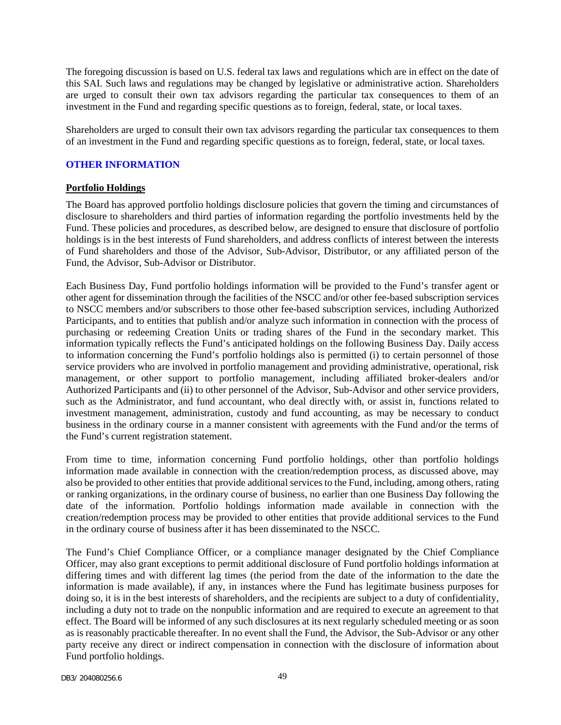The foregoing discussion is based on U.S. federal tax laws and regulations which are in effect on the date of this SAI. Such laws and regulations may be changed by legislative or administrative action. Shareholders are urged to consult their own tax advisors regarding the particular tax consequences to them of an investment in the Fund and regarding specific questions as to foreign, federal, state, or local taxes.

Shareholders are urged to consult their own tax advisors regarding the particular tax consequences to them of an investment in the Fund and regarding specific questions as to foreign, federal, state, or local taxes.

## <span id="page-50-0"></span>**OTHER INFORMATION**

#### **Portfolio Holdings**

The Board has approved portfolio holdings disclosure policies that govern the timing and circumstances of disclosure to shareholders and third parties of information regarding the portfolio investments held by the Fund. These policies and procedures, as described below, are designed to ensure that disclosure of portfolio holdings is in the best interests of Fund shareholders, and address conflicts of interest between the interests of Fund shareholders and those of the Advisor, Sub-Advisor, Distributor, or any affiliated person of the Fund, the Advisor, Sub-Advisor or Distributor.

Each Business Day, Fund portfolio holdings information will be provided to the Fund's transfer agent or other agent for dissemination through the facilities of the NSCC and/or other fee-based subscription services to NSCC members and/or subscribers to those other fee-based subscription services, including Authorized Participants, and to entities that publish and/or analyze such information in connection with the process of purchasing or redeeming Creation Units or trading shares of the Fund in the secondary market. This information typically reflects the Fund's anticipated holdings on the following Business Day. Daily access to information concerning the Fund's portfolio holdings also is permitted (i) to certain personnel of those service providers who are involved in portfolio management and providing administrative, operational, risk management, or other support to portfolio management, including affiliated broker-dealers and/or Authorized Participants and (ii) to other personnel of the Advisor, Sub-Advisor and other service providers, such as the Administrator, and fund accountant, who deal directly with, or assist in, functions related to investment management, administration, custody and fund accounting, as may be necessary to conduct business in the ordinary course in a manner consistent with agreements with the Fund and/or the terms of the Fund's current registration statement.

From time to time, information concerning Fund portfolio holdings, other than portfolio holdings information made available in connection with the creation/redemption process, as discussed above, may also be provided to other entities that provide additional services to the Fund, including, among others, rating or ranking organizations, in the ordinary course of business, no earlier than one Business Day following the date of the information. Portfolio holdings information made available in connection with the creation/redemption process may be provided to other entities that provide additional services to the Fund in the ordinary course of business after it has been disseminated to the NSCC.

The Fund's Chief Compliance Officer, or a compliance manager designated by the Chief Compliance Officer, may also grant exceptions to permit additional disclosure of Fund portfolio holdings information at differing times and with different lag times (the period from the date of the information to the date the information is made available), if any, in instances where the Fund has legitimate business purposes for doing so, it is in the best interests of shareholders, and the recipients are subject to a duty of confidentiality, including a duty not to trade on the nonpublic information and are required to execute an agreement to that effect. The Board will be informed of any such disclosures at its next regularly scheduled meeting or as soon as is reasonably practicable thereafter. In no event shall the Fund, the Advisor, the Sub-Advisor or any other party receive any direct or indirect compensation in connection with the disclosure of information about Fund portfolio holdings.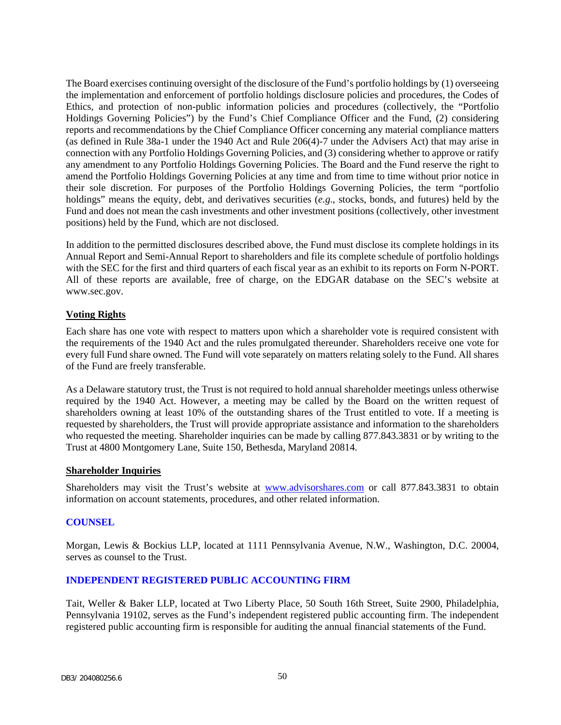The Board exercises continuing oversight of the disclosure of the Fund's portfolio holdings by (1) overseeing the implementation and enforcement of portfolio holdings disclosure policies and procedures, the Codes of Ethics, and protection of non-public information policies and procedures (collectively, the "Portfolio Holdings Governing Policies") by the Fund's Chief Compliance Officer and the Fund, (2) considering reports and recommendations by the Chief Compliance Officer concerning any material compliance matters (as defined in Rule 38a-1 under the 1940 Act and Rule 206(4)-7 under the Advisers Act) that may arise in connection with any Portfolio Holdings Governing Policies, and (3) considering whether to approve or ratify any amendment to any Portfolio Holdings Governing Policies. The Board and the Fund reserve the right to amend the Portfolio Holdings Governing Policies at any time and from time to time without prior notice in their sole discretion. For purposes of the Portfolio Holdings Governing Policies, the term "portfolio holdings" means the equity, debt, and derivatives securities (*e.g*., stocks, bonds, and futures) held by the Fund and does not mean the cash investments and other investment positions (collectively, other investment positions) held by the Fund, which are not disclosed.

In addition to the permitted disclosures described above, the Fund must disclose its complete holdings in its Annual Report and Semi-Annual Report to shareholders and file its complete schedule of portfolio holdings with the SEC for the first and third quarters of each fiscal year as an exhibit to its reports on Form N-PORT. All of these reports are available, free of charge, on the EDGAR database on the SEC's website at www.sec.gov.

## **Voting Rights**

Each share has one vote with respect to matters upon which a shareholder vote is required consistent with the requirements of the 1940 Act and the rules promulgated thereunder. Shareholders receive one vote for every full Fund share owned. The Fund will vote separately on matters relating solely to the Fund. All shares of the Fund are freely transferable.

As a Delaware statutory trust, the Trust is not required to hold annual shareholder meetings unless otherwise required by the 1940 Act. However, a meeting may be called by the Board on the written request of shareholders owning at least 10% of the outstanding shares of the Trust entitled to vote. If a meeting is requested by shareholders, the Trust will provide appropriate assistance and information to the shareholders who requested the meeting. Shareholder inquiries can be made by calling 877.843.3831 or by writing to the Trust at 4800 Montgomery Lane, Suite 150, Bethesda, Maryland 20814.

## **Shareholder Inquiries**

Shareholders may visit the Trust's website at www.advisorshares.com or call 877.843.3831 to obtain information on account statements, procedures, and other related information.

## <span id="page-51-0"></span>**COUNSEL**

Morgan, Lewis & Bockius LLP, located at 1111 Pennsylvania Avenue, N.W., Washington, D.C. 20004, serves as counsel to the Trust.

## <span id="page-51-1"></span>**INDEPENDENT REGISTERED PUBLIC ACCOUNTING FIRM**

Tait, Weller & Baker LLP, located at Two Liberty Place, 50 South 16th Street, Suite 2900, Philadelphia, Pennsylvania 19102, serves as the Fund's independent registered public accounting firm. The independent registered public accounting firm is responsible for auditing the annual financial statements of the Fund.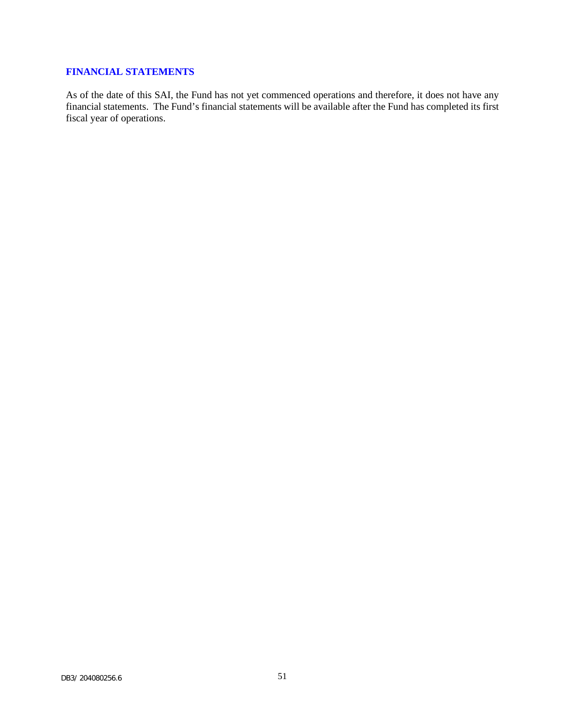## <span id="page-52-0"></span>**FINANCIAL STATEMENTS**

As of the date of this SAI, the Fund has not yet commenced operations and therefore, it does not have any financial statements. The Fund's financial statements will be available after the Fund has completed its first fiscal year of operations.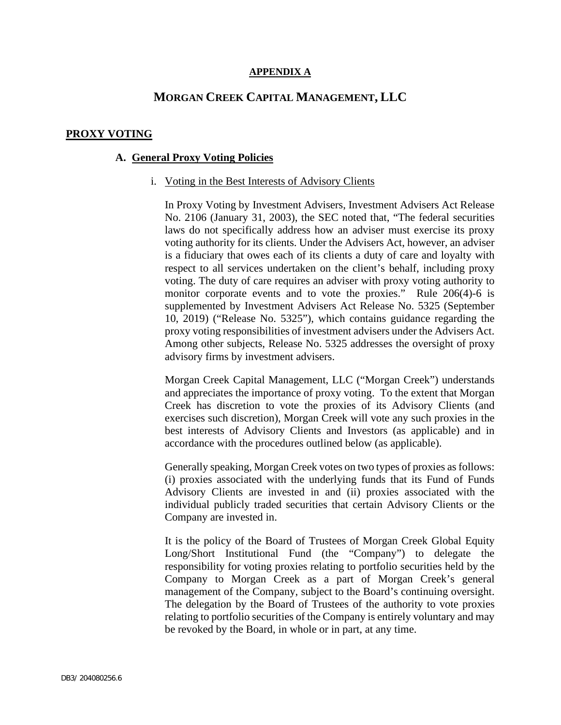## **APPENDIX A**

## **MORGAN CREEK CAPITAL MANAGEMENT, LLC**

## <span id="page-53-0"></span>**PROXY VOTING**

## **A. General Proxy Voting Policies**

#### i. Voting in the Best Interests of Advisory Clients

In Proxy Voting by Investment Advisers, Investment Advisers Act Release No. 2106 (January 31, 2003), the SEC noted that, "The federal securities laws do not specifically address how an adviser must exercise its proxy voting authority for its clients. Under the Advisers Act, however, an adviser is a fiduciary that owes each of its clients a duty of care and loyalty with respect to all services undertaken on the client's behalf, including proxy voting. The duty of care requires an adviser with proxy voting authority to monitor corporate events and to vote the proxies." Rule 206(4)-6 is supplemented by Investment Advisers Act Release No. 5325 (September 10, 2019) ("Release No. 5325"), which contains guidance regarding the proxy voting responsibilities of investment advisers under the Advisers Act. Among other subjects, Release No. 5325 addresses the oversight of proxy advisory firms by investment advisers.

Morgan Creek Capital Management, LLC ("Morgan Creek") understands and appreciates the importance of proxy voting. To the extent that Morgan Creek has discretion to vote the proxies of its Advisory Clients (and exercises such discretion), Morgan Creek will vote any such proxies in the best interests of Advisory Clients and Investors (as applicable) and in accordance with the procedures outlined below (as applicable).

Generally speaking, Morgan Creek votes on two types of proxies as follows: (i) proxies associated with the underlying funds that its Fund of Funds Advisory Clients are invested in and (ii) proxies associated with the individual publicly traded securities that certain Advisory Clients or the Company are invested in.

It is the policy of the Board of Trustees of Morgan Creek Global Equity Long/Short Institutional Fund (the "Company") to delegate the responsibility for voting proxies relating to portfolio securities held by the Company to Morgan Creek as a part of Morgan Creek's general management of the Company, subject to the Board's continuing oversight. The delegation by the Board of Trustees of the authority to vote proxies relating to portfolio securities of the Company is entirely voluntary and may be revoked by the Board, in whole or in part, at any time.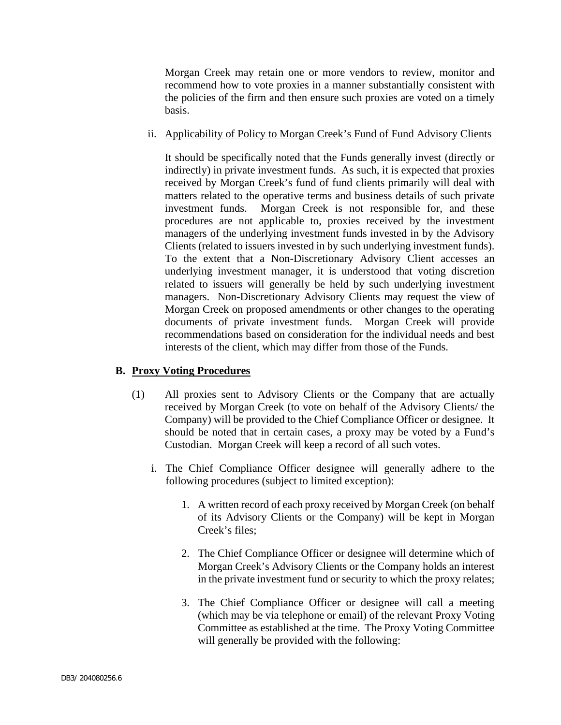Morgan Creek may retain one or more vendors to review, monitor and recommend how to vote proxies in a manner substantially consistent with the policies of the firm and then ensure such proxies are voted on a timely basis.

## ii. Applicability of Policy to Morgan Creek's Fund of Fund Advisory Clients

It should be specifically noted that the Funds generally invest (directly or indirectly) in private investment funds. As such, it is expected that proxies received by Morgan Creek's fund of fund clients primarily will deal with matters related to the operative terms and business details of such private investment funds. Morgan Creek is not responsible for, and these procedures are not applicable to, proxies received by the investment managers of the underlying investment funds invested in by the Advisory Clients (related to issuers invested in by such underlying investment funds). To the extent that a Non-Discretionary Advisory Client accesses an underlying investment manager, it is understood that voting discretion related to issuers will generally be held by such underlying investment managers. Non-Discretionary Advisory Clients may request the view of Morgan Creek on proposed amendments or other changes to the operating documents of private investment funds. Morgan Creek will provide recommendations based on consideration for the individual needs and best interests of the client, which may differ from those of the Funds.

## **B. Proxy Voting Procedures**

- (1) All proxies sent to Advisory Clients or the Company that are actually received by Morgan Creek (to vote on behalf of the Advisory Clients/ the Company) will be provided to the Chief Compliance Officer or designee. It should be noted that in certain cases, a proxy may be voted by a Fund's Custodian. Morgan Creek will keep a record of all such votes.
	- i. The Chief Compliance Officer designee will generally adhere to the following procedures (subject to limited exception):
		- 1. A written record of each proxy received by Morgan Creek (on behalf of its Advisory Clients or the Company) will be kept in Morgan Creek's files;
		- 2. The Chief Compliance Officer or designee will determine which of Morgan Creek's Advisory Clients or the Company holds an interest in the private investment fund or security to which the proxy relates;
		- 3. The Chief Compliance Officer or designee will call a meeting (which may be via telephone or email) of the relevant Proxy Voting Committee as established at the time. The Proxy Voting Committee will generally be provided with the following: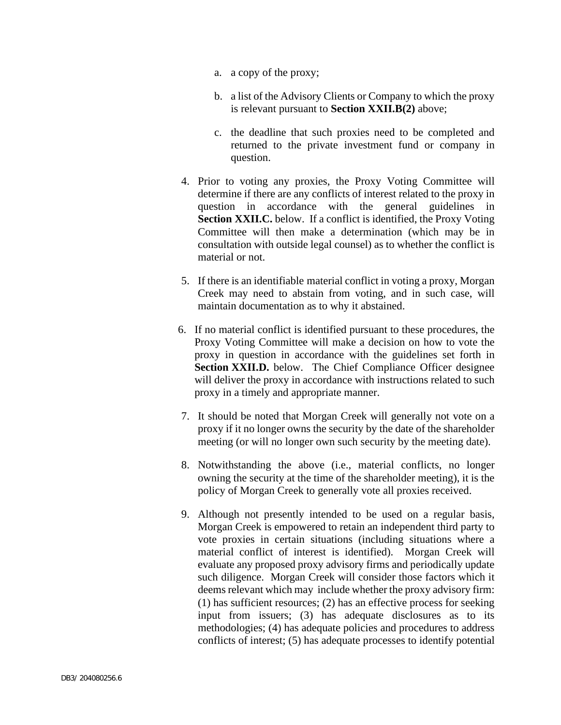- a. a copy of the proxy;
- b. a list of the Advisory Clients or Company to which the proxy is relevant pursuant to **Section XXII.B(2)** above;
- c. the deadline that such proxies need to be completed and returned to the private investment fund or company in question.
- 4. Prior to voting any proxies, the Proxy Voting Committee will determine if there are any conflicts of interest related to the proxy in question in accordance with the general guidelines in **Section XXII.C.** below. If a conflict is identified, the Proxy Voting Committee will then make a determination (which may be in consultation with outside legal counsel) as to whether the conflict is material or not.
- 5. If there is an identifiable material conflict in voting a proxy, Morgan Creek may need to abstain from voting, and in such case, will maintain documentation as to why it abstained.
- 6. If no material conflict is identified pursuant to these procedures, the Proxy Voting Committee will make a decision on how to vote the proxy in question in accordance with the guidelines set forth in **Section XXII.D.** below. The Chief Compliance Officer designee will deliver the proxy in accordance with instructions related to such proxy in a timely and appropriate manner.
- 7. It should be noted that Morgan Creek will generally not vote on a proxy if it no longer owns the security by the date of the shareholder meeting (or will no longer own such security by the meeting date).
- 8. Notwithstanding the above (i.e., material conflicts, no longer owning the security at the time of the shareholder meeting), it is the policy of Morgan Creek to generally vote all proxies received.
- 9. Although not presently intended to be used on a regular basis, Morgan Creek is empowered to retain an independent third party to vote proxies in certain situations (including situations where a material conflict of interest is identified). Morgan Creek will evaluate any proposed proxy advisory firms and periodically update such diligence. Morgan Creek will consider those factors which it deems relevant which may include whether the proxy advisory firm: (1) has sufficient resources; (2) has an effective process for seeking input from issuers; (3) has adequate disclosures as to its methodologies; (4) has adequate policies and procedures to address conflicts of interest; (5) has adequate processes to identify potential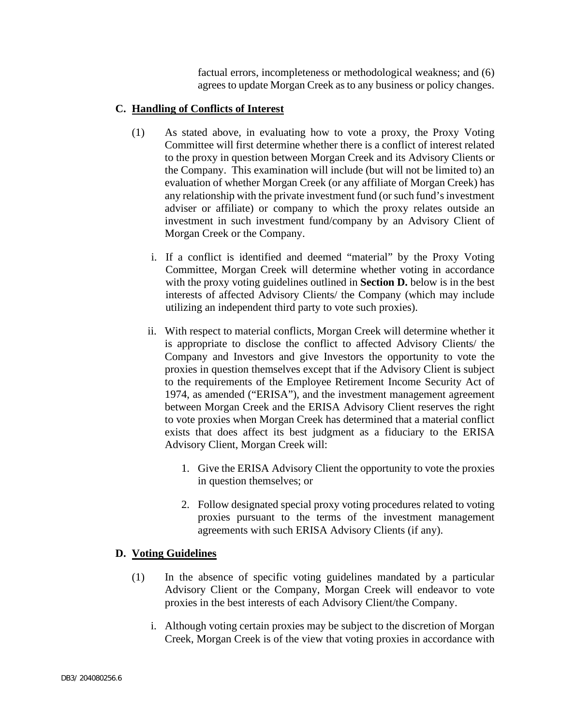factual errors, incompleteness or methodological weakness; and (6) agrees to update Morgan Creek as to any business or policy changes.

## **C. Handling of Conflicts of Interest**

- (1) As stated above, in evaluating how to vote a proxy, the Proxy Voting Committee will first determine whether there is a conflict of interest related to the proxy in question between Morgan Creek and its Advisory Clients or the Company. This examination will include (but will not be limited to) an evaluation of whether Morgan Creek (or any affiliate of Morgan Creek) has any relationship with the private investment fund (or such fund's investment adviser or affiliate) or company to which the proxy relates outside an investment in such investment fund/company by an Advisory Client of Morgan Creek or the Company.
	- i. If a conflict is identified and deemed "material" by the Proxy Voting Committee, Morgan Creek will determine whether voting in accordance with the proxy voting guidelines outlined in **Section D.** below is in the best interests of affected Advisory Clients/ the Company (which may include utilizing an independent third party to vote such proxies).
	- ii. With respect to material conflicts, Morgan Creek will determine whether it is appropriate to disclose the conflict to affected Advisory Clients/ the Company and Investors and give Investors the opportunity to vote the proxies in question themselves except that if the Advisory Client is subject to the requirements of the Employee Retirement Income Security Act of 1974, as amended ("ERISA"), and the investment management agreement between Morgan Creek and the ERISA Advisory Client reserves the right to vote proxies when Morgan Creek has determined that a material conflict exists that does affect its best judgment as a fiduciary to the ERISA Advisory Client, Morgan Creek will:
		- 1. Give the ERISA Advisory Client the opportunity to vote the proxies in question themselves; or
		- 2. Follow designated special proxy voting procedures related to voting proxies pursuant to the terms of the investment management agreements with such ERISA Advisory Clients (if any).

## **D. Voting Guidelines**

- (1) In the absence of specific voting guidelines mandated by a particular Advisory Client or the Company, Morgan Creek will endeavor to vote proxies in the best interests of each Advisory Client/the Company.
	- i. Although voting certain proxies may be subject to the discretion of Morgan Creek, Morgan Creek is of the view that voting proxies in accordance with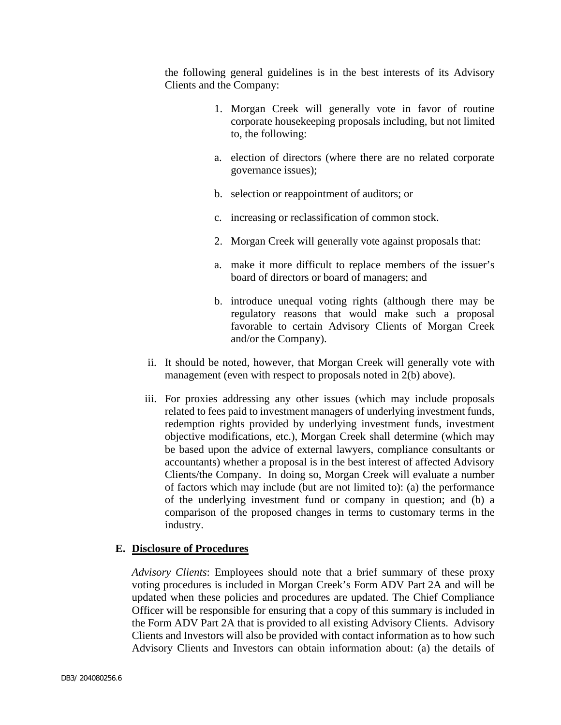the following general guidelines is in the best interests of its Advisory Clients and the Company:

- 1. Morgan Creek will generally vote in favor of routine corporate housekeeping proposals including, but not limited to, the following:
- a. election of directors (where there are no related corporate governance issues);
- b. selection or reappointment of auditors; or
- c. increasing or reclassification of common stock.
- 2. Morgan Creek will generally vote against proposals that:
- a. make it more difficult to replace members of the issuer's board of directors or board of managers; and
- b. introduce unequal voting rights (although there may be regulatory reasons that would make such a proposal favorable to certain Advisory Clients of Morgan Creek and/or the Company).
- ii. It should be noted, however, that Morgan Creek will generally vote with management (even with respect to proposals noted in 2(b) above).
- iii. For proxies addressing any other issues (which may include proposals related to fees paid to investment managers of underlying investment funds, redemption rights provided by underlying investment funds, investment objective modifications, etc.), Morgan Creek shall determine (which may be based upon the advice of external lawyers, compliance consultants or accountants) whether a proposal is in the best interest of affected Advisory Clients/the Company. In doing so, Morgan Creek will evaluate a number of factors which may include (but are not limited to): (a) the performance of the underlying investment fund or company in question; and (b) a comparison of the proposed changes in terms to customary terms in the industry.

## **E. Disclosure of Procedures**

*Advisory Clients*: Employees should note that a brief summary of these proxy voting procedures is included in Morgan Creek's Form ADV Part 2A and will be updated when these policies and procedures are updated. The Chief Compliance Officer will be responsible for ensuring that a copy of this summary is included in the Form ADV Part 2A that is provided to all existing Advisory Clients. Advisory Clients and Investors will also be provided with contact information as to how such Advisory Clients and Investors can obtain information about: (a) the details of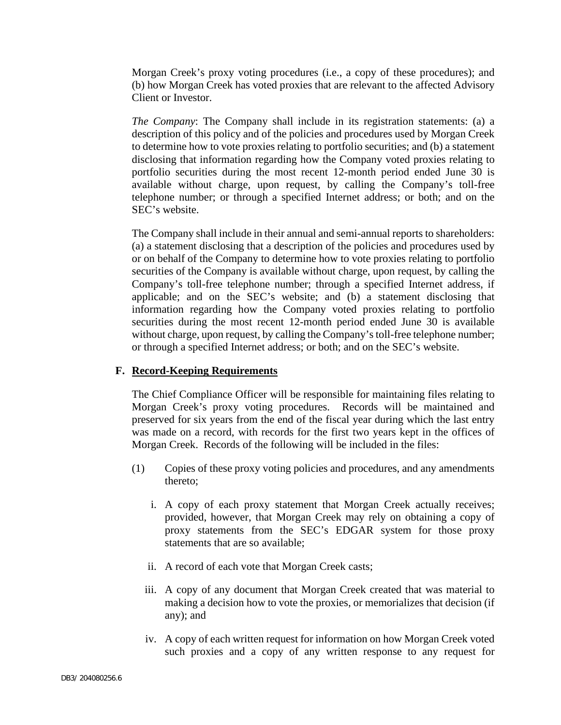Morgan Creek's proxy voting procedures (i.e., a copy of these procedures); and (b) how Morgan Creek has voted proxies that are relevant to the affected Advisory Client or Investor.

*The Company*: The Company shall include in its registration statements: (a) a description of this policy and of the policies and procedures used by Morgan Creek to determine how to vote proxies relating to portfolio securities; and (b) a statement disclosing that information regarding how the Company voted proxies relating to portfolio securities during the most recent 12-month period ended June 30 is available without charge, upon request, by calling the Company's toll-free telephone number; or through a specified Internet address; or both; and on the SEC's website.

The Company shall include in their annual and semi-annual reports to shareholders: (a) a statement disclosing that a description of the policies and procedures used by or on behalf of the Company to determine how to vote proxies relating to portfolio securities of the Company is available without charge, upon request, by calling the Company's toll-free telephone number; through a specified Internet address, if applicable; and on the SEC's website; and (b) a statement disclosing that information regarding how the Company voted proxies relating to portfolio securities during the most recent 12-month period ended June 30 is available without charge, upon request, by calling the Company's toll-free telephone number; or through a specified Internet address; or both; and on the SEC's website.

## **F. Record-Keeping Requirements**

The Chief Compliance Officer will be responsible for maintaining files relating to Morgan Creek's proxy voting procedures. Records will be maintained and preserved for six years from the end of the fiscal year during which the last entry was made on a record, with records for the first two years kept in the offices of Morgan Creek. Records of the following will be included in the files:

- (1) Copies of these proxy voting policies and procedures, and any amendments thereto;
	- i. A copy of each proxy statement that Morgan Creek actually receives; provided, however, that Morgan Creek may rely on obtaining a copy of proxy statements from the SEC's EDGAR system for those proxy statements that are so available;
	- ii. A record of each vote that Morgan Creek casts;
	- iii. A copy of any document that Morgan Creek created that was material to making a decision how to vote the proxies, or memorializes that decision (if any); and
	- iv. A copy of each written request for information on how Morgan Creek voted such proxies and a copy of any written response to any request for